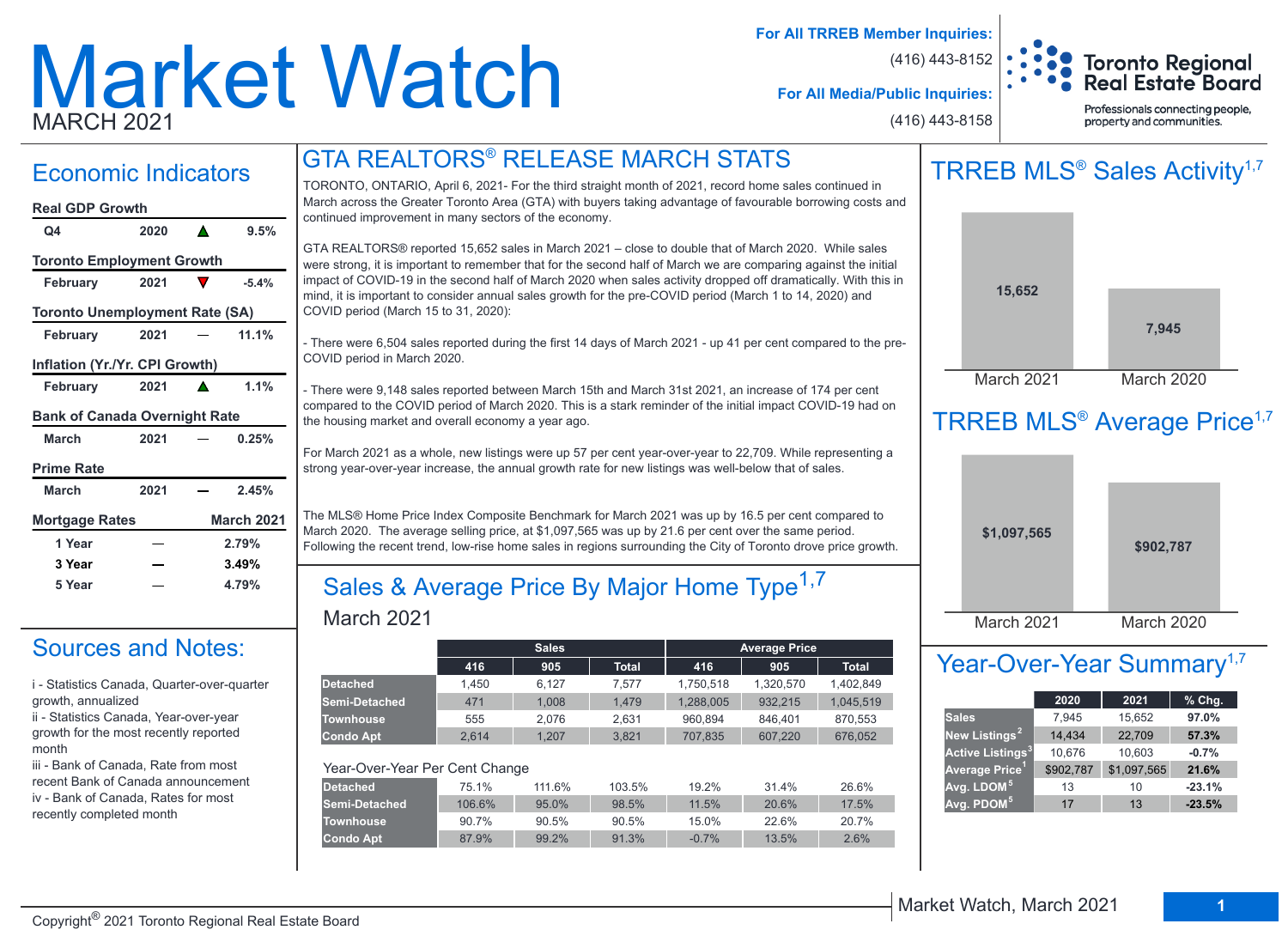# Market Watch MARCH 2021

**For All TRREB Member Inquiries:**

(416) 443-8152



**For All Media/Public Inquiries:**

(416) 443-8158

Professionals connecting people, property and communities.

## GTA REALTORS® RELEASE MARCH STATS

## Economic Indicators

#### **March 2021 0.25% March 2021 2.45%** February 2021 **△** 1.1% **February 2021 11.1% February 2021 -5.4% Q4 2020 9.5% Real GDP Growth Toronto Employment Growth Toronto Unemployment Rate (SA) Inflation (Yr./Yr. CPI Growth) Bank of Canada Overnight Rate Prime Rate Mortgage Rates March 2021**

**1 Year 2.79% 3 Year 3.49% 5 Year 4.79%**

## Sources and Notes:

i - Statistics Canada, Quarter-over-quarter growth, annualized

ii - Statistics Canada, Year-over-year growth for the most recently reported month

iii - Bank of Canada, Rate from most recent Bank of Canada announcement iv - Bank of Canada, Rates for most recently completed month

TORONTO, ONTARIO, April 6, 2021- For the third straight month of 2021, record home sales continued in March across the Greater Toronto Area (GTA) with buyers taking advantage of favourable borrowing costs and continued improvement in many sectors of the economy.

GTA REALTORS® reported 15,652 sales in March 2021 – close to double that of March 2020. While sales were strong, it is important to remember that for the second half of March we are comparing against the initial impact of COVID-19 in the second half of March 2020 when sales activity dropped off dramatically. With this in mind, it is important to consider annual sales growth for the pre-COVID period (March 1 to 14, 2020) and COVID period (March 15 to 31, 2020):

- There were 6,504 sales reported during the first 14 days of March 2021 - up 41 per cent compared to the pre-COVID period in March 2020.

- There were 9,148 sales reported between March 15th and March 31st 2021, an increase of 174 per cent compared to the COVID period of March 2020. This is a stark reminder of the initial impact COVID-19 had on the housing market and overall economy a year ago.

For March 2021 as a whole, new listings were up 57 per cent year-over-year to 22,709. While representing a strong year-over-year increase, the annual growth rate for new listings was well-below that of sales.

The MLS® Home Price Index Composite Benchmark for March 2021 was up by 16.5 per cent compared to March 2020. The average selling price, at \$1,097,565 was up by 21.6 per cent over the same period. Following the recent trend, low-rise home sales in regions surrounding the City of Toronto drove price growth.

## March 2021 Sales & Average Price By Major Home Type<sup>1,7</sup>

|                                |        | <b>Sales</b> |              |           | <b>Average Price</b> |              |
|--------------------------------|--------|--------------|--------------|-----------|----------------------|--------------|
|                                | 416    | 905          | <b>Total</b> | 416       | 905                  | <b>Total</b> |
| <b>Detached</b>                | 1.450  | 6.127        | 7.577        | 1,750,518 | 1,320,570            | 1,402,849    |
| Semi-Detached                  | 471    | 1.008        | 1,479        | 1,288,005 | 932,215              | 1,045,519    |
| <b>Townhouse</b>               | 555    | 2.076        | 2.631        | 960.894   | 846.401              | 870.553      |
| <b>Condo Apt</b>               | 2.614  | 1.207        | 3.821        | 707.835   | 607,220              | 676.052      |
|                                |        |              |              |           |                      |              |
| Year-Over-Year Per Cent Change |        |              |              |           |                      |              |
| <b>Detached</b>                | 75.1%  | 111.6%       | 103.5%       | 19.2%     | 31.4%                | 26.6%        |
| Semi-Detached                  | 106.6% | 95.0%        | 98.5%        | 11.5%     | 20.6%                | 17.5%        |
| <b>Townhouse</b>               | 90.7%  | 90.5%        | 90.5%        | 15.0%     | 22.6%                | 20.7%        |
| <b>Condo Apt</b>               | 87.9%  | 99.2%        | 91.3%        | $-0.7%$   | 13.5%                | 2.6%         |
|                                |        |              |              |           |                      |              |





## TRREB MLS<sup>®</sup> Average Price<sup>1,7</sup>



## Year-Over-Year Summary<sup>1,7</sup>

|                                    | 2020      | 2021        | $%$ Chg. |
|------------------------------------|-----------|-------------|----------|
| <b>Sales</b>                       | 7,945     | 15,652      | 97.0%    |
| New Listings <sup>2</sup>          | 14,434    | 22,709      | 57.3%    |
| <b>Active Listings<sup>3</sup></b> | 10,676    | 10,603      | $-0.7%$  |
| Average Price <sup>1</sup>         | \$902,787 | \$1,097,565 | 21.6%    |
| Avg. LDOM <sup>5</sup>             | 13        | 10          | $-23.1%$ |
| Avg. PDOM <sup>5</sup>             | 17        | 13          | $-23.5%$ |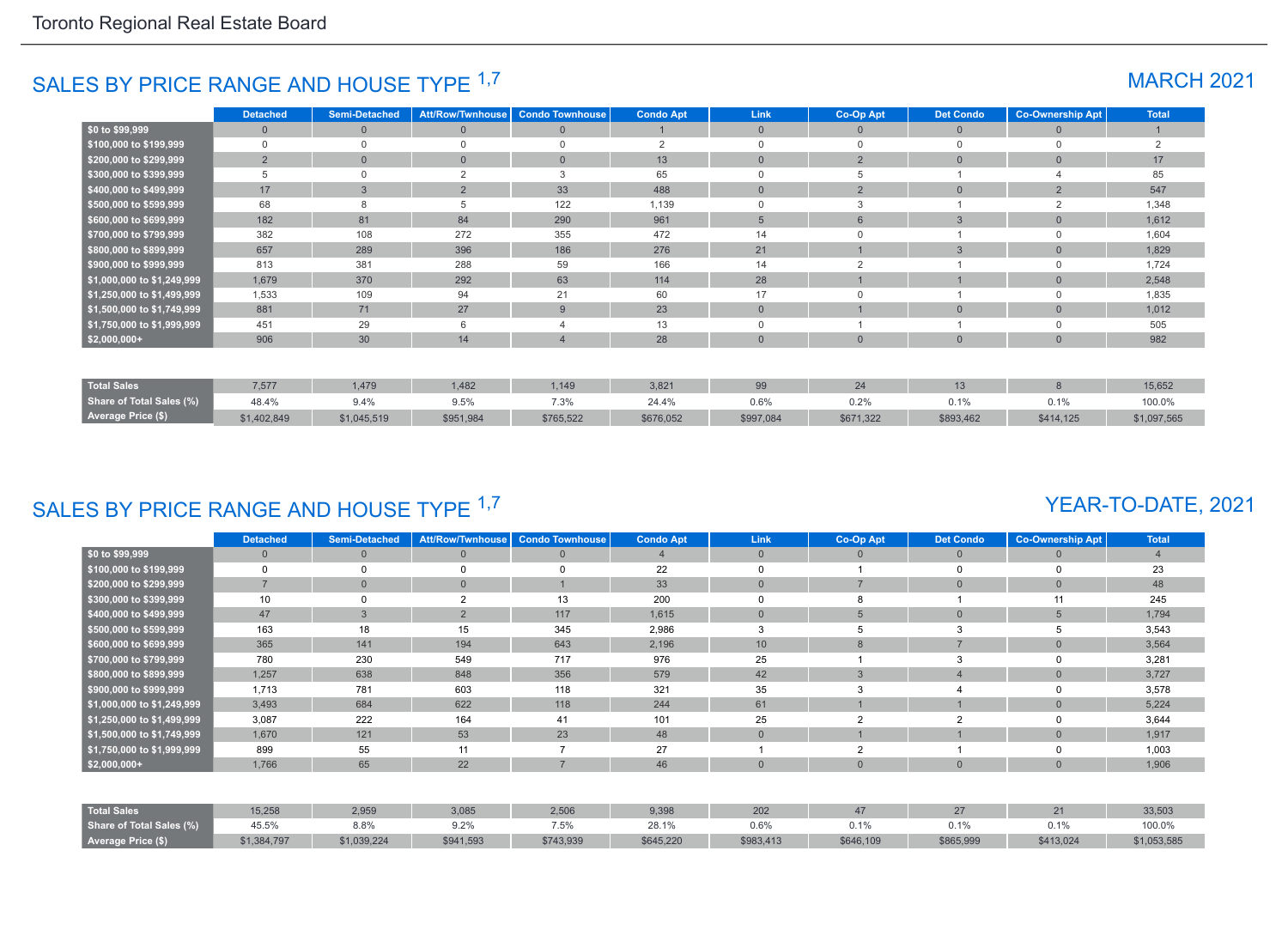## SALES BY PRICE RANGE AND HOUSE TYPE <sup>1,7</sup> MARCH 2021

|                            | <b>Detached</b> | Semi-Detached | <b>Att/Row/Twnhouse</b> | <b>Condo Townhouse</b> | <b>Condo Apt</b> | Link           | Co-Op Apt      | <b>Det Condo</b> | <b>Co-Ownership Apt</b> | <b>Total</b> |
|----------------------------|-----------------|---------------|-------------------------|------------------------|------------------|----------------|----------------|------------------|-------------------------|--------------|
| \$0 to \$99,999            | $\mathbf{0}$    | $\Omega$      | $\overline{0}$          | $\mathbf{0}$           |                  | $\overline{0}$ | $\Omega$       | $\overline{0}$   | $\Omega$                |              |
| \$100,000 to \$199,999     | 0               |               | $\Omega$                | $\Omega$               | $\overline{2}$   | $\Omega$       | $\Omega$       | 0                | $\Omega$                | 2            |
| \$200,000 to \$299,999     | $\overline{2}$  | $\Omega$      | $\mathbf{0}$            | $\overline{0}$         | 13               | $\Omega$       | $\overline{2}$ | $\mathbf{0}$     | $\Omega$                | 17           |
| \$300,000 to \$399,999     | 5               |               | $\overline{2}$          | 3                      | 65               |                |                |                  |                         | 85           |
| \$400,000 to \$499,999     | 17              | $\mathcal{B}$ | $\overline{2}$          | 33                     | 488              | $\Omega$       | 2              | $\overline{0}$   | $\overline{2}$          | 547          |
| \$500,000 to \$599,999     | 68              |               |                         | 122                    | 1,139            |                |                |                  |                         | 1,348        |
| \$600,000 to \$699,999     | 182             | 81            | 84                      | 290                    | 961              | 5              | 6              | 3                | $\Omega$                | 1,612        |
| \$700,000 to \$799,999     | 382             | 108           | 272                     | 355                    | 472              | 14             |                |                  | $\Omega$                | 1,604        |
| \$800,000 to \$899,999     | 657             | 289           | 396                     | 186                    | 276              | 21             |                | 3                | $\Omega$                | 1,829        |
| \$900,000 to \$999,999     | 813             | 381           | 288                     | 59                     | 166              | 14             | $\sim$         |                  |                         | 1,724        |
| \$1,000,000 to \$1,249,999 | 1,679           | 370           | 292                     | 63                     | 114              | 28             |                |                  | $\Omega$                | 2,548        |
| \$1,250,000 to \$1,499,999 | 1,533           | 109           | 94                      | 21                     | 60               | 17             | $\cap$         |                  | $\Omega$                | 1,835        |
| \$1,500,000 to \$1,749,999 | 881             | 71            | 27                      | 9                      | 23               | $\overline{0}$ |                | $\overline{0}$   | $\overline{0}$          | 1,012        |
| \$1,750,000 to \$1,999,999 | 451             | 29            | 6                       |                        | 13               | $\mathbf 0$    |                |                  |                         | 505          |
| $$2,000,000+$              | 906             | 30            | 14                      |                        | 28               | $\overline{0}$ | $\Omega$       | $\overline{0}$   | $\Omega$                | 982          |
|                            |                 |               |                         |                        |                  |                |                |                  |                         |              |
| <b>Total Sales</b>         | 7,577           | 1,479         | 1,482                   | 1,149                  | 3,821            | 99             | 24             | 13               | 8                       | 15,652       |
| Share of Total Sales (%)   | 48.4%           | 9.4%          | 9.5%                    | 7.3%                   | 24.4%            | 0.6%           | 0.2%           | 0.1%             | 0.1%                    | 100.0%       |
| <b>Average Price (\$)</b>  | \$1,402,849     | \$1,045,519   | \$951,984               | \$765,522              | \$676,052        | \$997,084      | \$671,322      | \$893,462        | \$414,125               | \$1,097,565  |

## SALES BY PRICE RANGE AND HOUSE TYPE 1,7

## YEAR-TO-DATE, 2021

|                            | Detached       | <b>Semi-Detached</b> | <b>Att/Row/Twnhouse</b> | <b>Condo Townhouse</b> | <b>Condo Apt</b> | <b>Link</b>    | Co-Op Apt      | <b>Det Condo</b> | <b>Co-Ownership Apt</b> | <b>Total</b> |
|----------------------------|----------------|----------------------|-------------------------|------------------------|------------------|----------------|----------------|------------------|-------------------------|--------------|
| \$0 to \$99,999            | $\mathbf{0}$   |                      | $\mathbf{0}$            | $\mathbf{0}$           |                  | $\mathbf{0}$   | 0              | $\mathbf{0}$     | $\Omega$                |              |
| \$100,000 to \$199,999     | $\Omega$       |                      | $\Omega$                |                        | 22               | $\Omega$       |                |                  | $\Omega$                | 23           |
| \$200,000 to \$299,999     | $\overline{7}$ |                      | $\mathbf{0}$            |                        | 33               | $\overline{0}$ |                | $\overline{0}$   | $\overline{0}$          | 48           |
| \$300,000 to \$399,999     | 10             |                      | $\overline{2}$          | 13                     | 200              | $\Omega$       | 8              |                  | 11                      | 245          |
| \$400,000 to \$499,999     | 47             | 3                    | $\overline{2}$          | 117                    | 1,615            | $\overline{0}$ | 5              | $\mathbf{0}$     | $5\overline{)}$         | 1,794        |
| \$500,000 to \$599,999     | 163            | 18                   | 15                      | 345                    | 2,986            | 3              |                | 3                | b                       | 3,543        |
| \$600,000 to \$699,999     | 365            | 141                  | 194                     | 643                    | 2,196            | 10             | 8              | $\overline{7}$   | $\overline{0}$          | 3,564        |
| \$700,000 to \$799,999     | 780            | 230                  | 549                     | 717                    | 976              | 25             |                | 3                | 0                       | 3,281        |
| \$800,000 to \$899,999     | 1,257          | 638                  | 848                     | 356                    | 579              | 42             | 3              | $\overline{4}$   | $\overline{0}$          | 3,727        |
| \$900,000 to \$999,999     | 1,713          | 781                  | 603                     | 118                    | 321              | 35             |                |                  | $\Omega$                | 3,578        |
| \$1,000,000 to \$1,249,999 | 3,493          | 684                  | 622                     | 118                    | 244              | 61             |                |                  | $\Omega$                | 5,224        |
| \$1,250,000 to \$1,499,999 | 3,087          | 222                  | 164                     | 41                     | 101              | 25             | $\overline{2}$ | $\overline{2}$   | $\Omega$                | 3,644        |
| \$1,500,000 to \$1,749,999 | 1,670          | 121                  | 53                      | 23                     | 48               | $\overline{0}$ |                |                  | $\overline{0}$          | 1,917        |
| \$1,750,000 to \$1,999,999 | 899            | 55                   | 11                      |                        | 27               |                | $\sim$         |                  | 0                       | 1,003        |
| $$2,000,000+$              | 1,766          | 65                   | 22                      |                        | 46               | $\Omega$       | $\Omega$       | $\Omega$         | $\Omega$                | 1,906        |
|                            |                |                      |                         |                        |                  |                |                |                  |                         |              |
| <b>Total Sales</b>         | 15,258         | 2,959                | 3,085                   | 2,506                  | 9,398            | 202            | 47             | 27               | 21                      | 33,503       |
| Share of Total Sales (%)   | 45.5%          | 8.8%                 | 9.2%                    | 7.5%                   | 28.1%            | 0.6%           | 0.1%           | 0.1%             | 0.1%                    | 100.0%       |
| Average Price (\$)         | \$1,384,797    | \$1,039,224          | \$941,593               | \$743,939              | \$645,220        | \$983,413      | \$646,109      | \$865,999        | \$413,024               | \$1,053,585  |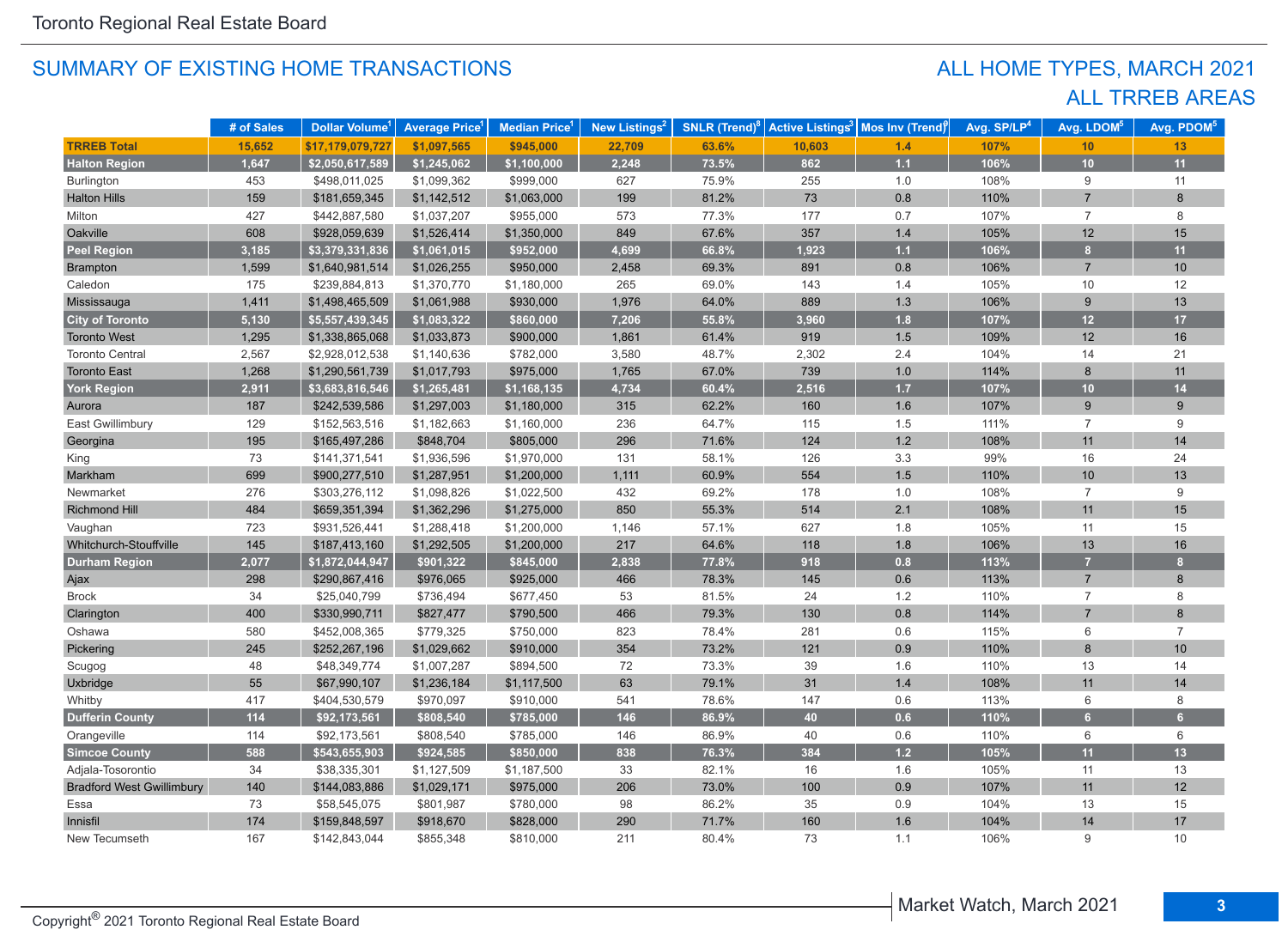## ALL TRREB AREAS ALL HOME TYPES, MARCH 2021

|                                  | # of Sales | Dollar Volume <sup>1</sup> | <b>Average Price<sup>1</sup></b> | Median Price <sup>1</sup> | New Listings <sup>2</sup> | <b>SNLR</b> (Trend) <sup>8</sup> |        | Active Listings <sup>3</sup>   Mos Inv (Trend) | Avg. SP/LP <sup>4</sup> | Avg. LDOM <sup>5</sup> | Avg. PDOM <sup>5</sup> |
|----------------------------------|------------|----------------------------|----------------------------------|---------------------------|---------------------------|----------------------------------|--------|------------------------------------------------|-------------------------|------------------------|------------------------|
| <b>TRREB Total</b>               | 15,652     | \$17,179,079,727           | \$1,097,565                      | \$945,000                 | 22,709                    | 63.6%                            | 10,603 | 1.4                                            | 107%                    | 10                     | 13                     |
| <b>Halton Region</b>             | 1,647      | \$2,050,617,589            | \$1,245,062                      | \$1,100,000               | 2,248                     | 73.5%                            | 862    | 1.1                                            | 106%                    | 10                     | 11                     |
| <b>Burlington</b>                | 453        | \$498,011,025              | \$1,099,362                      | \$999,000                 | 627                       | 75.9%                            | 255    | 1.0                                            | 108%                    | 9                      | 11                     |
| <b>Halton Hills</b>              | 159        | \$181,659,345              | \$1,142,512                      | \$1,063,000               | 199                       | 81.2%                            | 73     | 0.8                                            | 110%                    | $\overline{7}$         | 8                      |
| Milton                           | 427        | \$442,887,580              | \$1,037,207                      | \$955,000                 | 573                       | 77.3%                            | 177    | 0.7                                            | 107%                    | $\overline{7}$         | 8                      |
| Oakville                         | 608        | \$928,059,639              | \$1,526,414                      | \$1,350,000               | 849                       | 67.6%                            | 357    | $1.4$                                          | 105%                    | 12                     | 15                     |
| <b>Peel Region</b>               | 3,185      | \$3,379,331,836            | \$1,061,015                      | \$952,000                 | 4,699                     | 66.8%                            | 1,923  | 1.1                                            | 106%                    | 8                      | 11                     |
| Brampton                         | 1,599      | \$1,640,981,514            | \$1,026,255                      | \$950,000                 | 2,458                     | 69.3%                            | 891    | 0.8                                            | 106%                    | $\overline{7}$         | 10                     |
| Caledon                          | 175        | \$239,884,813              | \$1,370,770                      | \$1,180,000               | 265                       | 69.0%                            | 143    | 1.4                                            | 105%                    | 10                     | 12                     |
| Mississauga                      | 1,411      | \$1,498,465,509            | \$1,061,988                      | \$930,000                 | 1,976                     | 64.0%                            | 889    | 1.3                                            | 106%                    | 9                      | 13                     |
| <b>City of Toronto</b>           | 5,130      | \$5,557,439,345            | \$1,083,322                      | \$860,000                 | 7,206                     | 55.8%                            | 3,960  | 1.8                                            | 107%                    | 12                     | 17                     |
| <b>Toronto West</b>              | 1,295      | \$1,338,865,068            | \$1,033,873                      | \$900,000                 | 1,861                     | 61.4%                            | 919    | 1.5                                            | 109%                    | 12                     | 16                     |
| <b>Toronto Central</b>           | 2,567      | \$2,928,012,538            | \$1,140,636                      | \$782,000                 | 3,580                     | 48.7%                            | 2,302  | 2.4                                            | 104%                    | 14                     | 21                     |
| <b>Toronto East</b>              | 1,268      | \$1,290,561,739            | \$1,017,793                      | \$975,000                 | 1,765                     | 67.0%                            | 739    | 1.0                                            | 114%                    | 8                      | 11                     |
| <b>York Region</b>               | 2,911      | \$3,683,816,546            | \$1,265,481                      | \$1,168,135               | 4,734                     | 60.4%                            | 2,516  | 1.7                                            | 107%                    | 10 <sub>1</sub>        | 14                     |
| Aurora                           | 187        | \$242,539,586              | \$1,297,003                      | \$1,180,000               | 315                       | 62.2%                            | 160    | 1.6                                            | 107%                    | 9                      | 9                      |
| East Gwillimbury                 | 129        | \$152,563,516              | \$1,182,663                      | \$1,160,000               | 236                       | 64.7%                            | 115    | 1.5                                            | 111%                    | $\overline{7}$         | 9                      |
| Georgina                         | 195        | \$165,497,286              | \$848,704                        | \$805,000                 | 296                       | 71.6%                            | 124    | $1.2$                                          | 108%                    | 11                     | 14                     |
| King                             | 73         | \$141,371,541              | \$1,936,596                      | \$1,970,000               | 131                       | 58.1%                            | 126    | $3.3\,$                                        | 99%                     | 16                     | 24                     |
| Markham                          | 699        | \$900,277,510              | \$1,287,951                      | \$1,200,000               | 1,111                     | 60.9%                            | 554    | 1.5                                            | 110%                    | 10                     | 13                     |
| Newmarket                        | 276        | \$303,276,112              | \$1,098,826                      | \$1,022,500               | 432                       | 69.2%                            | 178    | 1.0                                            | 108%                    | $\overline{7}$         | 9                      |
| <b>Richmond Hill</b>             | 484        | \$659,351,394              | \$1,362,296                      | \$1,275,000               | 850                       | 55.3%                            | 514    | 2.1                                            | 108%                    | 11                     | 15                     |
| Vaughan                          | 723        | \$931,526,441              | \$1,288,418                      | \$1,200,000               | 1,146                     | 57.1%                            | 627    | 1.8                                            | 105%                    | 11                     | 15                     |
| Whitchurch-Stouffville           | 145        | \$187,413,160              | \$1,292,505                      | \$1,200,000               | 217                       | 64.6%                            | 118    | 1.8                                            | 106%                    | 13                     | 16                     |
| <b>Durham Region</b>             | 2,077      | \$1,872,044,947            | \$901,322                        | \$845,000                 | 2,838                     | 77.8%                            | 918    | 0.8                                            | 113%                    | $\overline{7}$         | $\mathbf{8}$           |
| Ajax                             | 298        | \$290,867,416              | \$976,065                        | \$925,000                 | 466                       | 78.3%                            | 145    | 0.6                                            | 113%                    | $\overline{7}$         | 8                      |
| <b>Brock</b>                     | 34         | \$25,040,799               | \$736,494                        | \$677,450                 | 53                        | 81.5%                            | 24     | $1.2$                                          | 110%                    | $\overline{7}$         | 8                      |
| Clarington                       | 400        | \$330,990,711              | \$827,477                        | \$790,500                 | 466                       | 79.3%                            | 130    | 0.8                                            | 114%                    | $\overline{7}$         | 8                      |
| Oshawa                           | 580        | \$452,008,365              | \$779,325                        | \$750,000                 | 823                       | 78.4%                            | 281    | 0.6                                            | 115%                    | 6                      | $\overline{7}$         |
| Pickering                        | 245        | \$252,267,196              | \$1,029,662                      | \$910,000                 | 354                       | 73.2%                            | 121    | 0.9                                            | 110%                    | 8                      | 10                     |
| Scugog                           | 48         | \$48,349,774               | \$1,007,287                      | \$894,500                 | 72                        | 73.3%                            | 39     | 1.6                                            | 110%                    | 13                     | 14                     |
| Uxbridge                         | 55         | \$67,990,107               | \$1,236,184                      | \$1,117,500               | 63                        | 79.1%                            | 31     | $1.4$                                          | 108%                    | 11                     | 14                     |
| Whitby                           | 417        | \$404,530,579              | \$970,097                        | \$910,000                 | 541                       | 78.6%                            | 147    | 0.6                                            | 113%                    | 6                      | 8                      |
| <b>Dufferin County</b>           | 114        | \$92,173,561               | \$808,540                        | \$785,000                 | 146                       | 86.9%                            | 40     | 0.6                                            | 110%                    | 6 <sup>1</sup>         | 6 <sup>1</sup>         |
| Orangeville                      | 114        | \$92,173,561               | \$808,540                        | \$785,000                 | 146                       | 86.9%                            | 40     | 0.6                                            | 110%                    | 6                      | 6                      |
| <b>Simcoe County</b>             | 588        | \$543,655,903              | \$924,585                        | \$850,000                 | 838                       | 76.3%                            | 384    | $1.2$                                          | 105%                    | 11                     | 13                     |
| Adjala-Tosorontio                | 34         | \$38,335,301               | \$1,127,509                      | \$1,187,500               | 33                        | 82.1%                            | 16     | 1.6                                            | 105%                    | 11                     | 13                     |
| <b>Bradford West Gwillimbury</b> | 140        | \$144,083,886              | \$1,029,171                      | \$975,000                 | 206                       | 73.0%                            | 100    | 0.9                                            | 107%                    | 11                     | 12                     |
| Essa                             | 73         | \$58,545,075               | \$801,987                        | \$780,000                 | 98                        | 86.2%                            | 35     | 0.9                                            | 104%                    | 13                     | 15                     |
| Innisfil                         | 174        | \$159,848,597              | \$918,670                        | \$828,000                 | 290                       | 71.7%                            | 160    | 1.6                                            | 104%                    | 14                     | 17                     |
| New Tecumseth                    | 167        | \$142,843,044              | \$855,348                        | \$810,000                 | 211                       | 80.4%                            | 73     | 1.1                                            | 106%                    | 9                      | 10                     |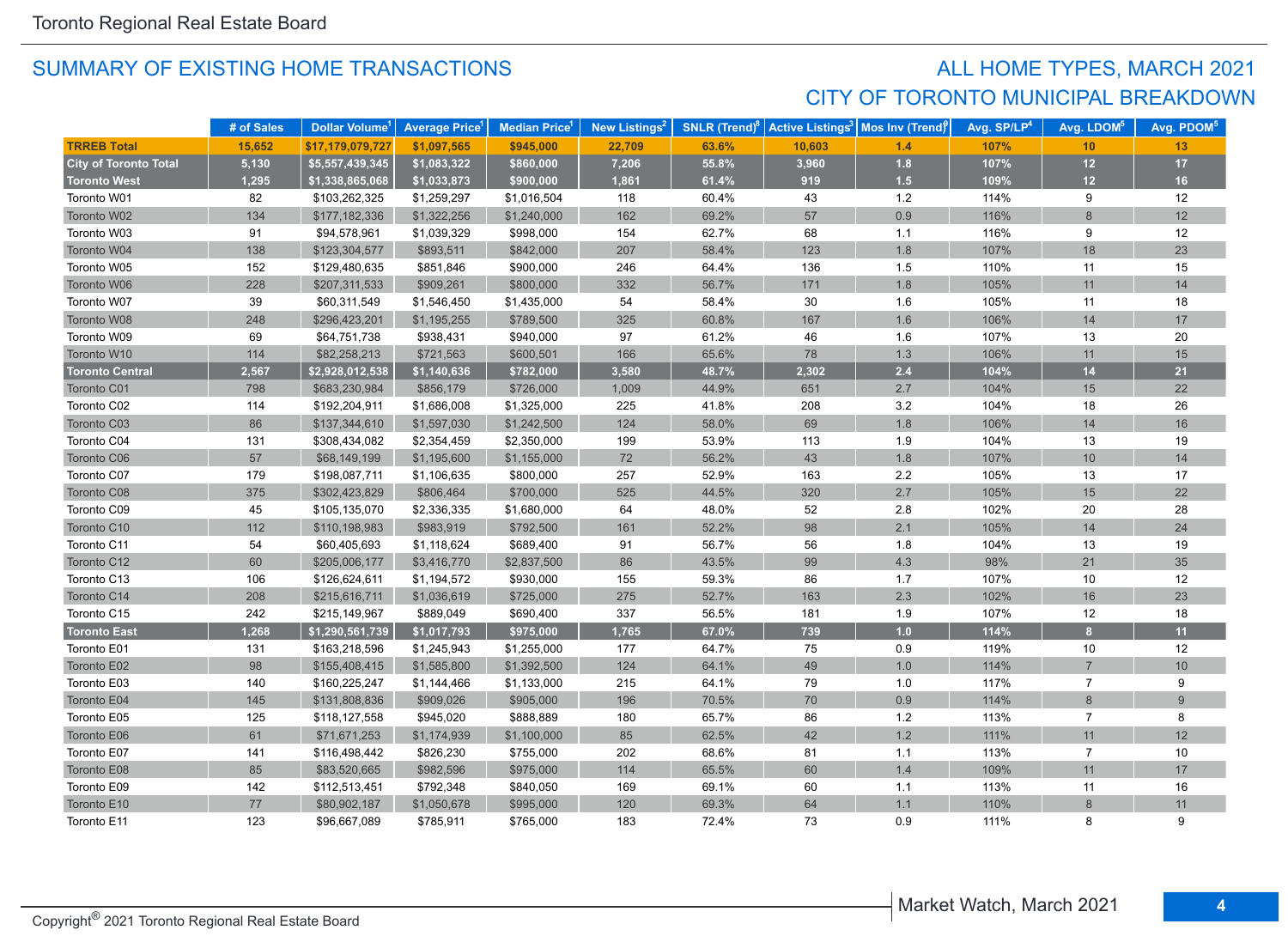## SUMMARY OF EXISTING HOME TRANSACTIONS **ALL HOME TYPES, MARCH 2021** CITY OF TORONTO MUNICIPAL BREAKDOWN

|                              | # of Sales | Dollar Volume <sup>1</sup> | <b>Average Price</b> <sup>1</sup> | Median Price <sup>1</sup> | New Listings <sup>2</sup> |       |        | <b>SNLR (Trend)<sup>8</sup> Active Listings<sup>3</sup> Mos Inv (Trend)<sup>8</sup></b> | Avg. SP/LP <sup>4</sup> | Avg. LDOM <sup>5</sup> | Avg. PDOM <sup>5</sup> |
|------------------------------|------------|----------------------------|-----------------------------------|---------------------------|---------------------------|-------|--------|-----------------------------------------------------------------------------------------|-------------------------|------------------------|------------------------|
| <b>TRREB Total</b>           | 15,652     | \$17,179,079,727           | \$1,097,565                       | \$945,000                 | 22,709                    | 63.6% | 10,603 | 1.4                                                                                     | 107%                    | 10                     | 13                     |
| <b>City of Toronto Total</b> | 5,130      | \$5,557,439,345            | \$1,083,322                       | \$860,000                 | 7,206                     | 55.8% | 3,960  | $1.8$                                                                                   | 107%                    | $12$                   | $17\,$                 |
| <b>Toronto West</b>          | 1,295      | \$1,338,865,068            | \$1,033,873                       | \$900,000                 | 1,861                     | 61.4% | 919    | 1.5                                                                                     | 109%                    | $12$                   | 16                     |
| Toronto W01                  | 82         | \$103,262,325              | \$1,259,297                       | \$1,016,504               | 118                       | 60.4% | 43     | $1.2$                                                                                   | 114%                    | 9                      | 12                     |
| Toronto W02                  | 134        | \$177,182,336              | \$1,322,256                       | \$1,240,000               | 162                       | 69.2% | 57     | 0.9                                                                                     | 116%                    | 8                      | 12                     |
| Toronto W03                  | 91         | \$94,578,961               | \$1,039,329                       | \$998,000                 | 154                       | 62.7% | 68     | 1.1                                                                                     | 116%                    | 9                      | 12                     |
| Toronto W04                  | 138        | \$123,304,577              | \$893,511                         | \$842,000                 | 207                       | 58.4% | 123    | 1.8                                                                                     | 107%                    | 18                     | 23                     |
| Toronto W05                  | 152        | \$129,480,635              | \$851,846                         | \$900,000                 | 246                       | 64.4% | 136    | 1.5                                                                                     | 110%                    | 11                     | 15                     |
| Toronto W06                  | 228        | \$207,311,533              | \$909,261                         | \$800,000                 | 332                       | 56.7% | 171    | 1.8                                                                                     | 105%                    | 11                     | 14                     |
| Toronto W07                  | 39         | \$60,311,549               | \$1,546,450                       | \$1,435,000               | 54                        | 58.4% | 30     | 1.6                                                                                     | 105%                    | 11                     | 18                     |
| Toronto W08                  | 248        | \$296,423,201              | \$1,195,255                       | \$789,500                 | 325                       | 60.8% | 167    | 1.6                                                                                     | 106%                    | 14                     | 17                     |
| Toronto W09                  | 69         | \$64,751,738               | \$938,431                         | \$940,000                 | 97                        | 61.2% | 46     | 1.6                                                                                     | 107%                    | 13                     | 20                     |
| Toronto W10                  | 114        | \$82,258,213               | \$721,563                         | \$600,501                 | 166                       | 65.6% | 78     | 1.3                                                                                     | 106%                    | 11                     | 15                     |
| <b>Toronto Central</b>       | 2,567      | \$2,928,012,538            | \$1,140,636                       | \$782,000                 | 3,580                     | 48.7% | 2,302  | 2.4                                                                                     | 104%                    | 14                     | 21                     |
| Toronto C01                  | 798        | \$683,230,984              | \$856,179                         | \$726,000                 | 1,009                     | 44.9% | 651    | 2.7                                                                                     | 104%                    | 15                     | 22                     |
| Toronto C02                  | 114        | \$192,204,911              | \$1,686,008                       | \$1,325,000               | 225                       | 41.8% | 208    | 3.2                                                                                     | 104%                    | 18                     | 26                     |
| Toronto C03                  | 86         | \$137,344,610              | \$1,597,030                       | \$1,242,500               | 124                       | 58.0% | 69     | 1.8                                                                                     | 106%                    | 14                     | 16                     |
| Toronto C04                  | 131        | \$308,434,082              | \$2,354,459                       | \$2,350,000               | 199                       | 53.9% | 113    | 1.9                                                                                     | 104%                    | 13                     | 19                     |
| Toronto C06                  | 57         | \$68,149,199               | \$1,195,600                       | \$1,155,000               | 72                        | 56.2% | 43     | 1.8                                                                                     | 107%                    | 10                     | 14                     |
| Toronto C07                  | 179        | \$198,087,711              | \$1,106,635                       | \$800,000                 | 257                       | 52.9% | 163    | 2.2                                                                                     | 105%                    | 13                     | 17                     |
| Toronto C08                  | 375        | \$302,423,829              | \$806,464                         | \$700,000                 | 525                       | 44.5% | 320    | 2.7                                                                                     | 105%                    | 15                     | 22                     |
| Toronto C09                  | 45         | \$105,135,070              | \$2,336,335                       | \$1,680,000               | 64                        | 48.0% | 52     | 2.8                                                                                     | 102%                    | 20                     | 28                     |
| Toronto C10                  | 112        | \$110,198,983              | \$983,919                         | \$792,500                 | 161                       | 52.2% | 98     | 2.1                                                                                     | 105%                    | 14                     | 24                     |
| Toronto C11                  | 54         | \$60,405,693               | \$1,118,624                       | \$689,400                 | 91                        | 56.7% | 56     | 1.8                                                                                     | 104%                    | 13                     | 19                     |
| Toronto C12                  | 60         | \$205,006,177              | \$3,416,770                       | \$2,837,500               | 86                        | 43.5% | 99     | 4.3                                                                                     | 98%                     | 21                     | 35                     |
| Toronto C13                  | 106        | \$126,624,611              | \$1,194,572                       | \$930,000                 | 155                       | 59.3% | 86     | 1.7                                                                                     | 107%                    | 10                     | 12                     |
| Toronto C14                  | 208        | \$215,616,711              | \$1,036,619                       | \$725,000                 | 275                       | 52.7% | 163    | 2.3                                                                                     | 102%                    | 16                     | 23                     |
| Toronto C15                  | 242        | \$215,149,967              | \$889,049                         | \$690,400                 | 337                       | 56.5% | 181    | 1.9                                                                                     | 107%                    | 12                     | 18                     |
| <b>Toronto East</b>          | 1,268      | \$1,290,561,739            | \$1,017,793                       | \$975,000                 | 1,765                     | 67.0% | 739    | 1.0                                                                                     | 114%                    | 8                      | 11                     |
| Toronto E01                  | 131        | \$163,218,596              | \$1,245,943                       | \$1,255,000               | 177                       | 64.7% | 75     | 0.9                                                                                     | 119%                    | 10                     | 12                     |
| Toronto E02                  | 98         | \$155,408,415              | \$1,585,800                       | \$1,392,500               | 124                       | 64.1% | 49     | $1.0$                                                                                   | 114%                    | $\overline{7}$         | 10                     |
| Toronto E03                  | 140        | \$160,225,247              | \$1,144,466                       | \$1,133,000               | 215                       | 64.1% | 79     | 1.0                                                                                     | 117%                    | $\overline{7}$         | 9                      |
| Toronto E04                  | 145        | \$131,808,836              | \$909,026                         | \$905,000                 | 196                       | 70.5% | 70     | 0.9                                                                                     | 114%                    | 8                      | 9                      |
| Toronto E05                  | 125        | \$118,127,558              | \$945,020                         | \$888,889                 | 180                       | 65.7% | 86     | $1.2$                                                                                   | 113%                    | $\overline{7}$         | 8                      |
| Toronto E06                  | 61         | \$71,671,253               | \$1,174,939                       | \$1,100,000               | 85                        | 62.5% | 42     | 1.2                                                                                     | 111%                    | 11                     | 12                     |
| Toronto E07                  | 141        | \$116,498,442              | \$826,230                         | \$755,000                 | 202                       | 68.6% | 81     | $1.1$                                                                                   | 113%                    | $\overline{7}$         | 10                     |
| Toronto E08                  | 85         | \$83,520,665               | \$982,596                         | \$975,000                 | 114                       | 65.5% | 60     | 1.4                                                                                     | 109%                    | 11                     | 17                     |
| Toronto E09                  | 142        | \$112,513,451              | \$792,348                         | \$840,050                 | 169                       | 69.1% | 60     | 1.1                                                                                     | 113%                    | 11                     | 16                     |
| Toronto E10                  | $77\,$     | \$80,902,187               | \$1,050,678                       | \$995,000                 | 120                       | 69.3% | 64     | 1.1                                                                                     | 110%                    | 8                      | 11                     |
| Toronto E11                  | 123        | \$96,667,089               | \$785,911                         | \$765,000                 | 183                       | 72.4% | 73     | 0.9                                                                                     | 111%                    | 8                      | 9                      |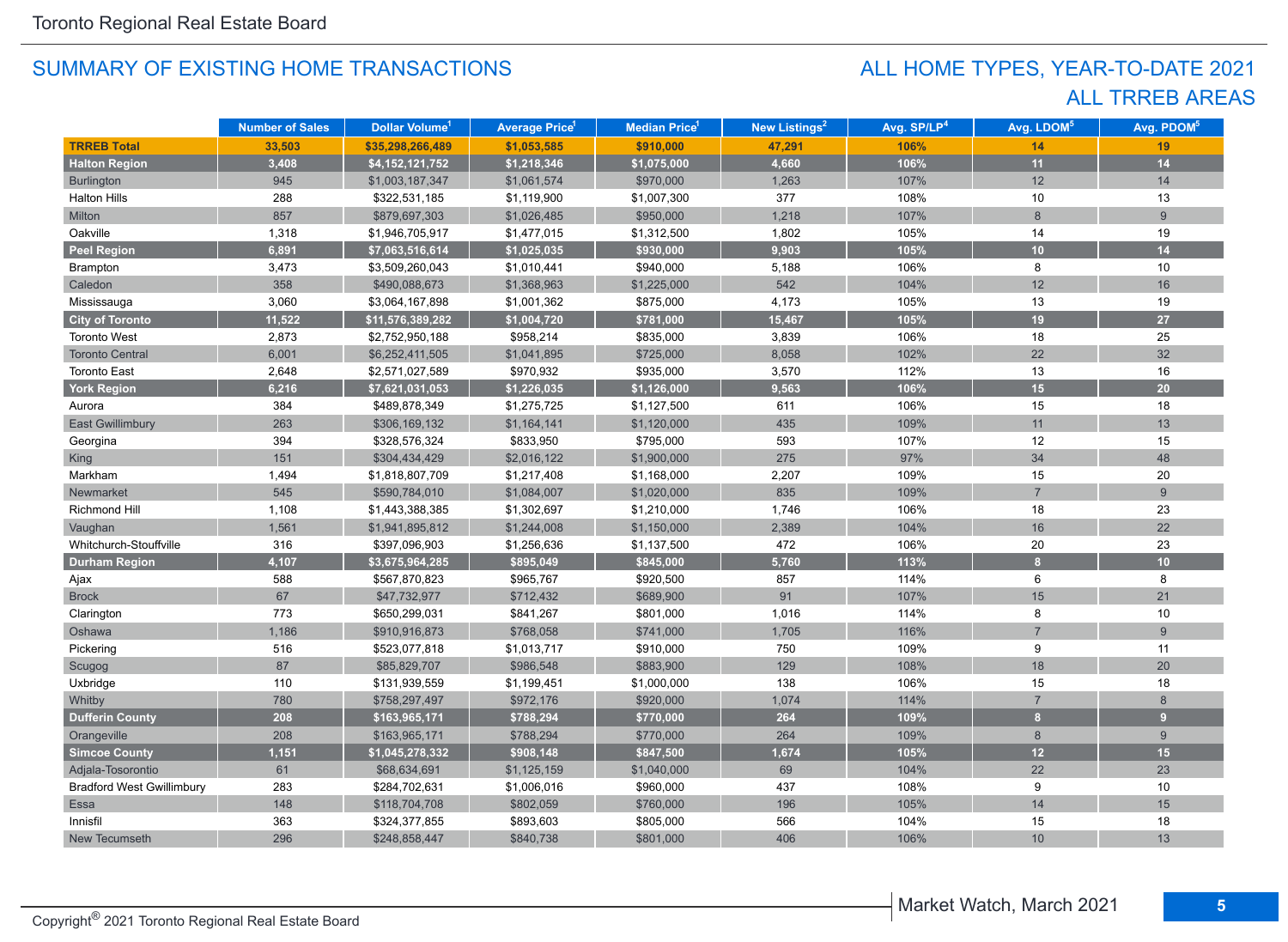## ALL TRREB AREAS ALL HOME TYPES, YEAR-TO-DATE 2021

|                                  | <b>Number of Sales</b> | Dollar Volume <sup>1</sup> | <b>Average Price<sup>1</sup></b> | Median Price <sup>1</sup> | New Listings <sup>2</sup> | Avg. SP/LP <sup>4</sup> | Avg. LDOM <sup>5</sup> | Avg. PDOM <sup>5</sup> |
|----------------------------------|------------------------|----------------------------|----------------------------------|---------------------------|---------------------------|-------------------------|------------------------|------------------------|
| <b>TRREB Total</b>               | 33,503                 | \$35,298,266,489           | \$1,053,585                      | \$910,000                 | 47,291                    | 106%                    | 14                     | 19                     |
| <b>Halton Region</b>             | 3,408                  | \$4,152,121,752            | \$1,218,346                      | \$1,075,000               | 4,660                     | 106%                    | 11                     | 14                     |
| <b>Burlington</b>                | 945                    | \$1,003,187,347            | \$1,061,574                      | \$970,000                 | 1,263                     | 107%                    | 12                     | 14                     |
| <b>Halton Hills</b>              | 288                    | \$322,531,185              | \$1,119,900                      | \$1,007,300               | 377                       | 108%                    | 10                     | 13                     |
| Milton                           | 857                    | \$879,697,303              | \$1,026,485                      | \$950,000                 | 1,218                     | 107%                    | 8                      | 9                      |
| Oakville                         | 1,318                  | \$1,946,705,917            | \$1,477,015                      | \$1,312,500               | 1,802                     | 105%                    | 14                     | 19                     |
| <b>Peel Region</b>               | 6,891                  | \$7,063,516,614            | \$1,025,035                      | \$930,000                 | 9,903                     | 105%                    | 10                     | 14                     |
| Brampton                         | 3,473                  | \$3,509,260,043            | \$1,010,441                      | \$940,000                 | 5,188                     | 106%                    | 8                      | 10                     |
| Caledon                          | 358                    | \$490,088,673              | \$1,368,963                      | \$1,225,000               | 542                       | 104%                    | 12                     | 16                     |
| Mississauga                      | 3,060                  | \$3,064,167,898            | \$1,001,362                      | \$875,000                 | 4,173                     | 105%                    | 13                     | 19                     |
| <b>City of Toronto</b>           | 11,522                 | \$11,576,389,282           | \$1,004,720                      | \$781,000                 | 15,467                    | 105%                    | 19                     | 27                     |
| <b>Toronto West</b>              | 2,873                  | \$2,752,950,188            | \$958,214                        | \$835,000                 | 3,839                     | 106%                    | 18                     | 25                     |
| <b>Toronto Central</b>           | 6,001                  | \$6,252,411,505            | \$1,041,895                      | \$725,000                 | 8,058                     | 102%                    | 22                     | 32                     |
| <b>Toronto East</b>              | 2,648                  | \$2,571,027,589            | \$970,932                        | \$935,000                 | 3,570                     | 112%                    | 13                     | 16                     |
| <b>York Region</b>               | 6,216                  | \$7,621,031,053            | \$1,226,035                      | \$1,126,000               | 9,563                     | 106%                    | 15                     | 20                     |
| Aurora                           | 384                    | \$489,878,349              | \$1,275,725                      | \$1,127,500               | 611                       | 106%                    | 15                     | 18                     |
| <b>East Gwillimbury</b>          | 263                    | \$306,169,132              | \$1,164,141                      | \$1,120,000               | 435                       | 109%                    | 11                     | 13                     |
| Georgina                         | 394                    | \$328,576,324              | \$833,950                        | \$795,000                 | 593                       | 107%                    | 12                     | 15                     |
| King                             | 151                    | \$304,434,429              | \$2,016,122                      | \$1,900,000               | 275                       | 97%                     | 34                     | 48                     |
| Markham                          | 1,494                  | \$1,818,807,709            | \$1,217,408                      | \$1,168,000               | 2,207                     | 109%                    | 15                     | 20                     |
| Newmarket                        | 545                    | \$590,784,010              | \$1,084,007                      | \$1,020,000               | 835                       | 109%                    | $\overline{7}$         | 9                      |
| Richmond Hill                    | 1,108                  | \$1,443,388,385            | \$1,302,697                      | \$1,210,000               | 1,746                     | 106%                    | 18                     | 23                     |
| Vaughan                          | 1,561                  | \$1,941,895,812            | \$1,244,008                      | \$1,150,000               | 2,389                     | 104%                    | 16                     | 22                     |
| Whitchurch-Stouffville           | 316                    | \$397,096,903              | \$1,256,636                      | \$1,137,500               | 472                       | 106%                    | 20                     | 23                     |
| <b>Durham Region</b>             | 4,107                  | \$3,675,964,285            | \$895,049                        | \$845,000                 | 5,760                     | 113%                    | $\mathbf{a}$           | 10                     |
| Ajax                             | 588                    | \$567,870,823              | \$965,767                        | \$920,500                 | 857                       | 114%                    | 6                      | 8                      |
| <b>Brock</b>                     | 67                     | \$47,732,977               | \$712,432                        | \$689,900                 | 91                        | 107%                    | 15                     | 21                     |
| Clarington                       | 773                    | \$650,299,031              | \$841,267                        | \$801,000                 | 1,016                     | 114%                    | 8                      | 10                     |
| Oshawa                           | 1,186                  | \$910,916,873              | \$768,058                        | \$741,000                 | 1,705                     | 116%                    | $\overline{7}$         | 9                      |
| Pickering                        | 516                    | \$523,077,818              | \$1,013,717                      | \$910,000                 | 750                       | 109%                    | 9                      | 11                     |
| Scugog                           | 87                     | \$85,829,707               | \$986,548                        | \$883,900                 | 129                       | 108%                    | 18                     | 20                     |
| Uxbridge                         | 110                    | \$131,939,559              | \$1,199,451                      | \$1,000,000               | 138                       | 106%                    | 15                     | 18                     |
| Whitby                           | 780                    | \$758,297,497              | \$972,176                        | \$920,000                 | 1,074                     | 114%                    | $\overline{7}$         | 8                      |
| <b>Dufferin County</b>           | 208                    | \$163,965,171              | \$788,294                        | \$770,000                 | 264                       | 109%                    | $\bf{8}$               | 9                      |
| Orangeville                      | 208                    | \$163,965,171              | \$788,294                        | \$770,000                 | 264                       | 109%                    | 8                      | 9                      |
| <b>Simcoe County</b>             | 1,151                  | \$1,045,278,332            | \$908,148                        | \$847,500                 | 1,674                     | 105%                    | 12                     | 15                     |
| Adjala-Tosorontio                | 61                     | \$68,634,691               | \$1,125,159                      | \$1,040,000               | 69                        | 104%                    | 22                     | 23                     |
| <b>Bradford West Gwillimbury</b> | 283                    | \$284,702,631              | \$1,006,016                      | \$960,000                 | 437                       | 108%                    | 9                      | 10                     |
| <b>Essa</b>                      | 148                    | \$118,704,708              | \$802,059                        | \$760,000                 | 196                       | 105%                    | 14                     | 15                     |
| Innisfil                         | 363                    | \$324,377,855              | \$893,603                        | \$805,000                 | 566                       | 104%                    | 15                     | 18                     |
| New Tecumseth                    | 296                    | \$248,858,447              | \$840,738                        | \$801,000                 | 406                       | 106%                    | 10                     | 13                     |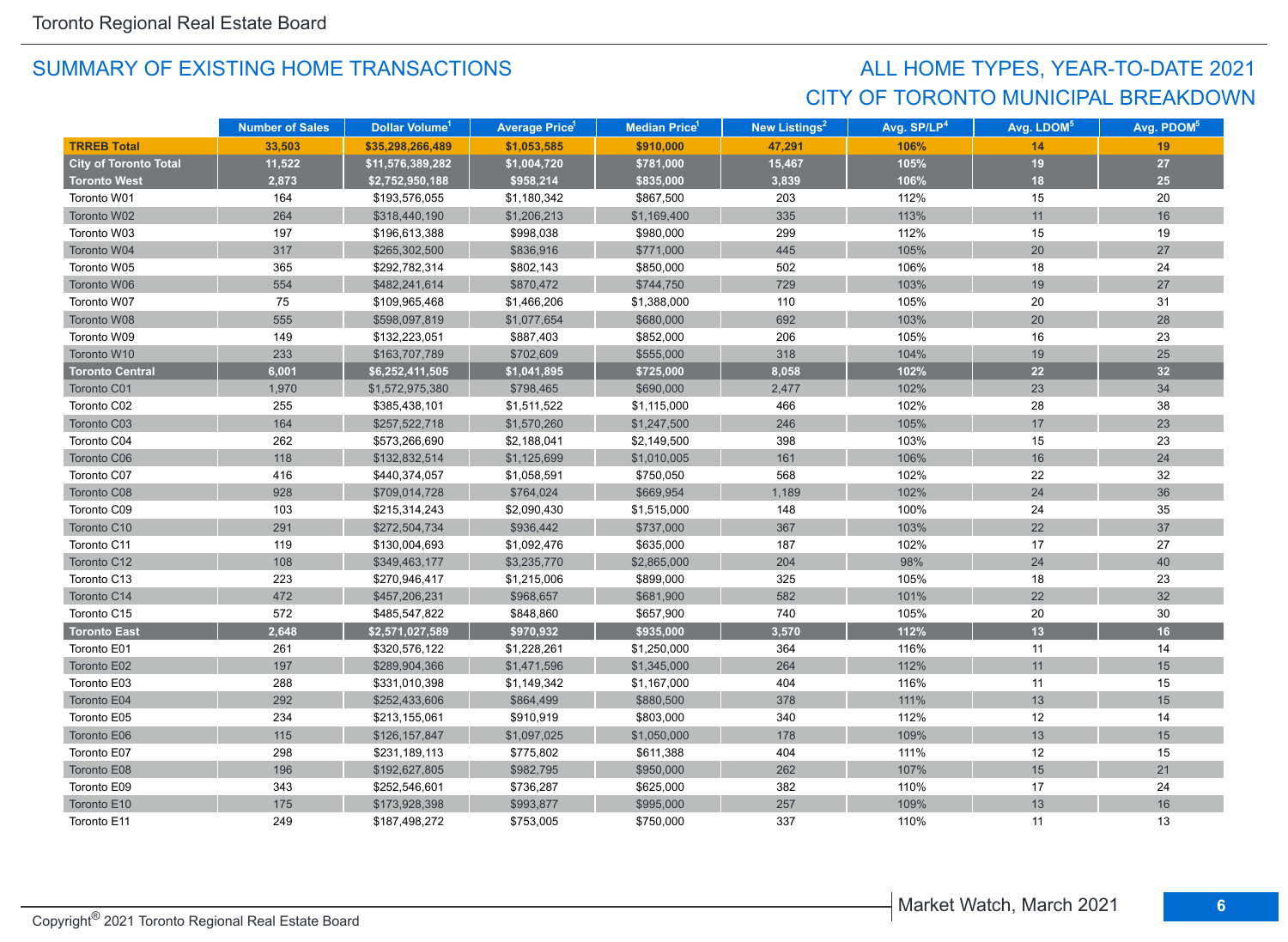## CITY OF TORONTO MUNICIPAL BREAKDOWN ALL HOME TYPES, YEAR-TO-DATE 2021

|                              | <b>Number of Sales</b> | Dollar Volume <sup>1</sup> | <b>Average Price</b> 1 | <b>Median Price</b> <sup>1</sup> | New Listings <sup>2</sup> | Avg. SP/LP <sup>4</sup> | Avg. LDOM <sup>5</sup> | Avg. PDOM <sup>5</sup> |
|------------------------------|------------------------|----------------------------|------------------------|----------------------------------|---------------------------|-------------------------|------------------------|------------------------|
| <b>TRREB Total</b>           | 33.503                 | \$35,298,266,489           | \$1,053,585            | \$910,000                        | 47,291                    | 106%                    | 14                     | 19                     |
| <b>City of Toronto Total</b> | 11,522                 | \$11,576,389,282           | \$1,004,720            | \$781,000                        | 15,467                    | 105%                    | 19                     | $27\,$                 |
| <b>Toronto West</b>          | 2,873                  | \$2,752,950,188            | \$958,214              | \$835,000                        | 3,839                     | 106%                    | 18                     | 25                     |
| Toronto W01                  | 164                    | \$193,576,055              | \$1,180,342            | \$867,500                        | 203                       | 112%                    | 15                     | 20                     |
| Toronto W02                  | 264                    | \$318,440,190              | \$1,206,213            | \$1,169,400                      | 335                       | 113%                    | 11                     | 16                     |
| Toronto W03                  | 197                    | \$196,613,388              | \$998,038              | \$980,000                        | 299                       | 112%                    | 15                     | 19                     |
| Toronto W04                  | 317                    | \$265,302,500              | \$836,916              | \$771,000                        | 445                       | 105%                    | 20                     | 27                     |
| Toronto W05                  | 365                    | \$292,782,314              | \$802,143              | \$850,000                        | 502                       | 106%                    | 18                     | 24                     |
| Toronto W06                  | 554                    | \$482,241,614              | \$870,472              | \$744,750                        | 729                       | 103%                    | 19                     | 27                     |
| Toronto W07                  | 75                     | \$109,965,468              | \$1,466,206            | \$1,388,000                      | 110                       | 105%                    | 20                     | 31                     |
| Toronto W08                  | 555                    | \$598,097,819              | \$1,077,654            | \$680,000                        | 692                       | 103%                    | 20                     | 28                     |
| Toronto W09                  | 149                    | \$132,223,051              | \$887,403              | \$852,000                        | 206                       | 105%                    | 16                     | 23                     |
| Toronto W10                  | 233                    | \$163,707,789              | \$702,609              | \$555,000                        | 318                       | 104%                    | 19                     | 25                     |
| <b>Toronto Central</b>       | 6,001                  | \$6,252,411,505            | \$1,041,895            | \$725,000                        | 8,058                     | 102%                    | 22                     | 32 <sup>°</sup>        |
| Toronto C01                  | 1,970                  | \$1,572,975,380            | \$798,465              | \$690,000                        | 2,477                     | 102%                    | 23                     | 34                     |
| Toronto C02                  | 255                    | \$385,438,101              | \$1,511,522            | \$1,115,000                      | 466                       | 102%                    | 28                     | 38                     |
| Toronto C03                  | 164                    | \$257,522,718              | \$1,570,260            | \$1,247,500                      | 246                       | 105%                    | 17                     | 23                     |
| Toronto C04                  | 262                    | \$573,266,690              | \$2,188,041            | \$2,149,500                      | 398                       | 103%                    | 15                     | 23                     |
| Toronto C06                  | 118                    | \$132,832,514              | \$1,125,699            | \$1,010,005                      | 161                       | 106%                    | 16                     | 24                     |
| Toronto C07                  | 416                    | \$440,374,057              | \$1,058,591            | \$750,050                        | 568                       | 102%                    | 22                     | 32                     |
| Toronto C08                  | 928                    | \$709,014,728              | \$764,024              | \$669,954                        | 1,189                     | 102%                    | 24                     | 36                     |
| Toronto C09                  | 103                    | \$215,314,243              | \$2,090,430            | \$1,515,000                      | 148                       | 100%                    | 24                     | 35                     |
| Toronto C10                  | 291                    | \$272,504,734              | \$936,442              | \$737,000                        | 367                       | 103%                    | 22                     | 37                     |
| Toronto C11                  | 119                    | \$130,004,693              | \$1,092,476            | \$635,000                        | 187                       | 102%                    | 17                     | 27                     |
| Toronto C12                  | 108                    | \$349,463,177              | \$3,235,770            | \$2,865,000                      | 204                       | 98%                     | 24                     | $40\,$                 |
| Toronto C13                  | 223                    | \$270,946,417              | \$1,215,006            | \$899,000                        | 325                       | 105%                    | 18                     | 23                     |
| Toronto C14                  | 472                    | \$457,206,231              | \$968,657              | \$681,900                        | 582                       | 101%                    | 22                     | 32                     |
| Toronto C15                  | 572                    | \$485,547,822              | \$848,860              | \$657,900                        | 740                       | 105%                    | 20                     | 30                     |
| <b>Toronto East</b>          | 2,648                  | \$2,571,027,589            | \$970,932              | \$935,000                        | 3,570                     | 112%                    | 13                     | 16                     |
| Toronto E01                  | 261                    | \$320,576,122              | \$1,228,261            | \$1,250,000                      | 364                       | 116%                    | 11                     | 14                     |
| Toronto E02                  | 197                    | \$289,904,366              | \$1,471,596            | \$1,345,000                      | 264                       | 112%                    | 11                     | 15                     |
| Toronto E03                  | 288                    | \$331,010,398              | \$1,149,342            | \$1,167,000                      | 404                       | 116%                    | 11                     | 15                     |
| Toronto E04                  | 292                    | \$252,433,606              | \$864,499              | \$880,500                        | 378                       | 111%                    | 13                     | 15                     |
| Toronto E05                  | 234                    | \$213,155,061              | \$910,919              | \$803,000                        | 340                       | 112%                    | 12                     | 14                     |
| Toronto E06                  | 115                    | \$126,157,847              | \$1,097,025            | \$1,050,000                      | 178                       | 109%                    | 13                     | 15                     |
| Toronto E07                  | 298                    | \$231,189,113              | \$775,802              | \$611,388                        | 404                       | 111%                    | 12                     | 15                     |
| Toronto E08                  | 196                    | \$192,627,805              | \$982,795              | \$950,000                        | 262                       | 107%                    | 15                     | 21                     |
| Toronto E09                  | 343                    | \$252,546,601              | \$736,287              | \$625,000                        | 382                       | 110%                    | 17                     | 24                     |
| Toronto E10                  | 175                    | \$173,928,398              | \$993,877              | \$995,000                        | 257                       | 109%                    | 13                     | 16                     |
| Toronto E11                  | 249                    | \$187,498,272              | \$753,005              | \$750,000                        | 337                       | 110%                    | 11                     | 13                     |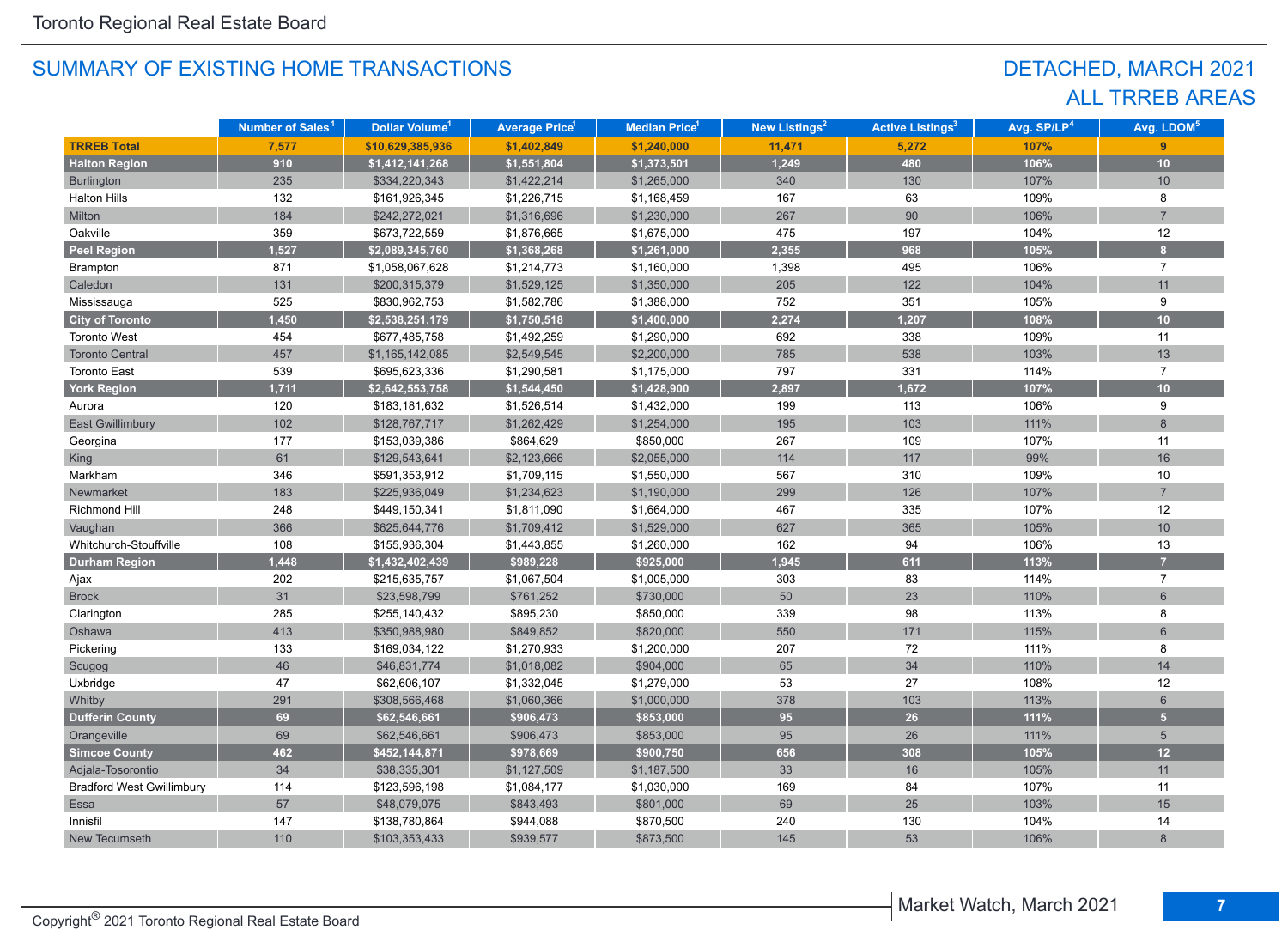## DETACHED, MARCH 2021 ALL TRREB AREAS

|                                  | Number of Sales <sup>1</sup> | Dollar Volume <sup>1</sup> | <b>Average Price<sup>1</sup></b> | Median Price <sup>1</sup> | New Listings <sup>2</sup> | <b>Active Listings<sup>3</sup></b> | Avg. SP/LP <sup>4</sup> | Avg. LDOM <sup>5</sup> |
|----------------------------------|------------------------------|----------------------------|----------------------------------|---------------------------|---------------------------|------------------------------------|-------------------------|------------------------|
| <b>TRREB Total</b>               | 7,577                        | \$10,629,385,936           | \$1,402,849                      | \$1,240,000               | 11,471                    | 5,272                              | 107%                    | 9                      |
| <b>Halton Region</b>             | 910                          | \$1,412,141,268            | \$1,551,804                      | \$1,373,501               | 1,249                     | 480                                | 106%                    | 10                     |
| <b>Burlington</b>                | 235                          | \$334,220,343              | \$1,422,214                      | \$1,265,000               | 340                       | 130                                | 107%                    | 10                     |
| <b>Halton Hills</b>              | 132                          | \$161,926,345              | \$1,226,715                      | \$1,168,459               | 167                       | 63                                 | 109%                    | 8                      |
| Milton                           | 184                          | \$242,272,021              | \$1,316,696                      | \$1,230,000               | 267                       | 90                                 | 106%                    | $\overline{7}$         |
| Oakville                         | 359                          | \$673,722,559              | \$1,876,665                      | \$1,675,000               | 475                       | 197                                | 104%                    | 12                     |
| <b>Peel Region</b>               | 1,527                        | \$2,089,345,760            | \$1,368,268                      | \$1,261,000               | 2,355                     | 968                                | 105%                    | $\bf{8}$               |
| Brampton                         | 871                          | \$1,058,067,628            | \$1,214,773                      | \$1,160,000               | 1,398                     | 495                                | 106%                    | $\overline{7}$         |
| Caledon                          | 131                          | \$200,315,379              | \$1,529,125                      | \$1,350,000               | 205                       | 122                                | 104%                    | 11                     |
| Mississauga                      | 525                          | \$830,962,753              | \$1,582,786                      | \$1,388,000               | 752                       | 351                                | 105%                    | 9                      |
| <b>City of Toronto</b>           | 1,450                        | \$2,538,251,179            | \$1,750,518                      | \$1,400,000               | 2,274                     | 1,207                              | 108%                    | 10                     |
| <b>Toronto West</b>              | 454                          | \$677,485,758              | \$1,492,259                      | \$1,290,000               | 692                       | 338                                | 109%                    | 11                     |
| <b>Toronto Central</b>           | 457                          | \$1,165,142,085            | \$2,549,545                      | \$2,200,000               | 785                       | 538                                | 103%                    | 13                     |
| <b>Toronto East</b>              | 539                          | \$695,623,336              | \$1,290,581                      | \$1,175,000               | 797                       | 331                                | 114%                    | $\overline{7}$         |
| <b>York Region</b>               | 1,711                        | \$2,642,553,758            | \$1,544,450                      | \$1,428,900               | 2,897                     | 1,672                              | 107%                    | 10                     |
| Aurora                           | 120                          | \$183,181,632              | \$1,526,514                      | \$1,432,000               | 199                       | 113                                | 106%                    | 9                      |
| <b>East Gwillimbury</b>          | 102                          | \$128,767,717              | \$1,262,429                      | \$1,254,000               | 195                       | 103                                | 111%                    | 8                      |
| Georgina                         | 177                          | \$153,039,386              | \$864,629                        | \$850,000                 | 267                       | 109                                | 107%                    | 11                     |
| King                             | 61                           | \$129,543,641              | \$2,123,666                      | \$2,055,000               | 114                       | 117                                | 99%                     | 16                     |
| Markham                          | 346                          | \$591,353,912              | \$1,709,115                      | \$1,550,000               | 567                       | 310                                | 109%                    | 10                     |
| Newmarket                        | 183                          | \$225,936,049              | \$1,234,623                      | \$1,190,000               | 299                       | 126                                | 107%                    | $\overline{7}$         |
| Richmond Hill                    | 248                          | \$449,150,341              | \$1,811,090                      | \$1,664,000               | 467                       | 335                                | 107%                    | 12                     |
| Vaughan                          | 366                          | \$625,644,776              | \$1,709,412                      | \$1,529,000               | 627                       | 365                                | 105%                    | $10$                   |
| Whitchurch-Stouffville           | 108                          | \$155,936,304              | \$1,443,855                      | \$1,260,000               | 162                       | 94                                 | 106%                    | 13                     |
| <b>Durham Region</b>             | 1,448                        | \$1,432,402,439            | \$989,228                        | \$925,000                 | 1,945                     | 611                                | 113%                    | $\overline{7}$         |
| Ajax                             | 202                          | \$215,635,757              | \$1,067,504                      | \$1,005,000               | 303                       | 83                                 | 114%                    | $\overline{7}$         |
| <b>Brock</b>                     | 31                           | \$23,598,799               | \$761,252                        | \$730,000                 | 50                        | 23                                 | 110%                    | $6\phantom{1}$         |
| Clarington                       | 285                          | \$255,140,432              | \$895,230                        | \$850,000                 | 339                       | 98                                 | 113%                    | 8                      |
| Oshawa                           | 413                          | \$350,988,980              | \$849,852                        | \$820,000                 | 550                       | $171$                              | 115%                    | 6                      |
| Pickering                        | 133                          | \$169,034,122              | \$1,270,933                      | \$1,200,000               | 207                       | 72                                 | 111%                    | 8                      |
| Scugog                           | 46                           | \$46,831,774               | \$1,018,082                      | \$904,000                 | 65                        | 34                                 | 110%                    | 14                     |
| Uxbridge                         | 47                           | \$62,606,107               | \$1,332,045                      | \$1,279,000               | 53                        | 27                                 | 108%                    | 12                     |
| Whitby                           | 291                          | \$308,566,468              | \$1,060,366                      | \$1,000,000               | 378                       | 103                                | 113%                    | $6\phantom{1}$         |
| <b>Dufferin County</b>           | 69                           | \$62,546,661               | \$906,473                        | \$853,000                 | 95                        | 26                                 | 111%                    | 5 <sup>5</sup>         |
| Orangeville                      | 69                           | \$62,546,661               | \$906,473                        | \$853,000                 | 95                        | 26                                 | 111%                    | $5\overline{)}$        |
| <b>Simcoe County</b>             | 462                          | \$452,144,871              | \$978,669                        | \$900,750                 | 656                       | 308                                | 105%                    | 12                     |
| Adjala-Tosorontio                | 34                           | \$38,335,301               | \$1,127,509                      | \$1,187,500               | 33                        | 16                                 | 105%                    | 11                     |
| <b>Bradford West Gwillimbury</b> | 114                          | \$123,596,198              | \$1,084,177                      | \$1,030,000               | 169                       | 84                                 | 107%                    | 11                     |
| <b>Essa</b>                      | 57                           | \$48,079,075               | \$843,493                        | \$801,000                 | 69                        | 25                                 | 103%                    | 15                     |
| Innisfil                         | 147                          | \$138,780,864              | \$944,088                        | \$870,500                 | 240                       | 130                                | 104%                    | 14                     |
| New Tecumseth                    | 110                          | \$103,353,433              | \$939,577                        | \$873,500                 | 145                       | 53                                 | 106%                    | 8                      |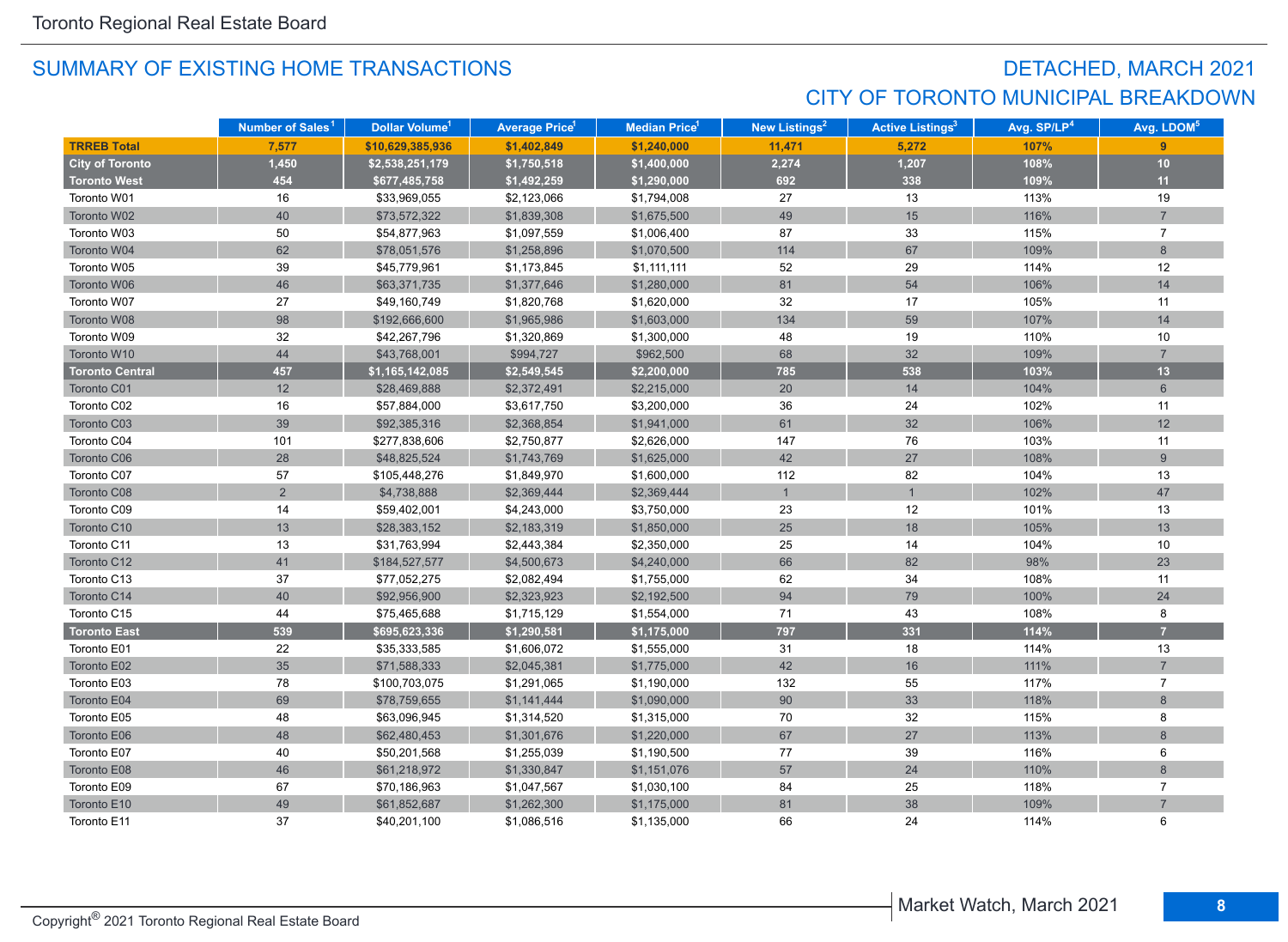## DETACHED, MARCH 2021 CITY OF TORONTO MUNICIPAL BREAKDOWN

|                        | Number of Sales <sup>1</sup> | Dollar Volume <sup>1</sup> | <b>Average Price</b> | <b>Median Price</b> <sup>1</sup> | <b>New Listings<sup>2</sup></b> | <b>Active Listings<sup>3</sup></b> | Avg. SP/LP <sup>4</sup> | Avg. LDOM <sup>5</sup> |
|------------------------|------------------------------|----------------------------|----------------------|----------------------------------|---------------------------------|------------------------------------|-------------------------|------------------------|
| <b>TRREB Total</b>     | 7,577                        | \$10,629,385,936           | \$1,402,849          | \$1,240,000                      | 11,471                          | 5,272                              | 107%                    | 9                      |
| <b>City of Toronto</b> | 1,450                        | \$2,538,251,179            | \$1,750,518          | \$1,400,000                      | 2,274                           | 1,207                              | 108%                    | 10                     |
| <b>Toronto West</b>    | 454                          | \$677,485,758              | \$1,492,259          | \$1,290,000                      | 692                             | 338                                | 109%                    | 11                     |
| Toronto W01            | 16                           | \$33,969,055               | \$2,123,066          | \$1,794,008                      | 27                              | 13                                 | 113%                    | 19                     |
| Toronto W02            | 40                           | \$73,572,322               | \$1,839,308          | \$1,675,500                      | 49                              | 15                                 | 116%                    | $\overline{7}$         |
| Toronto W03            | 50                           | \$54,877,963               | \$1,097,559          | \$1,006,400                      | 87                              | 33                                 | 115%                    | $\overline{7}$         |
| Toronto W04            | 62                           | \$78,051,576               | \$1,258,896          | \$1,070,500                      | 114                             | 67                                 | 109%                    | 8                      |
| Toronto W05            | 39                           | \$45,779,961               | \$1,173,845          | \$1,111,111                      | 52                              | 29                                 | 114%                    | 12                     |
| Toronto W06            | 46                           | \$63,371,735               | \$1,377,646          | \$1,280,000                      | 81                              | 54                                 | 106%                    | 14                     |
| Toronto W07            | 27                           | \$49,160,749               | \$1,820,768          | \$1,620,000                      | 32                              | 17                                 | 105%                    | 11                     |
| Toronto W08            | 98                           | \$192,666,600              | \$1,965,986          | \$1,603,000                      | 134                             | 59                                 | 107%                    | 14                     |
| Toronto W09            | 32                           | \$42,267,796               | \$1,320,869          | \$1,300,000                      | 48                              | 19                                 | 110%                    | 10                     |
| Toronto W10            | 44                           | \$43,768,001               | \$994,727            | \$962,500                        | 68                              | 32                                 | 109%                    | $\overline{7}$         |
| <b>Toronto Central</b> | 457                          | \$1,165,142,085            | \$2,549,545          | \$2,200,000                      | 785                             | 538                                | 103%                    | 13                     |
| Toronto C01            | 12                           | \$28,469,888               | \$2,372,491          | \$2,215,000                      | 20                              | 14                                 | 104%                    | 6                      |
| Toronto C02            | 16                           | \$57,884,000               | \$3,617,750          | \$3,200,000                      | 36                              | 24                                 | 102%                    | 11                     |
| Toronto C03            | 39                           | \$92,385,316               | \$2,368,854          | \$1,941,000                      | 61                              | 32                                 | 106%                    | 12                     |
| Toronto C04            | 101                          | \$277,838,606              | \$2,750,877          | \$2,626,000                      | 147                             | 76                                 | 103%                    | 11                     |
| Toronto C06            | 28                           | \$48,825,524               | \$1,743,769          | \$1,625,000                      | 42                              | 27                                 | 108%                    | 9                      |
| Toronto C07            | 57                           | \$105,448,276              | \$1,849,970          | \$1,600,000                      | 112                             | 82                                 | 104%                    | 13                     |
| Toronto C08            | $\overline{2}$               | \$4,738,888                | \$2,369,444          | \$2,369,444                      | $\overline{1}$                  | $\overline{1}$                     | 102%                    | 47                     |
| Toronto C09            | 14                           | \$59,402,001               | \$4,243,000          | \$3,750,000                      | 23                              | 12                                 | 101%                    | 13                     |
| Toronto C10            | 13                           | \$28,383,152               | \$2,183,319          | \$1,850,000                      | 25                              | 18                                 | 105%                    | 13                     |
| Toronto C11            | 13                           | \$31,763,994               | \$2,443,384          | \$2,350,000                      | 25                              | 14                                 | 104%                    | 10                     |
| Toronto C12            | 41                           | \$184,527,577              | \$4,500,673          | \$4,240,000                      | 66                              | 82                                 | 98%                     | 23                     |
| Toronto C13            | 37                           | \$77,052,275               | \$2,082,494          | \$1,755,000                      | 62                              | 34                                 | 108%                    | 11                     |
| Toronto C14            | 40                           | \$92,956,900               | \$2,323,923          | \$2,192,500                      | 94                              | 79                                 | 100%                    | 24                     |
| Toronto C15            | 44                           | \$75,465,688               | \$1,715,129          | \$1,554,000                      | 71                              | 43                                 | 108%                    | 8                      |
| <b>Toronto East</b>    | 539                          | \$695,623,336              | \$1,290,581          | \$1,175,000                      | 797                             | 331                                | 114%                    | 7                      |
| Toronto E01            | 22                           | \$35,333,585               | \$1,606,072          | \$1,555,000                      | 31                              | 18                                 | 114%                    | 13                     |
| Toronto E02            | 35                           | \$71,588,333               | \$2,045,381          | \$1,775,000                      | 42                              | 16                                 | 111%                    | $\overline{7}$         |
| Toronto E03            | 78                           | \$100,703,075              | \$1,291,065          | \$1,190,000                      | 132                             | 55                                 | 117%                    | $\overline{7}$         |
| Toronto E04            | 69                           | \$78,759,655               | \$1,141,444          | \$1,090,000                      | 90                              | 33                                 | 118%                    | 8                      |
| Toronto E05            | 48                           | \$63,096,945               | \$1,314,520          | \$1,315,000                      | 70                              | 32                                 | 115%                    | 8                      |
| Toronto E06            | 48                           | \$62,480,453               | \$1,301,676          | \$1,220,000                      | 67                              | 27                                 | 113%                    | 8                      |
| Toronto E07            | 40                           | \$50,201,568               | \$1,255,039          | \$1,190,500                      | 77                              | 39                                 | 116%                    | 6                      |
| Toronto E08            | 46                           | \$61,218,972               | \$1,330,847          | \$1,151,076                      | 57                              | 24                                 | 110%                    | 8                      |
| Toronto E09            | 67                           | \$70,186,963               | \$1,047,567          | \$1,030,100                      | 84                              | 25                                 | 118%                    | $\overline{7}$         |
| Toronto E10            | 49                           | \$61,852,687               | \$1,262,300          | \$1,175,000                      | 81                              | 38                                 | 109%                    | $\overline{7}$         |
| Toronto E11            | 37                           | \$40,201,100               | \$1,086,516          | \$1,135,000                      | 66                              | 24                                 | 114%                    | 6                      |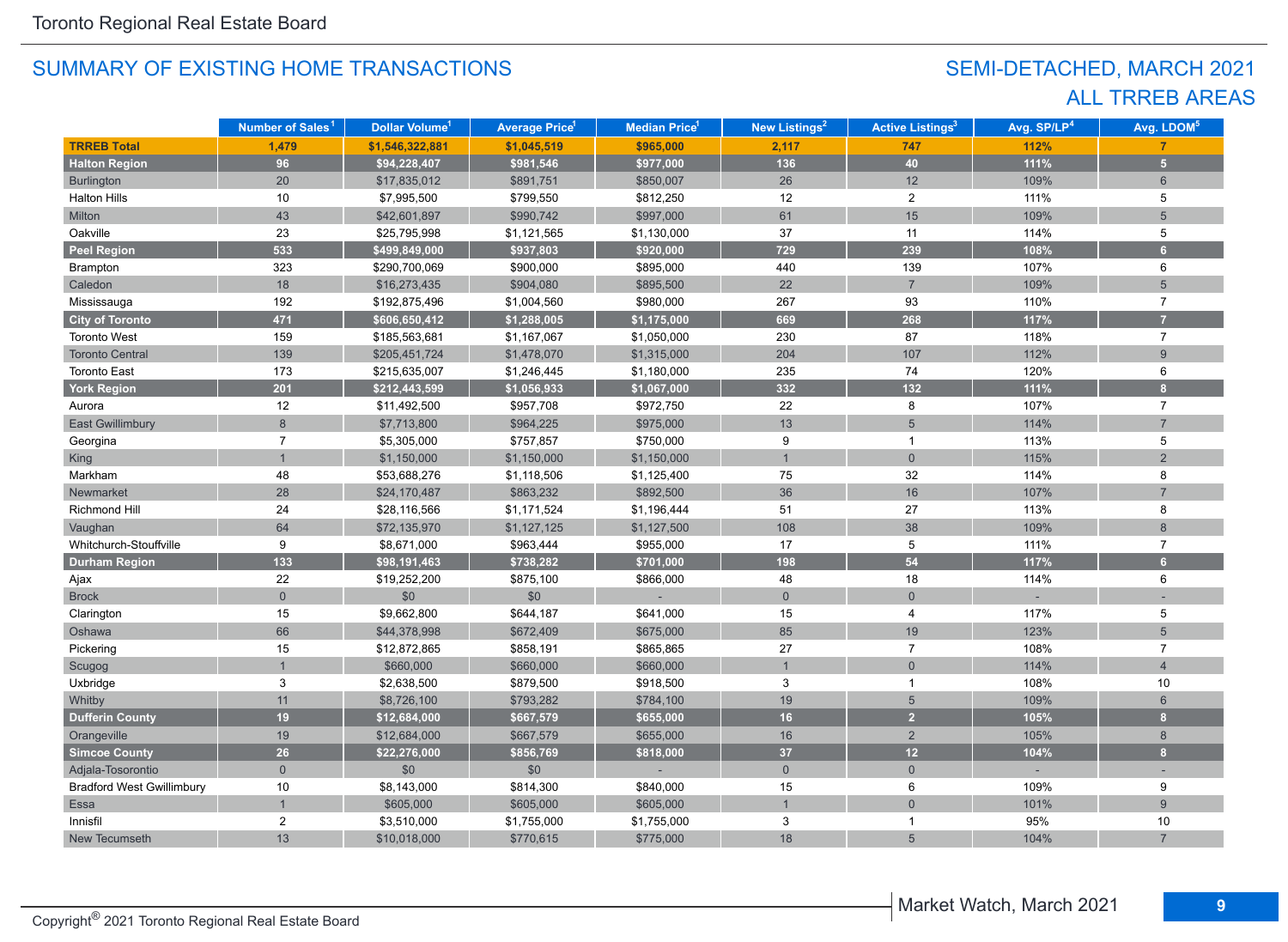## SEMI-DETACHED, MARCH 2021 ALL TRREB AREAS

|                                  | Number of Sales <sup>1</sup> | Dollar Volume <sup>1</sup> | <b>Average Price<sup>1</sup></b> | Median Price <sup>1</sup> | New Listings <sup>2</sup> | <b>Active Listings<sup>3</sup></b> | Avg. SP/LP <sup>4</sup> | Avg. LDOM <sup>5</sup>  |
|----------------------------------|------------------------------|----------------------------|----------------------------------|---------------------------|---------------------------|------------------------------------|-------------------------|-------------------------|
| <b>TRREB Total</b>               | 1,479                        | \$1,546,322,881            | \$1,045,519                      | \$965,000                 | 2,117                     | 747                                | 112%                    |                         |
| <b>Halton Region</b>             | 96                           | \$94,228,407               | \$981,546                        | \$977,000                 | 136                       | 40                                 | 111%                    | $\overline{\mathbf{5}}$ |
| <b>Burlington</b>                | 20                           | \$17,835,012               | \$891,751                        | \$850,007                 | 26                        | 12                                 | 109%                    | 6                       |
| <b>Halton Hills</b>              | 10                           | \$7,995,500                | \$799,550                        | \$812,250                 | 12                        | $\overline{2}$                     | 111%                    | 5                       |
| Milton                           | 43                           | \$42,601,897               | \$990,742                        | \$997,000                 | 61                        | 15                                 | 109%                    | 5                       |
| Oakville                         | 23                           | \$25,795,998               | \$1,121,565                      | \$1,130,000               | 37                        | 11                                 | 114%                    | 5                       |
| <b>Peel Region</b>               | 533                          | \$499,849,000              | \$937,803                        | \$920,000                 | 729                       | 239                                | 108%                    | $6\phantom{a}$          |
| Brampton                         | 323                          | \$290,700,069              | \$900,000                        | \$895,000                 | 440                       | 139                                | 107%                    | 6                       |
| Caledon                          | 18                           | \$16,273,435               | \$904,080                        | \$895,500                 | 22                        | $\overline{7}$                     | 109%                    | 5                       |
| Mississauga                      | 192                          | \$192,875,496              | \$1,004,560                      | \$980,000                 | 267                       | 93                                 | 110%                    | $\overline{7}$          |
| <b>City of Toronto</b>           | 471                          | \$606,650,412              | \$1,288,005                      | \$1,175,000               | 669                       | 268                                | 117%                    | 7                       |
| <b>Toronto West</b>              | 159                          | \$185,563,681              | \$1,167,067                      | \$1,050,000               | 230                       | 87                                 | 118%                    | $\overline{7}$          |
| <b>Toronto Central</b>           | 139                          | \$205,451,724              | \$1,478,070                      | \$1,315,000               | 204                       | 107                                | 112%                    | $\overline{9}$          |
| <b>Toronto East</b>              | 173                          | \$215,635,007              | \$1,246,445                      | \$1,180,000               | 235                       | 74                                 | 120%                    | 6                       |
| <b>York Region</b>               | 201                          | \$212,443,599              | \$1,056,933                      | \$1,067,000               | 332                       | 132                                | 111%                    | $\overline{a}$          |
| Aurora                           | 12                           | \$11,492,500               | \$957,708                        | \$972,750                 | 22                        | 8                                  | 107%                    | $\overline{7}$          |
| East Gwillimbury                 | 8                            | \$7,713,800                | \$964,225                        | \$975,000                 | 13                        | 5                                  | 114%                    | $\overline{7}$          |
| Georgina                         | $\overline{7}$               | \$5,305,000                | \$757,857                        | \$750,000                 | 9                         | $\mathbf 1$                        | 113%                    | 5                       |
| King                             |                              | \$1,150,000                | \$1,150,000                      | \$1,150,000               | $\overline{1}$            | $\Omega$                           | 115%                    | $\overline{2}$          |
| Markham                          | 48                           | \$53,688,276               | \$1,118,506                      | \$1,125,400               | 75                        | 32                                 | 114%                    | 8                       |
| Newmarket                        | 28                           | \$24,170,487               | \$863,232                        | \$892,500                 | 36                        | 16                                 | 107%                    |                         |
| Richmond Hill                    | 24                           | \$28,116,566               | \$1,171,524                      | \$1,196,444               | 51                        | 27                                 | 113%                    | 8                       |
| Vaughan                          | 64                           | \$72,135,970               | \$1,127,125                      | \$1,127,500               | 108                       | 38                                 | 109%                    | $\,8\,$                 |
| Whitchurch-Stouffville           | 9                            | \$8,671,000                | \$963,444                        | \$955,000                 | 17                        | 5                                  | 111%                    | $\overline{7}$          |
| <b>Durham Region</b>             | 133                          | \$98,191,463               | \$738,282                        | \$701,000                 | 198                       | 54                                 | 117%                    | $6\overline{6}$         |
| Ajax                             | 22                           | \$19,252,200               | \$875,100                        | \$866,000                 | 48                        | 18                                 | 114%                    | 6                       |
| <b>Brock</b>                     | $\overline{0}$               | \$0                        | \$0                              |                           | $\mathbf{0}$              | $\mathbf{0}$                       |                         |                         |
| Clarington                       | $15\,$                       | \$9,662,800                | \$644,187                        | \$641,000                 | 15                        | 4                                  | 117%                    | 5                       |
| Oshawa                           | 66                           | \$44,378,998               | \$672,409                        | \$675,000                 | 85                        | 19                                 | 123%                    | 5                       |
| Pickering                        | 15                           | \$12,872,865               | \$858,191                        | \$865,865                 | $27\,$                    | $\overline{7}$                     | 108%                    | $\overline{7}$          |
| Scugog                           |                              | \$660,000                  | \$660,000                        | \$660,000                 | $\mathbf{1}$              | $\mathbf{0}$                       | 114%                    | $\overline{4}$          |
| Uxbridge                         | 3                            | \$2,638,500                | \$879,500                        | \$918,500                 | 3                         | $\mathbf{1}$                       | 108%                    | 10                      |
| Whitby                           | 11                           | \$8,726,100                | \$793,282                        | \$784,100                 | 19                        | 5                                  | 109%                    | $6\phantom{1}$          |
| <b>Dufferin County</b>           | 19                           | \$12,684,000               | \$667,579                        | \$655,000                 | 16                        | $\overline{2}$                     | 105%                    | $\mathbf{8}$            |
| Orangeville                      | 19                           | \$12,684,000               | \$667,579                        | \$655,000                 | 16                        | $\overline{2}$                     | 105%                    | $\,8\,$                 |
| <b>Simcoe County</b>             | 26                           | \$22,276,000               | \$856,769                        | \$818,000                 | 37                        | 12                                 | 104%                    | $\mathbf{8}$            |
| Adjala-Tosorontio                | $\mathbf{0}$                 | \$0                        | \$0                              |                           | $\overline{0}$            | $\mathbf{0}$                       |                         |                         |
| <b>Bradford West Gwillimbury</b> | 10                           | \$8,143,000                | \$814,300                        | \$840,000                 | 15                        | $\,6$                              | 109%                    | 9                       |
| Essa                             | $\mathbf{1}$                 | \$605,000                  | \$605,000                        | \$605,000                 | $\overline{1}$            | $\overline{0}$                     | 101%                    | $\overline{9}$          |
| Innisfil                         | 2                            | \$3,510,000                | \$1,755,000                      | \$1,755,000               | 3                         | -1                                 | 95%                     | 10                      |
| New Tecumseth                    | 13                           | \$10,018,000               | \$770,615                        | \$775,000                 | 18                        | 5                                  | 104%                    | $\overline{7}$          |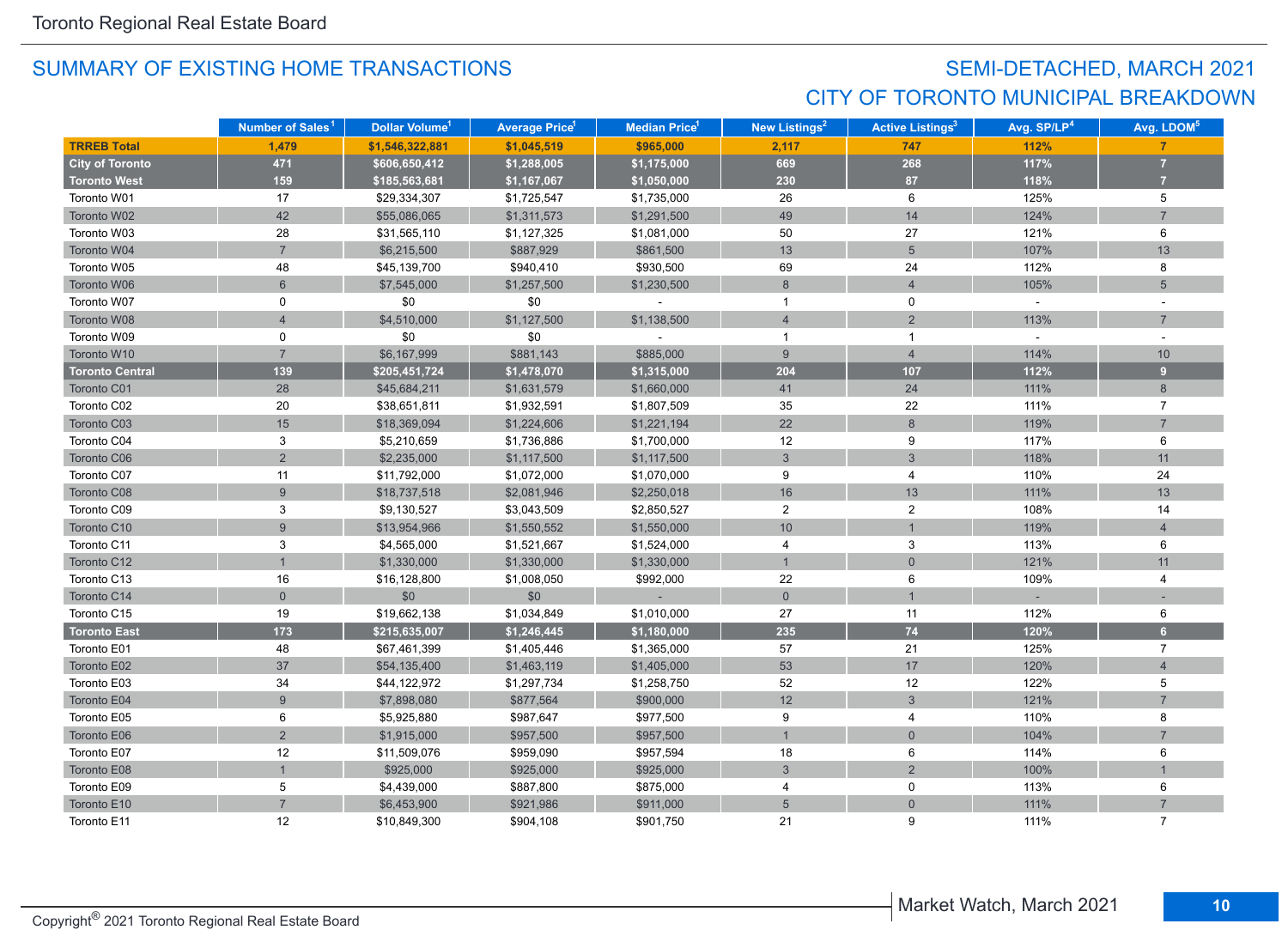## SEMI-DETACHED, MARCH 2021 CITY OF TORONTO MUNICIPAL BREAKDOWN

|                        | Number of Sales <sup>1</sup> | Dollar Volume <sup>1</sup> | <b>Average Price</b> 1 | Median Price <sup>1</sup> | <b>New Listings<sup>2</sup></b> | <b>Active Listings<sup>3</sup></b> | Avg. SP/LP <sup>4</sup> | Avg. LDOM <sup>5</sup> |
|------------------------|------------------------------|----------------------------|------------------------|---------------------------|---------------------------------|------------------------------------|-------------------------|------------------------|
| <b>TRREB Total</b>     | 1,479                        | \$1,546,322,881            | \$1,045,519            | \$965,000                 | 2,117                           | 747                                | 112%                    |                        |
| <b>City of Toronto</b> | 471                          | \$606,650,412              | \$1,288,005            | \$1,175,000               | 669                             | 268                                | 117%                    | $\overline{7}$         |
| <b>Toronto West</b>    | 159                          | \$185,563,681              | \$1,167,067            | \$1,050,000               | 230                             | 87                                 | 118%                    | $\overline{7}$         |
| Toronto W01            | 17                           | \$29,334,307               | \$1,725,547            | \$1,735,000               | 26                              | 6                                  | 125%                    | 5                      |
| Toronto W02            | 42                           | \$55,086,065               | \$1,311,573            | \$1,291,500               | 49                              | 14                                 | 124%                    | $\overline{7}$         |
| Toronto W03            | 28                           | \$31,565,110               | \$1,127,325            | \$1,081,000               | 50                              | 27                                 | 121%                    | 6                      |
| Toronto W04            | $\overline{7}$               | \$6,215,500                | \$887,929              | \$861,500                 | 13                              | 5                                  | 107%                    | 13                     |
| Toronto W05            | 48                           | \$45,139,700               | \$940,410              | \$930,500                 | 69                              | 24                                 | 112%                    | 8                      |
| Toronto W06            | $6\phantom{a}$               | \$7,545,000                | \$1,257,500            | \$1,230,500               | $\boldsymbol{8}$                | $\overline{4}$                     | 105%                    | 5                      |
| Toronto W07            | 0                            | \$0                        | \$0                    |                           | $\mathbf{1}$                    | 0                                  | $\sim$                  |                        |
| Toronto W08            | $\overline{4}$               | \$4,510,000                | \$1,127,500            | \$1,138,500               | $\overline{4}$                  | $\overline{2}$                     | 113%                    | $\overline{7}$         |
| Toronto W09            | 0                            | \$0                        | \$0                    |                           | $\mathbf{1}$                    | $\mathbf{1}$                       | $\sim$                  |                        |
| Toronto W10            | $\overline{7}$               | \$6,167,999                | \$881,143              | \$885,000                 | 9                               | $\overline{4}$                     | 114%                    | 10                     |
| <b>Toronto Central</b> | 139                          | \$205,451,724              | \$1,478,070            | \$1,315,000               | 204                             | 107                                | 112%                    | 9                      |
| Toronto C01            | 28                           | \$45,684,211               | \$1,631,579            | \$1,660,000               | 41                              | 24                                 | 111%                    | 8                      |
| Toronto C02            | 20                           | \$38,651,811               | \$1,932,591            | \$1,807,509               | 35                              | 22                                 | 111%                    | $\overline{7}$         |
| Toronto C03            | 15                           | \$18,369,094               | \$1,224,606            | \$1,221,194               | 22                              | 8                                  | 119%                    | $\overline{7}$         |
| Toronto C04            | 3                            | \$5,210,659                | \$1,736,886            | \$1,700,000               | 12                              | 9                                  | 117%                    | 6                      |
| Toronto C06            | $\overline{2}$               | \$2,235,000                | \$1,117,500            | \$1,117,500               | $\mathfrak{S}$                  | 3                                  | 118%                    | 11                     |
| Toronto C07            | 11                           | \$11,792,000               | \$1,072,000            | \$1,070,000               | 9                               | $\overline{4}$                     | 110%                    | 24                     |
| Toronto C08            | $\overline{9}$               | \$18,737,518               | \$2,081,946            | \$2,250,018               | 16                              | 13                                 | 111%                    | 13                     |
| Toronto C09            | 3                            | \$9,130,527                | \$3,043,509            | \$2,850,527               | $\overline{a}$                  | $\overline{2}$                     | 108%                    | 14                     |
| Toronto C10            | $\overline{9}$               | \$13,954,966               | \$1,550,552            | \$1,550,000               | 10                              |                                    | 119%                    | $\overline{4}$         |
| Toronto C11            | 3                            | \$4,565,000                | \$1,521,667            | \$1,524,000               | 4                               | 3                                  | 113%                    | 6                      |
| Toronto C12            |                              | \$1,330,000                | \$1,330,000            | \$1,330,000               | $\mathbf{1}$                    | $\mathbf 0$                        | 121%                    | 11                     |
| Toronto C13            | 16                           | \$16,128,800               | \$1,008,050            | \$992,000                 | 22                              | 6                                  | 109%                    | 4                      |
| Toronto C14            | $\mathbf 0$                  | \$0                        | \$0                    |                           | $\overline{0}$                  |                                    |                         |                        |
| Toronto C15            | 19                           | \$19,662,138               | \$1,034,849            | \$1,010,000               | 27                              | 11                                 | 112%                    | 6                      |
| <b>Toronto East</b>    | 173                          | \$215,635,007              | \$1,246,445            | \$1,180,000               | 235                             | $74$                               | 120%                    | 6 <sup>1</sup>         |
| Toronto E01            | 48                           | \$67,461,399               | \$1,405,446            | \$1,365,000               | 57                              | 21                                 | 125%                    | $\overline{7}$         |
| Toronto E02            | 37                           | \$54,135,400               | \$1,463,119            | \$1,405,000               | 53                              | 17                                 | 120%                    | $\overline{4}$         |
| Toronto E03            | 34                           | \$44,122,972               | \$1,297,734            | \$1,258,750               | 52                              | 12                                 | 122%                    | 5                      |
| Toronto E04            | $\overline{9}$               | \$7,898,080                | \$877,564              | \$900,000                 | 12                              | $\mathfrak{S}$                     | 121%                    | $\overline{7}$         |
| Toronto E05            | 6                            | \$5,925,880                | \$987,647              | \$977,500                 | 9                               | 4                                  | 110%                    | 8                      |
| Toronto E06            | $\overline{2}$               | \$1,915,000                | \$957,500              | \$957,500                 | $\overline{1}$                  | $\overline{0}$                     | 104%                    | $\overline{7}$         |
| Toronto E07            | 12                           | \$11,509,076               | \$959,090              | \$957,594                 | 18                              | 6                                  | 114%                    | 6                      |
| Toronto E08            |                              | \$925,000                  | \$925,000              | \$925,000                 | 3                               | $\overline{2}$                     | 100%                    |                        |
| Toronto E09            | 5                            | \$4,439,000                | \$887,800              | \$875,000                 | 4                               | 0                                  | 113%                    | 6                      |
| Toronto E10            | $\overline{7}$               | \$6,453,900                | \$921,986              | \$911,000                 | 5                               | $\mathbf 0$                        | 111%                    | $\overline{7}$         |
| Toronto E11            | 12                           | \$10,849,300               | \$904,108              | \$901,750                 | 21                              | 9                                  | 111%                    | $\overline{7}$         |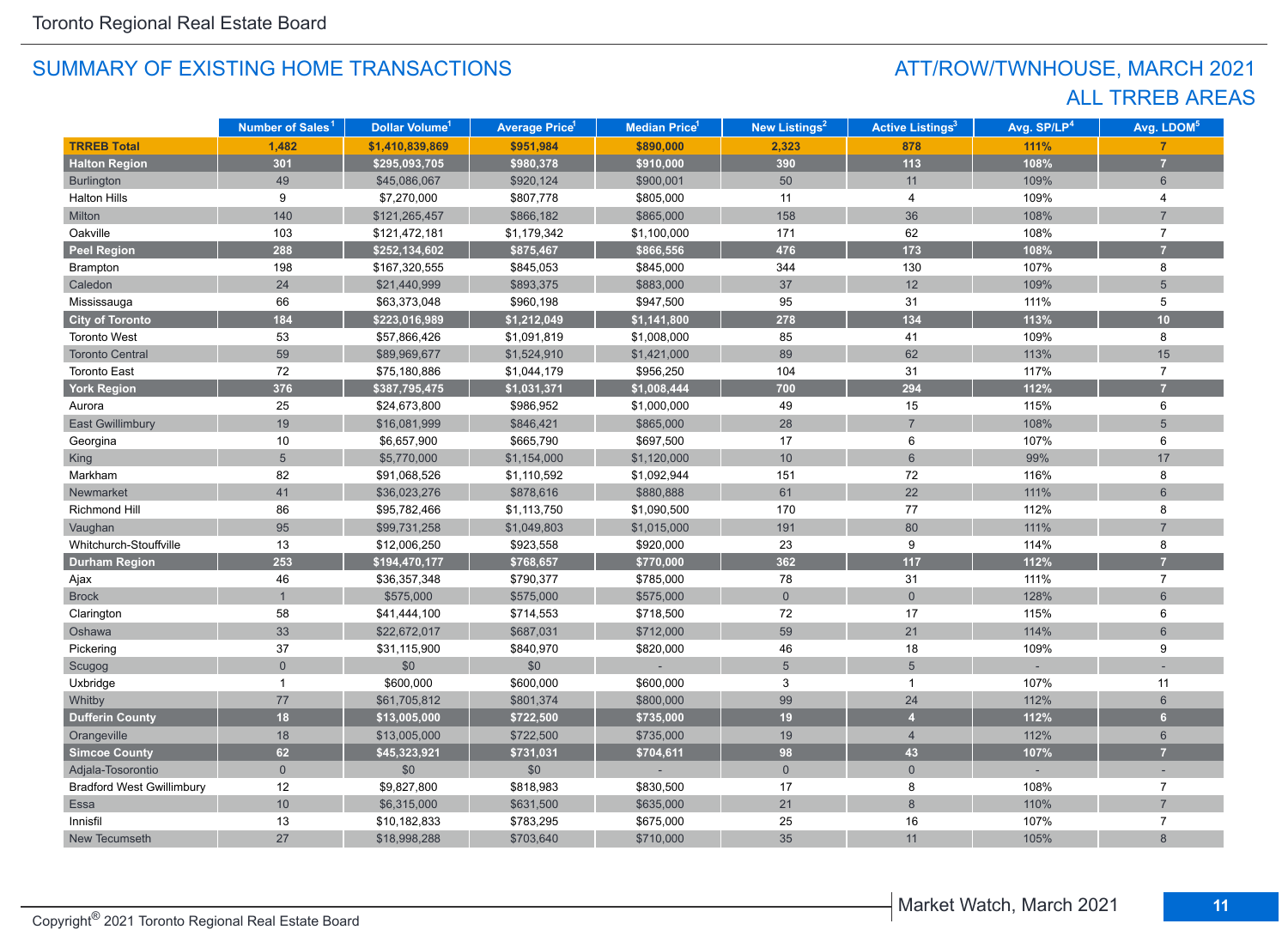## ATT/ROW/TWNHOUSE, MARCH 2021 ALL TRREB AREAS

|                                  | Number of Sales <sup>1</sup> | Dollar Volume <sup>1</sup> | <b>Average Price<sup>1</sup></b> | <b>Median Price<sup>1</sup></b> | <b>New Listings<sup>2</sup></b> | <b>Active Listings<sup>3</sup></b> | Avg. SP/LP <sup>4</sup> | Avg. LDOM <sup>5</sup> |
|----------------------------------|------------------------------|----------------------------|----------------------------------|---------------------------------|---------------------------------|------------------------------------|-------------------------|------------------------|
| <b>TRREB Total</b>               | 1,482                        | \$1,410,839,869            | \$951,984                        | \$890,000                       | 2,323                           | 878                                | 111%                    | $\overline{7}$         |
| <b>Halton Region</b>             | 301                          | \$295,093,705              | \$980,378                        | \$910,000                       | 390                             | $113$                              | 108%                    | $\overline{7}$         |
| <b>Burlington</b>                | 49                           | \$45,086,067               | \$920,124                        | \$900,001                       | 50                              | 11                                 | 109%                    | $6\phantom{1}$         |
| <b>Halton Hills</b>              | 9                            | \$7,270,000                | \$807,778                        | \$805,000                       | 11                              | 4                                  | 109%                    | 4                      |
| Milton                           | 140                          | \$121,265,457              | \$866,182                        | \$865,000                       | 158                             | 36                                 | 108%                    | $\overline{7}$         |
| Oakville                         | 103                          | \$121,472,181              | \$1,179,342                      | \$1,100,000                     | 171                             | 62                                 | 108%                    | $\overline{7}$         |
| <b>Peel Region</b>               | 288                          | \$252,134,602              | \$875,467                        | \$866,556                       | 476                             | 173                                | 108%                    | $\overline{7}$         |
| Brampton                         | 198                          | \$167,320,555              | \$845,053                        | \$845,000                       | 344                             | 130                                | 107%                    | 8                      |
| Caledon                          | 24                           | \$21,440,999               | \$893,375                        | \$883,000                       | 37                              | 12                                 | 109%                    | 5                      |
| Mississauga                      | 66                           | \$63,373,048               | \$960,198                        | \$947,500                       | 95                              | 31                                 | 111%                    | 5                      |
| <b>City of Toronto</b>           | 184                          | \$223,016,989              | \$1,212,049                      | \$1,141,800                     | 278                             | 134                                | 113%                    | 10                     |
| <b>Toronto West</b>              | 53                           | \$57,866,426               | \$1,091,819                      | \$1,008,000                     | 85                              | 41                                 | 109%                    | 8                      |
| <b>Toronto Central</b>           | 59                           | \$89,969,677               | \$1,524,910                      | \$1,421,000                     | 89                              | 62                                 | 113%                    | 15                     |
| <b>Toronto East</b>              | 72                           | \$75,180,886               | \$1,044,179                      | \$956,250                       | 104                             | 31                                 | 117%                    | $\overline{7}$         |
| York Region                      | 376                          | \$387,795,475              | \$1,031,371                      | \$1,008,444                     | 700                             | 294                                | 112%                    |                        |
| Aurora                           | 25                           | \$24,673,800               | \$986,952                        | \$1,000,000                     | 49                              | 15                                 | 115%                    | 6                      |
| <b>East Gwillimbury</b>          | 19                           | \$16,081,999               | \$846,421                        | \$865,000                       | 28                              | $\overline{7}$                     | 108%                    | 5                      |
| Georgina                         | 10                           | \$6,657,900                | \$665,790                        | \$697,500                       | 17                              | 6                                  | 107%                    | 6                      |
| King                             | 5                            | \$5,770,000                | \$1,154,000                      | \$1,120,000                     | 10 <sup>°</sup>                 | $6\overline{6}$                    | 99%                     | 17                     |
| Markham                          | 82                           | \$91,068,526               | \$1,110,592                      | \$1,092,944                     | 151                             | 72                                 | 116%                    | 8                      |
| Newmarket                        | 41                           | \$36,023,276               | \$878,616                        | \$880,888                       | 61                              | 22                                 | 111%                    | 6                      |
| Richmond Hill                    | 86                           | \$95,782,466               | \$1,113,750                      | \$1,090,500                     | 170                             | 77                                 | 112%                    | 8                      |
| Vaughan                          | 95                           | \$99,731,258               | \$1,049,803                      | \$1,015,000                     | 191                             | 80                                 | 111%                    | $\overline{7}$         |
| Whitchurch-Stouffville           | 13                           | \$12,006,250               | \$923,558                        | \$920,000                       | 23                              | $\boldsymbol{9}$                   | 114%                    | 8                      |
| <b>Durham Region</b>             | 253                          | \$194,470,177              | \$768,657                        | \$770,000                       | 362                             | $117$                              | 112%                    |                        |
| Ajax                             | 46                           | \$36,357,348               | \$790,377                        | \$785,000                       | 78                              | 31                                 | 111%                    | $\overline{7}$         |
| <b>Brock</b>                     | 1                            | \$575,000                  | \$575,000                        | \$575,000                       | $\mathbf 0$                     | $\overline{0}$                     | 128%                    | $6\phantom{1}$         |
| Clarington                       | 58                           | \$41,444,100               | \$714,553                        | \$718,500                       | 72                              | 17                                 | 115%                    | 6                      |
| Oshawa                           | 33                           | \$22,672,017               | \$687,031                        | \$712,000                       | 59                              | 21                                 | 114%                    | 6                      |
| Pickering                        | 37                           | \$31,115,900               | \$840,970                        | \$820,000                       | 46                              | 18                                 | 109%                    | 9                      |
| Scugog                           | $\overline{0}$               | \$0                        | \$0                              |                                 | $5\phantom{.0}$                 | 5                                  |                         |                        |
| Uxbridge                         | 1                            | \$600,000                  | \$600,000                        | \$600,000                       | 3                               | $\mathbf 1$                        | 107%                    | 11                     |
| Whitby                           | 77                           | \$61,705,812               | \$801,374                        | \$800,000                       | 99                              | 24                                 | 112%                    | $6\phantom{a}$         |
| <b>Dufferin County</b>           | 18                           | \$13,005,000               | \$722,500                        | \$735,000                       | 19                              | $\overline{4}$                     | 112%                    | 6 <sup>1</sup>         |
| Orangeville                      | 18                           | \$13,005,000               | \$722,500                        | \$735,000                       | 19                              | $\overline{4}$                     | 112%                    | $6\phantom{a}$         |
| <b>Simcoe County</b>             | 62                           | \$45,323,921               | \$731,031                        | \$704,611                       | 98                              | 43                                 | 107%                    | $\overline{7}$         |
| Adjala-Tosorontio                | $\overline{0}$               | \$0                        | \$0                              |                                 | $\overline{0}$                  | $\mathbf 0$                        |                         |                        |
| <b>Bradford West Gwillimbury</b> | 12                           | \$9,827,800                | \$818,983                        | \$830,500                       | 17                              | 8                                  | 108%                    | $\overline{7}$         |
| Essa                             | 10                           | \$6,315,000                | \$631,500                        | \$635,000                       | 21                              | 8                                  | 110%                    |                        |
| Innisfil                         | 13                           | \$10,182,833               | \$783,295                        | \$675,000                       | 25                              | 16                                 | 107%                    | $\overline{7}$         |
| New Tecumseth                    | 27                           | \$18,998,288               | \$703,640                        | \$710,000                       | 35                              | 11                                 | 105%                    | 8                      |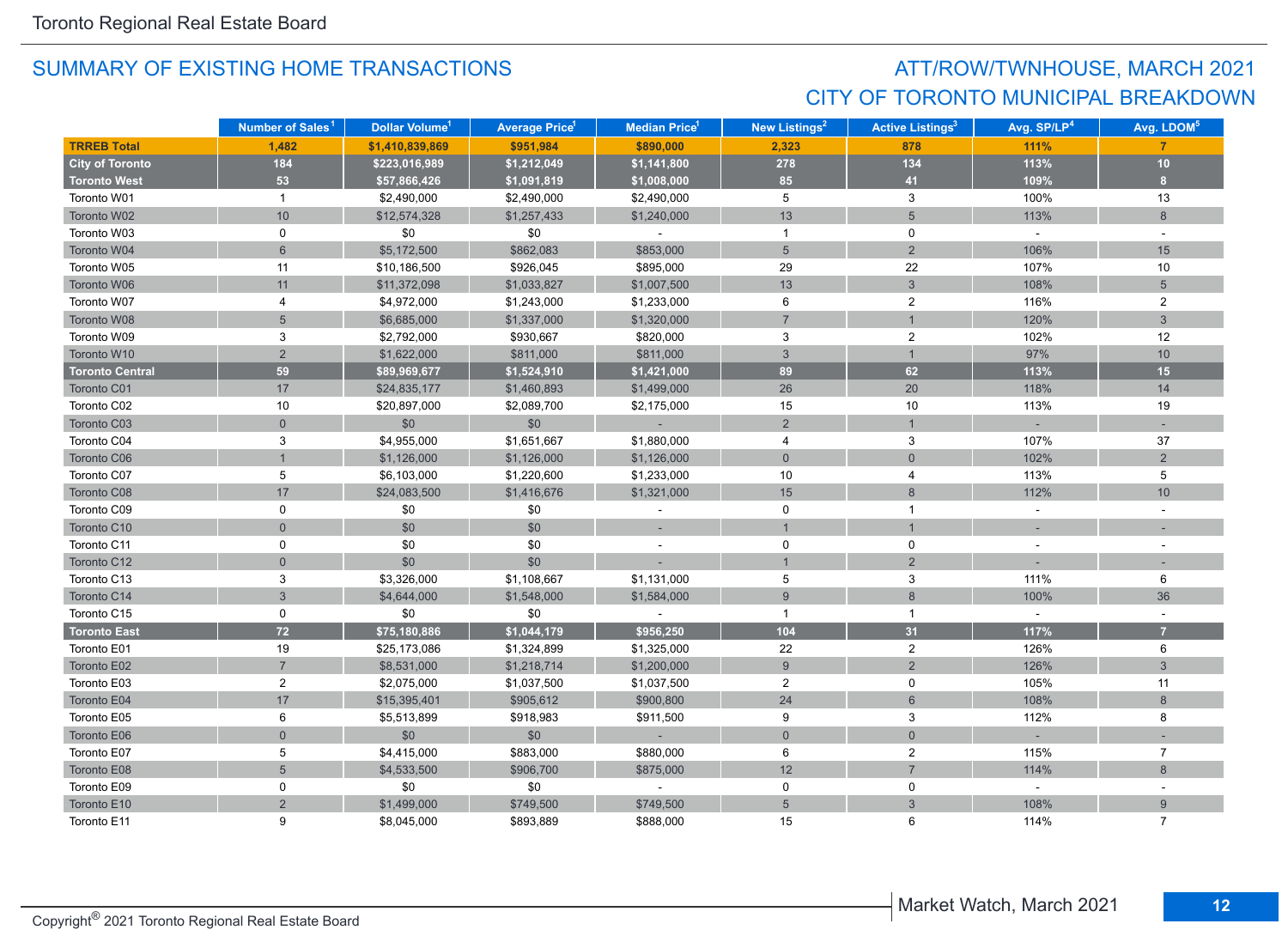## ATT/ROW/TWNHOUSE, MARCH 2021 CITY OF TORONTO MUNICIPAL BREAKDOWN

|                        | Number of Sales <sup>1</sup> | Dollar Volume <sup>1</sup> | <b>Average Price<sup>1</sup></b> | Median Price <sup>1</sup> | New Listings <sup>2</sup> | <b>Active Listings<sup>3</sup></b> | Avg. SP/LP <sup>4</sup> | Avg. LDOM <sup>5</sup> |
|------------------------|------------------------------|----------------------------|----------------------------------|---------------------------|---------------------------|------------------------------------|-------------------------|------------------------|
| <b>TRREB Total</b>     | 1.482                        | \$1,410,839,869            | \$951,984                        | \$890,000                 | 2,323                     | 878                                | 111%                    | 7                      |
| <b>City of Toronto</b> | 184                          | \$223,016,989              | \$1,212,049                      | \$1,141,800               | 278                       | 134                                | 113%                    | 10                     |
| <b>Toronto West</b>    | 53                           | \$57,866,426               | \$1,091,819                      | \$1,008,000               | 85                        | 41                                 | 109%                    | 8 <sup>°</sup>         |
| Toronto W01            | $\mathbf{1}$                 | \$2,490,000                | \$2,490,000                      | \$2,490,000               | 5                         | 3                                  | 100%                    | 13                     |
| Toronto W02            | $10$                         | \$12,574,328               | \$1,257,433                      | \$1,240,000               | 13                        | 5                                  | 113%                    | 8                      |
| Toronto W03            | 0                            | \$0                        | \$0                              | $\sim$                    | $\overline{1}$            | 0                                  | $\sim$                  | $\sim$                 |
| Toronto W04            | $6\overline{6}$              | \$5,172,500                | \$862,083                        | \$853,000                 | $5\phantom{.}$            | 2                                  | 106%                    | 15                     |
| Toronto W05            | 11                           | \$10,186,500               | \$926,045                        | \$895,000                 | 29                        | 22                                 | 107%                    | 10                     |
| Toronto W06            | 11                           | \$11,372,098               | \$1,033,827                      | \$1,007,500               | 13                        | $\mathbf{3}$                       | 108%                    | $5\phantom{.}$         |
| Toronto W07            | 4                            | \$4,972,000                | \$1,243,000                      | \$1,233,000               | 6                         | $\overline{2}$                     | 116%                    | $\overline{2}$         |
| Toronto W08            | $5\overline{)}$              | \$6,685,000                | \$1,337,000                      | \$1,320,000               | $\overline{7}$            | $\mathbf 1$                        | 120%                    | $\mathbf{3}$           |
| Toronto W09            | 3                            | \$2,792,000                | \$930,667                        | \$820,000                 | 3                         | $\overline{2}$                     | 102%                    | 12                     |
| Toronto W10            | $\overline{2}$               | \$1,622,000                | \$811,000                        | \$811,000                 | $\mathbf{3}$              | $\mathbf{1}$                       | 97%                     | 10                     |
| <b>Toronto Central</b> | 59                           | \$89,969,677               | \$1,524,910                      | \$1,421,000               | 89                        | 62                                 | 113%                    | 15                     |
| Toronto C01            | 17                           | \$24,835,177               | \$1,460,893                      | \$1,499,000               | 26                        | 20                                 | 118%                    | 14                     |
| Toronto C02            | 10                           | \$20,897,000               | \$2,089,700                      | \$2,175,000               | 15                        | 10                                 | 113%                    | 19                     |
| Toronto C03            | $\mathbf 0$                  | \$0                        | \$0                              |                           | $\overline{2}$            |                                    |                         |                        |
| Toronto C04            | 3                            | \$4,955,000                | \$1,651,667                      | \$1,880,000               | 4                         | 3                                  | 107%                    | 37                     |
| Toronto C06            |                              | \$1,126,000                | \$1,126,000                      | \$1,126,000               | $\mathbf{0}$              | $\overline{0}$                     | 102%                    | 2                      |
| Toronto C07            | 5                            | \$6,103,000                | \$1,220,600                      | \$1,233,000               | 10                        | 4                                  | 113%                    | 5                      |
| Toronto C08            | 17                           | \$24,083,500               | \$1,416,676                      | \$1,321,000               | 15                        | 8                                  | 112%                    | 10                     |
| Toronto C09            | 0                            | \$0                        | \$0                              |                           | 0                         | $\mathbf{1}$                       | $\sim$                  |                        |
| Toronto C10            | $\overline{0}$               | \$0                        | \$0                              |                           | $\mathbf{1}$              |                                    |                         |                        |
| Toronto C11            | 0                            | \$0                        | \$0                              | ÷,                        | 0                         | 0                                  |                         |                        |
| Toronto C12            | $\mathbf 0$                  | \$0                        | \$0                              |                           | $\mathbf{1}$              | $\overline{2}$                     |                         |                        |
| Toronto C13            | 3                            | \$3,326,000                | \$1,108,667                      | \$1,131,000               | 5                         | 3                                  | 111%                    | 6                      |
| Toronto C14            | $\mathbf{3}$                 | \$4,644,000                | \$1,548,000                      | \$1,584,000               | $\overline{9}$            | 8                                  | 100%                    | 36                     |
| Toronto C15            | 0                            | \$0                        | \$0                              |                           | $\mathbf{1}$              | $\mathbf{1}$                       | $\omega$                |                        |
| <b>Toronto East</b>    | $72$                         | \$75,180,886               | \$1,044,179                      | \$956,250                 | 104                       | 31                                 | 117%                    | $\overline{7}$         |
| Toronto E01            | 19                           | \$25,173,086               | \$1,324,899                      | \$1,325,000               | 22                        | $\overline{2}$                     | 126%                    | 6                      |
| Toronto E02            | $\overline{7}$               | \$8,531,000                | \$1,218,714                      | \$1,200,000               | 9                         | $\overline{2}$                     | 126%                    | $\mathbf{3}$           |
| Toronto E03            | $\overline{2}$               | \$2,075,000                | \$1,037,500                      | \$1,037,500               | $\overline{2}$            | 0                                  | 105%                    | 11                     |
| Toronto E04            | 17                           | \$15,395,401               | \$905,612                        | \$900,800                 | 24                        | $6\phantom{a}$                     | 108%                    | 8                      |
| Toronto E05            | 6                            | \$5,513,899                | \$918,983                        | \$911,500                 | 9                         | 3                                  | 112%                    | 8                      |
| Toronto E06            | $\overline{0}$               | \$0                        | \$0                              | $\sim$                    | $\overline{0}$            | $\mathbf{0}$                       |                         |                        |
| Toronto E07            | 5                            | \$4,415,000                | \$883,000                        | \$880,000                 | 6                         | $\overline{2}$                     | 115%                    | $\overline{7}$         |
| Toronto E08            | $\overline{5}$               | \$4,533,500                | \$906,700                        | \$875,000                 | 12                        | $\overline{7}$                     | 114%                    | $\,8\,$                |
| Toronto E09            | 0                            | \$0                        | \$0                              |                           | $\mathbf 0$               | 0                                  | $\omega$                |                        |
| Toronto E10            | $\overline{2}$               | \$1,499,000                | \$749,500                        | \$749,500                 | $5\overline{)}$           | 3                                  | 108%                    | 9                      |
| Toronto E11            | 9                            | \$8,045,000                | \$893,889                        | \$888,000                 | 15                        | 6                                  | 114%                    | $\overline{7}$         |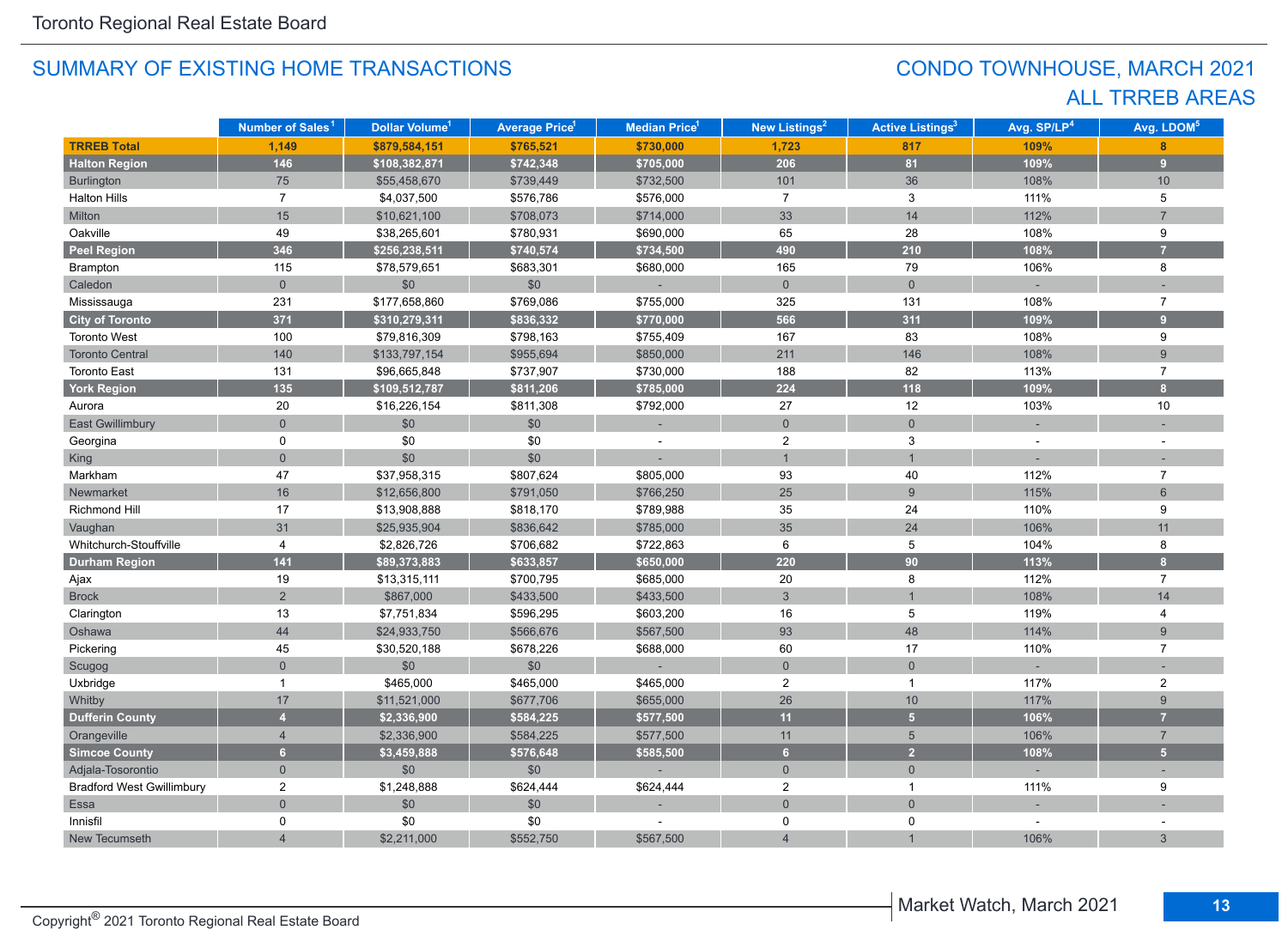## CONDO TOWNHOUSE, MARCH 2021 ALL TRREB AREAS

|                                  | Number of Sales <sup>1</sup> | Dollar Volume <sup>1</sup> | <b>Average Price<sup>1</sup></b> | Median Price <sup>1</sup> | <b>New Listings<sup>2</sup></b> | <b>Active Listings<sup>3</sup></b> | Avg. SP/LP <sup>4</sup> | Avg. LDOM <sup>5</sup>  |
|----------------------------------|------------------------------|----------------------------|----------------------------------|---------------------------|---------------------------------|------------------------------------|-------------------------|-------------------------|
| <b>TRREB Total</b>               | 1,149                        | \$879,584,151              | \$765,521                        | \$730,000                 | 1,723                           | 817                                | 109%                    | 8                       |
| <b>Halton Region</b>             | 146                          | \$108,382,871              | \$742,348                        | \$705,000                 | 206                             | 81                                 | 109%                    | $\overline{9}$          |
| <b>Burlington</b>                | 75                           | \$55,458,670               | \$739,449                        | \$732,500                 | 101                             | 36                                 | 108%                    | 10                      |
| <b>Halton Hills</b>              | $\overline{7}$               | \$4,037,500                | \$576,786                        | \$576,000                 | $\overline{7}$                  | 3                                  | 111%                    | 5                       |
| Milton                           | 15                           | \$10,621,100               | \$708,073                        | \$714,000                 | 33                              | 14                                 | 112%                    | $\overline{7}$          |
| Oakville                         | 49                           | \$38,265,601               | \$780,931                        | \$690,000                 | 65                              | 28                                 | 108%                    | 9                       |
| <b>Peel Region</b>               | 346                          | \$256,238,511              | \$740,574                        | \$734,500                 | 490                             | 210                                | 108%                    | $\overline{7}$          |
| Brampton                         | 115                          | \$78,579,651               | \$683,301                        | \$680,000                 | 165                             | 79                                 | 106%                    | 8                       |
| Caledon                          | $\overline{0}$               | \$0                        | \$0                              | ÷.                        | $\overline{0}$                  | $\overline{0}$                     | ÷.                      |                         |
| Mississauga                      | 231                          | \$177,658,860              | \$769,086                        | \$755,000                 | 325                             | 131                                | 108%                    | $\overline{7}$          |
| <b>City of Toronto</b>           | 371                          | \$310,279,311              | \$836,332                        | \$770,000                 | 566                             | 311                                | 109%                    | $\overline{9}$          |
| <b>Toronto West</b>              | 100                          | \$79,816,309               | \$798,163                        | \$755,409                 | 167                             | 83                                 | 108%                    | 9                       |
| <b>Toronto Central</b>           | 140                          | \$133,797,154              | \$955,694                        | \$850,000                 | 211                             | 146                                | 108%                    | $\overline{9}$          |
| <b>Toronto East</b>              | 131                          | \$96,665,848               | \$737,907                        | \$730,000                 | 188                             | 82                                 | 113%                    | $\overline{7}$          |
| <b>York Region</b>               | 135                          | \$109,512,787              | \$811,206                        | \$785,000                 | 224                             | 118                                | 109%                    | $\overline{\mathbf{8}}$ |
| Aurora                           | 20                           | \$16,226,154               | \$811,308                        | \$792,000                 | 27                              | 12                                 | 103%                    | 10                      |
| <b>East Gwillimbury</b>          | $\Omega$                     | \$0                        | \$0                              |                           | $\overline{0}$                  | $\overline{0}$                     |                         |                         |
| Georgina                         | $\mathbf 0$                  | \$0                        | \$0                              |                           | $\overline{2}$                  | 3                                  |                         |                         |
| King                             | $\overline{0}$               | \$0                        | \$0                              |                           | $\overline{1}$                  | $\overline{1}$                     |                         |                         |
| Markham                          | 47                           | \$37,958,315               | \$807,624                        | \$805,000                 | 93                              | 40                                 | 112%                    | $\overline{7}$          |
| Newmarket                        | 16                           | \$12,656,800               | \$791,050                        | \$766,250                 | 25                              | $\overline{9}$                     | 115%                    | $6\phantom{a}$          |
| Richmond Hill                    | 17                           | \$13,908,888               | \$818,170                        | \$789,988                 | $35\,$                          | 24                                 | 110%                    | 9                       |
| Vaughan                          | 31                           | \$25,935,904               | \$836,642                        | \$785,000                 | 35                              | 24                                 | 106%                    | 11                      |
| Whitchurch-Stouffville           | 4                            | \$2,826,726                | \$706,682                        | \$722,863                 | 6                               | 5                                  | 104%                    | 8                       |
| <b>Durham Region</b>             | 141                          | \$89,373,883               | \$633,857                        | \$650,000                 | 220                             | 90                                 | 113%                    | $\overline{\mathbf{8}}$ |
| Ajax                             | 19                           | \$13,315,111               | \$700,795                        | \$685,000                 | 20                              | 8                                  | 112%                    | $\overline{7}$          |
| <b>Brock</b>                     | $\overline{2}$               | \$867,000                  | \$433,500                        | \$433,500                 | $\mathbf{3}$                    | $\mathbf{1}$                       | 108%                    | 14                      |
| Clarington                       | 13                           | \$7,751,834                | \$596,295                        | \$603,200                 | 16                              | 5                                  | 119%                    | 4                       |
| Oshawa                           | 44                           | \$24,933,750               | \$566,676                        | \$567,500                 | 93                              | 48                                 | 114%                    | 9                       |
| Pickering                        | 45                           | \$30,520,188               | \$678,226                        | \$688,000                 | 60                              | 17                                 | 110%                    | $\overline{7}$          |
| Scugog                           | $\overline{0}$               | \$0                        | \$0                              |                           | $\pmb{0}$                       | $\mathsf{O}\xspace$                |                         |                         |
| Uxbridge                         | $\mathbf 1$                  | \$465,000                  | \$465,000                        | \$465,000                 | $\overline{2}$                  | $\mathbf{1}$                       | 117%                    | $\overline{2}$          |
| Whitby                           | 17                           | \$11,521,000               | \$677,706                        | \$655,000                 | 26                              | 10                                 | 117%                    | $\overline{9}$          |
| <b>Dufferin County</b>           | $\overline{4}$               | \$2,336,900                | \$584,225                        | \$577,500                 | 11                              | 5 <sup>1</sup>                     | 106%                    | $\overline{7}$          |
| Orangeville                      | $\overline{4}$               | \$2,336,900                | \$584,225                        | \$577,500                 | 11                              | $5\phantom{.0}$                    | 106%                    | $\overline{7}$          |
| <b>Simcoe County</b>             | 6 <sup>1</sup>               | \$3,459,888                | \$576,648                        | \$585,500                 | 6 <sup>1</sup>                  | $\overline{2}$                     | 108%                    | 5 <sup>1</sup>          |
| Adjala-Tosorontio                | $\overline{0}$               | \$0                        | \$0                              |                           | $\mathsf{O}\xspace$             | $\overline{0}$                     |                         |                         |
| <b>Bradford West Gwillimbury</b> | $\overline{2}$               | \$1,248,888                | \$624,444                        | \$624,444                 | $\overline{2}$                  | $\mathbf{1}$                       | 111%                    | 9                       |
| Essa                             | $\overline{0}$               | \$0                        | \$0                              |                           | $\mathbf 0$                     | $\overline{0}$                     |                         |                         |
| Innisfil                         | 0                            | \$0                        | \$0                              |                           | 0                               | 0                                  |                         |                         |
| New Tecumseth                    |                              | \$2,211,000                | \$552,750                        | \$567,500                 | $\overline{4}$                  |                                    | 106%                    | 3                       |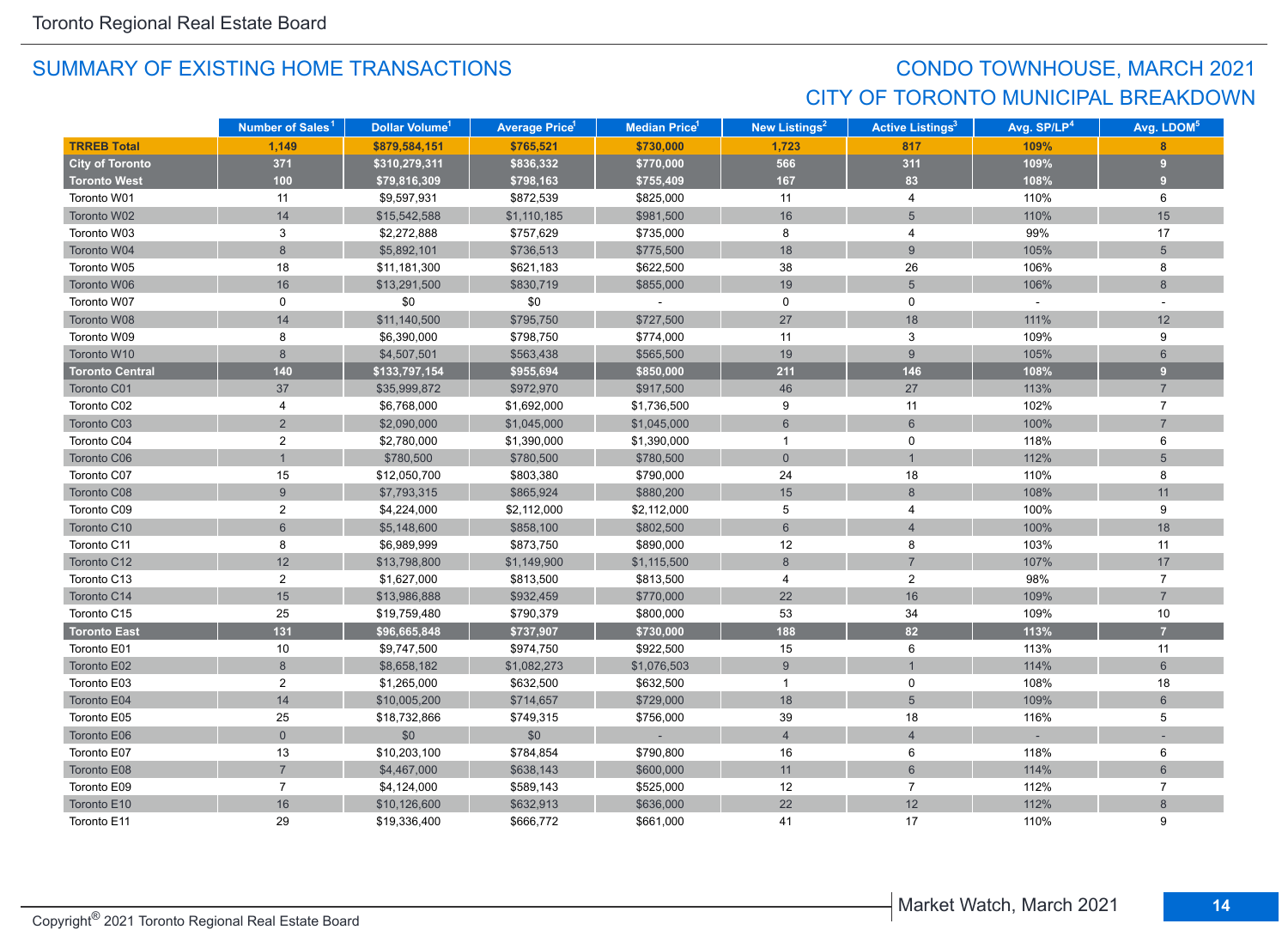## CONDO TOWNHOUSE, MARCH 2021 CITY OF TORONTO MUNICIPAL BREAKDOWN

|                        | Number of Sales <sup>1</sup> | Dollar Volume <sup>1</sup> | <b>Average Price</b> <sup>1</sup> | <b>Median Price<sup>1</sup></b> | New Listings <sup>2</sup> | <b>Active Listings<sup>3</sup></b> | Avg. SP/LP <sup>4</sup>     | Avg. LDOM <sup>5</sup> |
|------------------------|------------------------------|----------------------------|-----------------------------------|---------------------------------|---------------------------|------------------------------------|-----------------------------|------------------------|
| <b>TRREB Total</b>     | 1.149                        | \$879,584,151              | \$765,521                         | \$730,000                       | 1,723                     | 817                                | 109%                        | $\mathbf{8}$           |
| <b>City of Toronto</b> | 371                          | \$310,279,311              | \$836,332                         | \$770,000                       | 566                       | 311                                | 109%                        | 9                      |
| <b>Toronto West</b>    | 100                          | \$79,816,309               | \$798,163                         | \$755,409                       | 167                       | 83                                 | 108%                        | 9                      |
| Toronto W01            | 11                           | \$9,597,931                | \$872,539                         | \$825,000                       | 11                        | $\overline{4}$                     | 110%                        | 6                      |
| Toronto W02            | 14                           | \$15,542,588               | \$1,110,185                       | \$981,500                       | 16                        | 5                                  | 110%                        | 15                     |
| Toronto W03            | 3                            | \$2,272,888                | \$757,629                         | \$735,000                       | 8                         | 4                                  | 99%                         | 17                     |
| Toronto W04            | 8                            | \$5,892,101                | \$736,513                         | \$775,500                       | 18                        | 9                                  | 105%                        | $5\overline{)}$        |
| Toronto W05            | 18                           | \$11,181,300               | \$621,183                         | \$622,500                       | 38                        | 26                                 | 106%                        | 8                      |
| Toronto W06            | 16                           | \$13,291,500               | \$830,719                         | \$855,000                       | 19                        | $5\phantom{.}$                     | 106%                        | $\boldsymbol{8}$       |
| Toronto W07            | $\mathbf 0$                  | \$0                        | $$0$$                             | $\omega$                        | $\mathsf{O}$              | 0                                  | $\mathcal{L}_{\mathcal{A}}$ | $\sim$                 |
| Toronto W08            | 14                           | \$11,140,500               | \$795,750                         | \$727,500                       | 27                        | 18                                 | 111%                        | 12                     |
| Toronto W09            | 8                            | \$6,390,000                | \$798,750                         | \$774,000                       | 11                        | 3                                  | 109%                        | 9                      |
| Toronto W10            | 8                            | \$4,507,501                | \$563,438                         | \$565,500                       | 19                        | 9                                  | 105%                        | 6                      |
| <b>Toronto Central</b> | 140                          | \$133,797,154              | \$955,694                         | \$850,000                       | $211$                     | 146                                | 108%                        | 9 <sup>°</sup>         |
| Toronto C01            | 37                           | \$35,999,872               | \$972,970                         | \$917,500                       | 46                        | 27                                 | 113%                        | $\overline{7}$         |
| Toronto C02            | 4                            | \$6,768,000                | \$1,692,000                       | \$1,736,500                     | 9                         | 11                                 | 102%                        | $\overline{7}$         |
| Toronto C03            | $\overline{2}$               | \$2,090,000                | \$1,045,000                       | \$1,045,000                     | 6                         | $6\phantom{1}$                     | 100%                        | $\overline{7}$         |
| Toronto C04            | $\overline{2}$               | \$2,780,000                | \$1,390,000                       | \$1,390,000                     | $\mathbf{1}$              | $\mathbf 0$                        | 118%                        | 6                      |
| Toronto C06            |                              | \$780,500                  | \$780,500                         | \$780,500                       | $\mathbf{0}$              | $\mathbf{1}$                       | 112%                        | $5\overline{5}$        |
| Toronto C07            | 15                           | \$12,050,700               | \$803,380                         | \$790,000                       | 24                        | 18                                 | 110%                        | 8                      |
| Toronto C08            | 9                            | \$7,793,315                | \$865,924                         | \$880,200                       | 15                        | $\,8\,$                            | 108%                        | 11                     |
| Toronto C09            | $\overline{2}$               | \$4,224,000                | \$2,112,000                       | \$2,112,000                     | 5                         | 4                                  | 100%                        | 9                      |
| Toronto C10            | 6                            | \$5,148,600                | \$858,100                         | \$802,500                       | $6\phantom{1}$            | $\overline{4}$                     | 100%                        | 18                     |
| Toronto C11            | 8                            | \$6,989,999                | \$873,750                         | \$890,000                       | 12                        | 8                                  | 103%                        | 11                     |
| Toronto C12            | 12                           | \$13,798,800               | \$1,149,900                       | \$1,115,500                     | 8                         | $\overline{7}$                     | 107%                        | 17                     |
| Toronto C13            | $\overline{2}$               | \$1,627,000                | \$813,500                         | \$813,500                       | 4                         | $\overline{2}$                     | 98%                         | $\overline{7}$         |
| Toronto C14            | 15                           | \$13,986,888               | \$932,459                         | \$770,000                       | 22                        | 16                                 | 109%                        | $\overline{7}$         |
| Toronto C15            | 25                           | \$19,759,480               | \$790,379                         | \$800,000                       | 53                        | 34                                 | 109%                        | 10                     |
| <b>Toronto East</b>    | 131                          | \$96,665,848               | \$737,907                         | \$730,000                       | 188                       | 82                                 | 113%                        | $\overline{7}$         |
| Toronto E01            | 10                           | \$9,747,500                | \$974,750                         | \$922,500                       | 15                        | 6                                  | 113%                        | 11                     |
| Toronto E02            | 8                            | \$8,658,182                | \$1,082,273                       | \$1,076,503                     | $\boldsymbol{9}$          |                                    | 114%                        | $\,$ 6 $\,$            |
| Toronto E03            | $\overline{2}$               | \$1,265,000                | \$632,500                         | \$632,500                       | $\overline{1}$            | 0                                  | 108%                        | 18                     |
| Toronto E04            | 14                           | \$10,005,200               | \$714,657                         | \$729,000                       | 18                        | 5                                  | 109%                        | $6\phantom{1}$         |
| Toronto E05            | 25                           | \$18,732,866               | \$749,315                         | \$756,000                       | 39                        | 18                                 | 116%                        | 5                      |
| Toronto E06            | $\overline{0}$               | \$0                        | \$0                               | $\sim$                          | $\overline{4}$            | $\overline{4}$                     |                             |                        |
| Toronto E07            | 13                           | \$10,203,100               | \$784,854                         | \$790,800                       | 16                        | 6                                  | 118%                        | 6                      |
| Toronto E08            | $\overline{7}$               | \$4,467,000                | \$638,143                         | \$600,000                       | 11                        | $6\phantom{1}$                     | 114%                        | $6\phantom{1}$         |
| Toronto E09            | $\overline{7}$               | \$4,124,000                | \$589,143                         | \$525,000                       | 12                        | $\overline{7}$                     | 112%                        | $\overline{7}$         |
| Toronto E10            | 16                           | \$10,126,600               | \$632,913                         | \$636,000                       | 22                        | 12                                 | 112%                        | 8                      |
| Toronto E11            | 29                           | \$19,336,400               | \$666,772                         | \$661,000                       | 41                        | 17                                 | 110%                        | 9                      |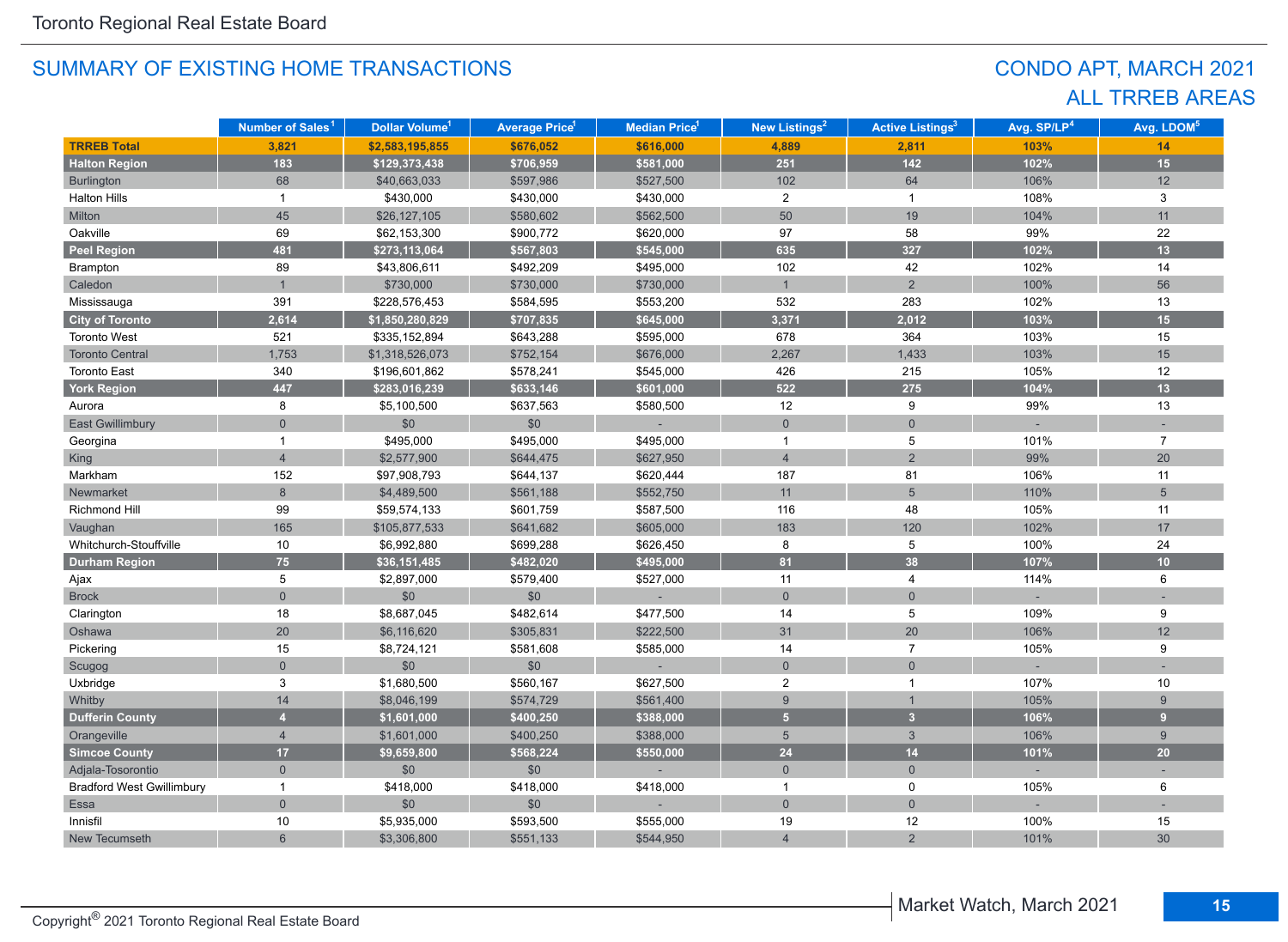## CONDO APT, MARCH 2021 ALL TRREB AREAS

|                                  | Number of Sales <sup>1</sup> | Dollar Volume <sup>1</sup> | <b>Average Price<sup>1</sup></b> | Median Price <sup>1</sup> | New Listings <sup>2</sup> | <b>Active Listings<sup>3</sup></b> | Avg. SP/LP <sup>4</sup> | Avg. LDOM <sup>5</sup> |
|----------------------------------|------------------------------|----------------------------|----------------------------------|---------------------------|---------------------------|------------------------------------|-------------------------|------------------------|
| <b>TRREB Total</b>               | 3,821                        | \$2,583,195,855            | \$676,052                        | \$616,000                 | 4,889                     | 2,811                              | 103%                    | 14                     |
| <b>Halton Region</b>             | 183                          | \$129,373,438              | \$706,959                        | \$581,000                 | 251                       | $142$                              | 102%                    | 15 <sub>15</sub>       |
| Burlington                       | 68                           | \$40,663,033               | \$597,986                        | \$527,500                 | 102                       | 64                                 | 106%                    | 12                     |
| <b>Halton Hills</b>              | $\mathbf{1}$                 | \$430,000                  | \$430,000                        | \$430,000                 | $\overline{2}$            | $\mathbf{1}$                       | 108%                    | 3                      |
| Milton                           | 45                           | \$26,127,105               | \$580,602                        | \$562,500                 | 50                        | 19                                 | 104%                    | 11                     |
| Oakville                         | 69                           | \$62,153,300               | \$900,772                        | \$620,000                 | 97                        | 58                                 | 99%                     | 22                     |
| <b>Peel Region</b>               | 481                          | \$273,113,064              | \$567,803                        | \$545,000                 | 635                       | 327                                | 102%                    | 13                     |
| Brampton                         | 89                           | \$43,806,611               | \$492,209                        | \$495,000                 | 102                       | 42                                 | 102%                    | 14                     |
| Caledon                          | $\mathbf{1}$                 | \$730,000                  | \$730,000                        | \$730,000                 | $\mathbf{1}$              | $\overline{2}$                     | 100%                    | 56                     |
| Mississauga                      | 391                          | \$228,576,453              | \$584,595                        | \$553,200                 | 532                       | 283                                | 102%                    | 13                     |
| <b>City of Toronto</b>           | 2,614                        | \$1,850,280,829            | \$707,835                        | \$645,000                 | 3,371                     | 2,012                              | 103%                    | 15                     |
| <b>Toronto West</b>              | 521                          | \$335,152,894              | \$643,288                        | \$595,000                 | 678                       | 364                                | 103%                    | 15                     |
| <b>Toronto Central</b>           | 1,753                        | \$1,318,526,073            | \$752,154                        | \$676,000                 | 2,267                     | 1,433                              | 103%                    | 15                     |
| <b>Toronto East</b>              | 340                          | \$196,601,862              | \$578,241                        | \$545,000                 | 426                       | 215                                | 105%                    | 12                     |
| <b>York Region</b>               | 447                          | \$283,016,239              | \$633,146                        | \$601,000                 | 522                       | 275                                | 104%                    | 13                     |
| Aurora                           | 8                            | \$5,100,500                | \$637,563                        | \$580,500                 | 12                        | 9                                  | 99%                     | 13                     |
| <b>East Gwillimbury</b>          | $\overline{0}$               | \$0                        | \$0                              |                           | $\mathbf 0$               | $\overline{0}$                     |                         |                        |
| Georgina                         | 1                            | \$495,000                  | \$495,000                        | \$495,000                 | $\mathbf{1}$              | 5                                  | 101%                    | $\overline{7}$         |
| <b>King</b>                      | $\overline{4}$               | \$2,577,900                | \$644,475                        | \$627,950                 | $\overline{4}$            | $\overline{2}$                     | 99%                     | 20                     |
| Markham                          | 152                          | \$97,908,793               | \$644,137                        | \$620,444                 | 187                       | 81                                 | 106%                    | 11                     |
| Newmarket                        | 8                            | \$4,489,500                | \$561,188                        | \$552,750                 | 11                        | $5\overline{)}$                    | 110%                    | $\overline{5}$         |
| <b>Richmond Hill</b>             | 99                           | \$59,574,133               | \$601,759                        | \$587,500                 | 116                       | 48                                 | 105%                    | 11                     |
| Vaughan                          | 165                          | \$105,877,533              | \$641,682                        | \$605,000                 | 183                       | 120                                | 102%                    | 17                     |
| Whitchurch-Stouffville           | 10                           | \$6,992,880                | \$699,288                        | \$626,450                 | 8                         | 5                                  | 100%                    | 24                     |
| <b>Durham Region</b>             | 75                           | \$36,151,485               | \$482,020                        | \$495,000                 | 81                        | 38                                 | 107%                    | 10                     |
| Ajax                             | 5                            | \$2,897,000                | \$579,400                        | \$527,000                 | 11                        | 4                                  | 114%                    | 6                      |
| <b>Brock</b>                     | $\overline{0}$               | \$0                        | \$0                              |                           | $\mathbf{0}$              | $\overline{0}$                     |                         |                        |
| Clarington                       | 18                           | \$8,687,045                | \$482,614                        | \$477,500                 | 14                        | 5                                  | 109%                    | 9                      |
| Oshawa                           | $20\,$                       | \$6,116,620                | \$305,831                        | \$222,500                 | 31                        | 20                                 | 106%                    | 12                     |
| Pickering                        | 15                           | \$8,724,121                | \$581,608                        | \$585,000                 | 14                        | $\overline{7}$                     | 105%                    | 9                      |
| Scugog                           | $\mathbf 0$                  | \$0                        | \$0                              |                           | $\mathbf 0$               | $\mathbf 0$                        |                         |                        |
| Uxbridge                         | 3                            | \$1,680,500                | \$560,167                        | \$627,500                 | $\overline{c}$            | $\mathbf 1$                        | 107%                    | 10                     |
| Whitby                           | 14                           | \$8,046,199                | \$574,729                        | \$561,400                 | $9\,$                     |                                    | 105%                    | 9                      |
| <b>Dufferin County</b>           | $\overline{\mathbf{4}}$      | \$1,601,000                | \$400,250                        | \$388,000                 | 5 <sup>5</sup>            | $\overline{3}$                     | 106%                    | 9                      |
| Orangeville                      | $\overline{4}$               | \$1,601,000                | \$400,250                        | \$388,000                 | $5\phantom{.0}$           | $\mathbf{3}$                       | 106%                    | 9                      |
| <b>Simcoe County</b>             | 17                           | \$9,659,800                | \$568,224                        | \$550,000                 | 24                        | 14                                 | 101%                    | 20                     |
| Adjala-Tosorontio                | $\mathbf{0}$                 | \$0                        | \$0                              |                           | $\mathbf{0}$              | $\overline{0}$                     |                         |                        |
| <b>Bradford West Gwillimbury</b> | $\overline{1}$               | \$418,000                  | \$418,000                        | \$418,000                 | $\overline{1}$            | 0                                  | 105%                    | 6                      |
| Essa                             | $\overline{0}$               | \$0                        | \$0                              |                           | $\mathbf 0$               | $\overline{0}$                     |                         |                        |
| Innisfil                         | 10                           | \$5,935,000                | \$593,500                        | \$555,000                 | 19                        | 12                                 | 100%                    | 15                     |
| New Tecumseth                    | 6                            | \$3,306,800                | \$551,133                        | \$544,950                 | $\overline{4}$            | $\overline{2}$                     | 101%                    | 30                     |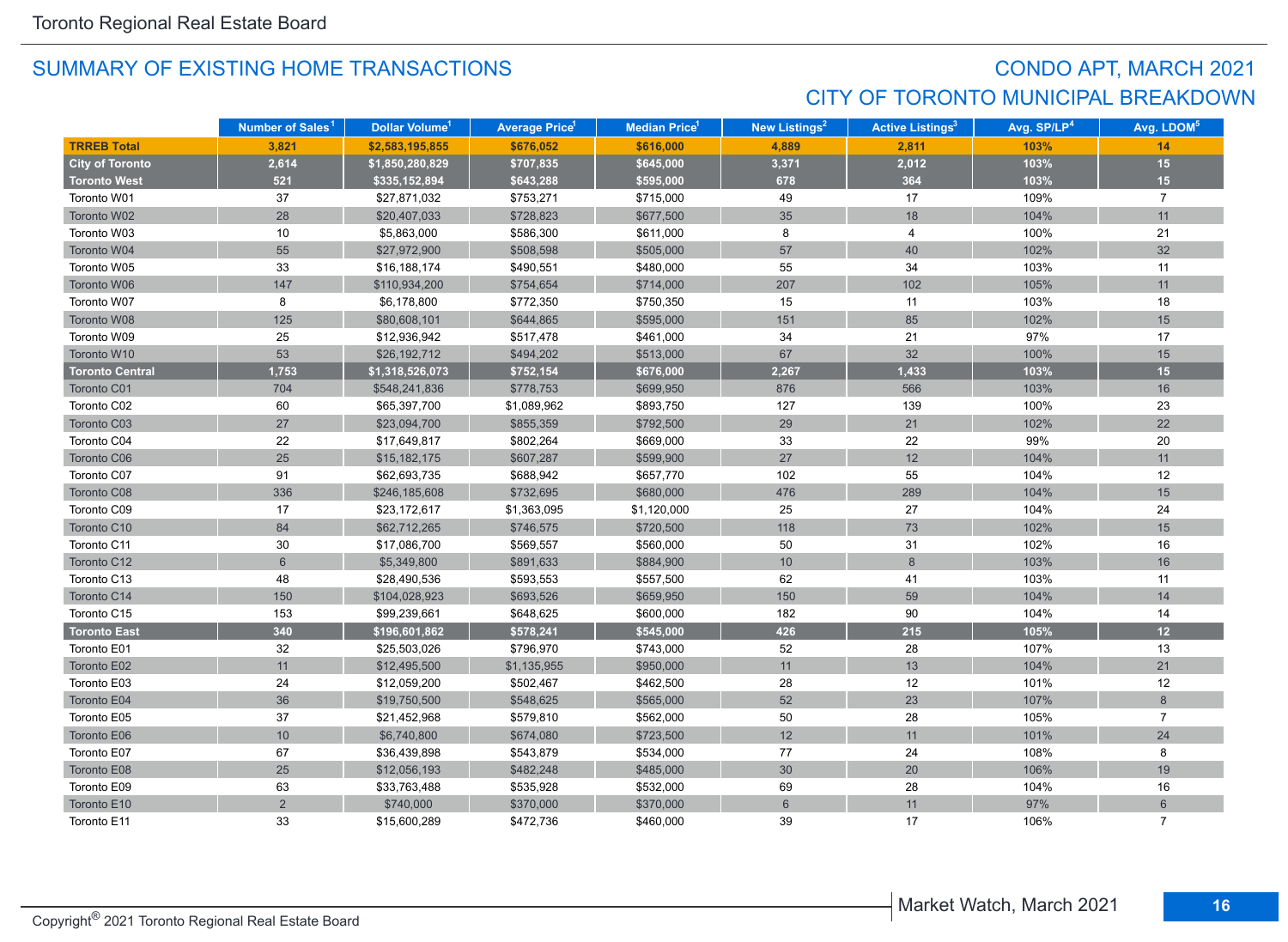## CONDO APT, MARCH 2021 CITY OF TORONTO MUNICIPAL BREAKDOWN

|                        | Number of Sales <sup>1</sup> | Dollar Volume <sup>1</sup> | <b>Average Price</b> <sup>1</sup> | <b>Median Price</b> <sup>1</sup> | New Listings <sup>2</sup> | <b>Active Listings<sup>3</sup></b> | Avg. SP/LP <sup>4</sup> | Avg. LDOM <sup>5</sup> |
|------------------------|------------------------------|----------------------------|-----------------------------------|----------------------------------|---------------------------|------------------------------------|-------------------------|------------------------|
| <b>TRREB Total</b>     | 3,821                        | \$2,583,195,855            | \$676,052                         | \$616,000                        | 4,889                     | 2,811                              | 103%                    | 14                     |
| <b>City of Toronto</b> | 2,614                        | \$1,850,280,829            | \$707,835                         | \$645,000                        | 3,371                     | 2,012                              | 103%                    | 15                     |
| <b>Toronto West</b>    | 521                          | \$335,152,894              | \$643,288                         | \$595,000                        | 678                       | 364                                | 103%                    | 15                     |
| Toronto W01            | 37                           | \$27,871,032               | \$753,271                         | \$715,000                        | 49                        | 17                                 | 109%                    | $\overline{7}$         |
| Toronto W02            | 28                           | \$20,407,033               | \$728,823                         | \$677,500                        | 35                        | 18                                 | 104%                    | 11                     |
| Toronto W03            | 10                           | \$5,863,000                | \$586,300                         | \$611,000                        | 8                         | 4                                  | 100%                    | 21                     |
| Toronto W04            | 55                           | \$27,972,900               | \$508,598                         | \$505,000                        | 57                        | 40                                 | 102%                    | 32                     |
| Toronto W05            | 33                           | \$16,188,174               | \$490,551                         | \$480,000                        | 55                        | 34                                 | 103%                    | 11                     |
| Toronto W06            | 147                          | \$110,934,200              | \$754,654                         | \$714,000                        | 207                       | 102                                | 105%                    | 11                     |
| Toronto W07            | 8                            | \$6,178,800                | \$772,350                         | \$750,350                        | 15                        | 11                                 | 103%                    | 18                     |
| Toronto W08            | 125                          | \$80,608,101               | \$644,865                         | \$595,000                        | 151                       | 85                                 | 102%                    | 15                     |
| Toronto W09            | 25                           | \$12,936,942               | \$517,478                         | \$461,000                        | 34                        | 21                                 | 97%                     | 17                     |
| Toronto W10            | 53                           | \$26,192,712               | \$494,202                         | \$513,000                        | 67                        | 32                                 | 100%                    | 15                     |
| <b>Toronto Central</b> | 1,753                        | \$1,318,526,073            | \$752,154                         | \$676,000                        | 2,267                     | 1,433                              | 103%                    | 15                     |
| Toronto C01            | 704                          | \$548,241,836              | \$778,753                         | \$699,950                        | 876                       | 566                                | 103%                    | 16                     |
| Toronto C02            | 60                           | \$65,397,700               | \$1,089,962                       | \$893,750                        | 127                       | 139                                | 100%                    | 23                     |
| Toronto C03            | 27                           | \$23,094,700               | \$855,359                         | \$792,500                        | 29                        | 21                                 | 102%                    | 22                     |
| Toronto C04            | 22                           | \$17,649,817               | \$802,264                         | \$669,000                        | 33                        | 22                                 | 99%                     | 20                     |
| Toronto C06            | 25                           | \$15,182,175               | \$607,287                         | \$599,900                        | 27                        | 12                                 | 104%                    | 11                     |
| Toronto C07            | 91                           | \$62,693,735               | \$688,942                         | \$657,770                        | 102                       | 55                                 | 104%                    | 12                     |
| Toronto C08            | 336                          | \$246,185,608              | \$732,695                         | \$680,000                        | 476                       | 289                                | 104%                    | 15                     |
| Toronto C09            | 17                           | \$23,172,617               | \$1,363,095                       | \$1,120,000                      | 25                        | 27                                 | 104%                    | 24                     |
| Toronto C10            | 84                           | \$62,712,265               | \$746,575                         | \$720,500                        | 118                       | 73                                 | 102%                    | 15                     |
| Toronto C11            | 30                           | \$17,086,700               | \$569,557                         | \$560,000                        | 50                        | 31                                 | 102%                    | 16                     |
| Toronto C12            | 6                            | \$5,349,800                | \$891,633                         | \$884,900                        | 10                        | 8                                  | 103%                    | 16                     |
| Toronto C13            | 48                           | \$28,490,536               | \$593,553                         | \$557,500                        | 62                        | 41                                 | 103%                    | 11                     |
| Toronto C14            | 150                          | \$104,028,923              | \$693,526                         | \$659,950                        | 150                       | 59                                 | 104%                    | 14                     |
| Toronto C15            | 153                          | \$99,239,661               | \$648,625                         | \$600,000                        | 182                       | 90                                 | 104%                    | 14                     |
| <b>Toronto East</b>    | 340                          | \$196,601,862              | \$578,241                         | \$545,000                        | 426                       | 215                                | 105%                    | 12                     |
| Toronto E01            | 32                           | \$25,503,026               | \$796,970                         | \$743,000                        | 52                        | 28                                 | 107%                    | 13                     |
| Toronto E02            | 11                           | \$12,495,500               | \$1,135,955                       | \$950,000                        | 11                        | 13                                 | 104%                    | 21                     |
| Toronto E03            | 24                           | \$12,059,200               | \$502,467                         | \$462,500                        | 28                        | 12                                 | 101%                    | 12                     |
| Toronto E04            | 36                           | \$19,750,500               | \$548,625                         | \$565,000                        | 52                        | 23                                 | 107%                    | 8                      |
| Toronto E05            | 37                           | \$21,452,968               | \$579,810                         | \$562,000                        | 50                        | 28                                 | 105%                    | $\overline{7}$         |
| Toronto E06            | 10                           | \$6,740,800                | \$674,080                         | \$723,500                        | 12                        | 11                                 | 101%                    | 24                     |
| Toronto E07            | 67                           | \$36,439,898               | \$543,879                         | \$534,000                        | $77\,$                    | 24                                 | 108%                    | 8                      |
| Toronto E08            | 25                           | \$12,056,193               | \$482,248                         | \$485,000                        | 30 <sup>°</sup>           | $20\,$                             | 106%                    | 19                     |
| Toronto E09            | 63                           | \$33,763,488               | \$535,928                         | \$532,000                        | 69                        | 28                                 | 104%                    | 16                     |
| Toronto E10            | $\overline{2}$               | \$740,000                  | \$370,000                         | \$370,000                        | $6\phantom{1}$            | 11                                 | 97%                     | $6\phantom{1}$         |
| Toronto E11            | 33                           | \$15,600,289               | \$472,736                         | \$460,000                        | 39                        | 17                                 | 106%                    | $\overline{7}$         |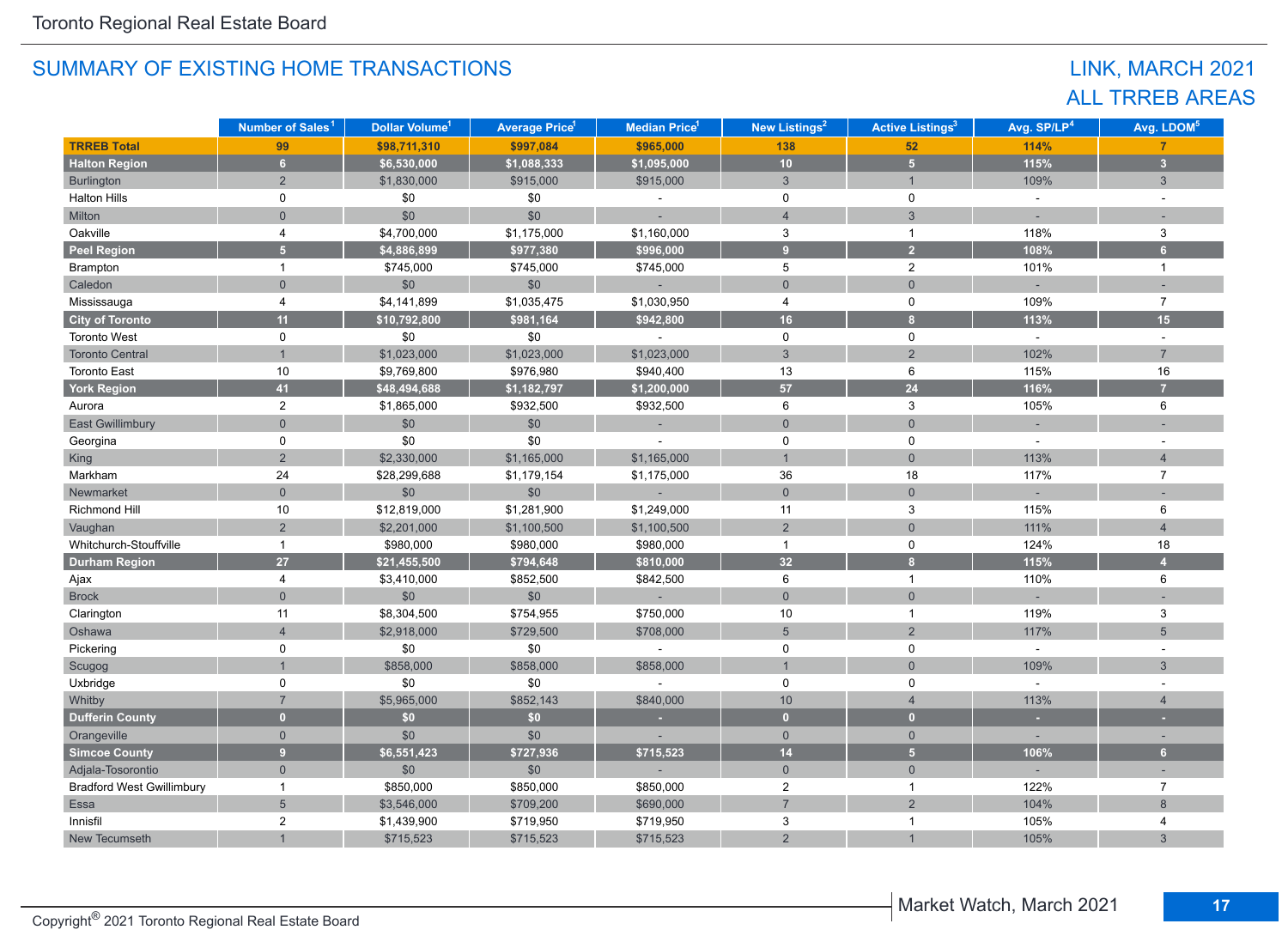## LINK, MARCH 2021 ALL TRREB AREAS

|                                  | Number of Sales <sup>1</sup> | Dollar Volume <sup>1</sup> | <b>Average Price<sup>1</sup></b> | Median Price <sup>1</sup> | <b>New Listings<sup>2</sup></b> | <b>Active Listings<sup>3</sup></b> | Avg. SP/LP <sup>4</sup>     | Avg. LDOM <sup>5</sup>   |
|----------------------------------|------------------------------|----------------------------|----------------------------------|---------------------------|---------------------------------|------------------------------------|-----------------------------|--------------------------|
| <b>TRREB Total</b>               | 99                           | \$98,711,310               | \$997,084                        | \$965,000                 | 138                             | 52                                 | 114%                        | $\overline{7}$           |
| <b>Halton Region</b>             | $6\overline{6}$              | \$6,530,000                | \$1,088,333                      | \$1,095,000               | 10 <sup>°</sup>                 | 5 <sup>1</sup>                     | 115%                        | $\overline{3}$           |
| Burlington                       | 2                            | \$1,830,000                | \$915,000                        | \$915,000                 | $\mathbf{3}$                    | $\mathbf{1}$                       | 109%                        | $\mathbf{3}$             |
| <b>Halton Hills</b>              | 0                            | \$0                        | \$0                              | $\sim$                    | 0                               | 0                                  | $\mathcal{L}^{\mathcal{A}}$ |                          |
| Milton                           | $\mathbf 0$                  | \$0                        | \$0                              |                           | $\overline{4}$                  | $\mathfrak{S}$                     |                             |                          |
| Oakville                         | 4                            | \$4,700,000                | \$1,175,000                      | \$1,160,000               | 3                               | $\mathbf{1}$                       | 118%                        | 3                        |
| <b>Peel Region</b>               | 5 <sup>5</sup>               | \$4,886,899                | \$977,380                        | \$996,000                 | $\overline{9}$                  | $\overline{2}$                     | 108%                        | 6 <sup>1</sup>           |
| Brampton                         | $\mathbf{1}$                 | \$745,000                  | \$745,000                        | \$745,000                 | 5                               | $\overline{2}$                     | 101%                        | $\mathbf{1}$             |
| Caledon                          | $\mathbf 0$                  | \$0                        | \$0                              |                           | $\mathbf 0$                     | $\mathbf 0$                        |                             |                          |
| Mississauga                      | 4                            | \$4,141,899                | \$1,035,475                      | \$1,030,950               | 4                               | 0                                  | 109%                        | $\overline{7}$           |
| <b>City of Toronto</b>           | 11                           | \$10,792,800               | \$981,164                        | \$942,800                 | 16                              | $\overline{\mathbf{8}}$            | 113%                        | 15                       |
| <b>Toronto West</b>              | $\mathbf 0$                  | \$0                        | \$0                              |                           | $\mathbf 0$                     | $\mathbf 0$                        | $\mathcal{L}^{\mathcal{A}}$ | $\sim$                   |
| <b>Toronto Central</b>           |                              | \$1,023,000                | \$1,023,000                      | \$1,023,000               | $\mathfrak{S}$                  | $\overline{2}$                     | 102%                        | $\overline{7}$           |
| <b>Toronto East</b>              | 10                           | \$9,769,800                | \$976,980                        | \$940,400                 | 13                              | 6                                  | 115%                        | 16                       |
| <b>York Region</b>               | 41                           | \$48,494,688               | \$1,182,797                      | \$1,200,000               | 57                              | $\overline{24}$                    | 116%                        | 7                        |
| Aurora                           | $\overline{2}$               | \$1,865,000                | \$932,500                        | \$932,500                 | 6                               | 3                                  | 105%                        | 6                        |
| <b>East Gwillimbury</b>          | $\Omega$                     | \$0                        | \$0                              | ÷,                        | $\overline{0}$                  | $\overline{0}$                     |                             |                          |
| Georgina                         | 0                            | \$0                        | \$0                              |                           | 0                               | 0                                  |                             |                          |
| King                             | $\overline{2}$               | \$2,330,000                | \$1,165,000                      | \$1,165,000               | $\overline{1}$                  | $\mathbf{0}$                       | 113%                        | $\overline{4}$           |
| Markham                          | 24                           | \$28,299,688               | \$1,179,154                      | \$1,175,000               | 36                              | 18                                 | 117%                        | $\overline{7}$           |
| Newmarket                        | $\mathbf 0$                  | \$0                        | \$0                              | $\sim$                    | $\mathbf 0$                     | $\mathbf 0$                        |                             |                          |
| Richmond Hill                    | 10                           | \$12,819,000               | \$1,281,900                      | \$1,249,000               | 11                              | 3                                  | 115%                        | 6                        |
| Vaughan                          | $\overline{2}$               | \$2,201,000                | \$1,100,500                      | \$1,100,500               | $\overline{2}$                  | $\Omega$                           | 111%                        | $\overline{4}$           |
| Whitchurch-Stouffville           | $\mathbf{1}$                 | \$980,000                  | \$980,000                        | \$980,000                 | $\mathbf{1}$                    | 0                                  | 124%                        | 18                       |
| <b>Durham Region</b>             | 27                           | \$21,455,500               | \$794,648                        | \$810,000                 | 32                              | 8 <sup>1</sup>                     | 115%                        | $\overline{4}$           |
| Ajax                             | 4                            | \$3,410,000                | \$852,500                        | \$842,500                 | 6                               | $\mathbf{1}$                       | 110%                        | 6                        |
| <b>Brock</b>                     | $\Omega$                     | \$0                        | \$0                              | ÷.                        | $\mathbf{0}$                    | $\mathbf 0$                        | $\sim$                      |                          |
| Clarington                       | 11                           | \$8,304,500                | \$754,955                        | \$750,000                 | 10                              | $\overline{1}$                     | 119%                        | 3                        |
| Oshawa                           | $\overline{4}$               | \$2,918,000                | \$729,500                        | \$708,000                 | $5\phantom{.}$                  | $\overline{2}$                     | 117%                        | 5                        |
| Pickering                        | 0                            | \$0                        | \$0                              | $\sim$                    | 0                               | 0                                  | $\sim$                      | $\overline{\phantom{a}}$ |
| Scugog                           |                              | \$858,000                  | \$858,000                        | \$858,000                 | $\overline{1}$                  | $\mathbf 0$                        | 109%                        | $\mathbf{3}$             |
| Uxbridge                         | 0                            | \$0                        | \$0                              |                           | $\mathsf 0$                     | $\mathsf 0$                        | $\sim$                      |                          |
| Whitby                           | $\overline{7}$               | \$5,965,000                | \$852,143                        | \$840,000                 | 10                              | $\overline{4}$                     | 113%                        | $\overline{4}$           |
| <b>Dufferin County</b>           | $\overline{0}$               | \$0                        | \$0                              | ×                         | $\mathbf{0}$                    | $\mathbf{0}$                       | ×                           | ٠                        |
| Orangeville                      | $\mathbf{0}$                 | \$0                        | \$0                              |                           | $\overline{0}$                  | $\mathbf{0}$                       |                             |                          |
| <b>Simcoe County</b>             | $\overline{9}$               | \$6,551,423                | \$727,936                        | \$715,523                 | 14                              | 5 <sub>5</sub>                     | 106%                        | 6 <sup>1</sup>           |
| Adjala-Tosorontio                | $\mathbf 0$                  | \$0                        | \$0                              |                           | $\overline{0}$                  | $\mathbf{0}$                       |                             |                          |
| <b>Bradford West Gwillimbury</b> | $\mathbf{1}$                 | \$850,000                  | \$850,000                        | \$850,000                 | $\overline{2}$                  | $\mathbf{1}$                       | 122%                        | $\overline{7}$           |
| Essa                             | $5\overline{)}$              | \$3,546,000                | \$709,200                        | \$690,000                 | $\overline{7}$                  | $\overline{2}$                     | 104%                        | 8                        |
| Innisfil                         | $\overline{2}$               | \$1,439,900                | \$719,950                        | \$719,950                 | 3                               | $\mathbf 1$                        | 105%                        | $\overline{4}$           |
| New Tecumseth                    |                              | \$715,523                  | \$715,523                        | \$715,523                 | $\overline{2}$                  |                                    | 105%                        | $\mathfrak{Z}$           |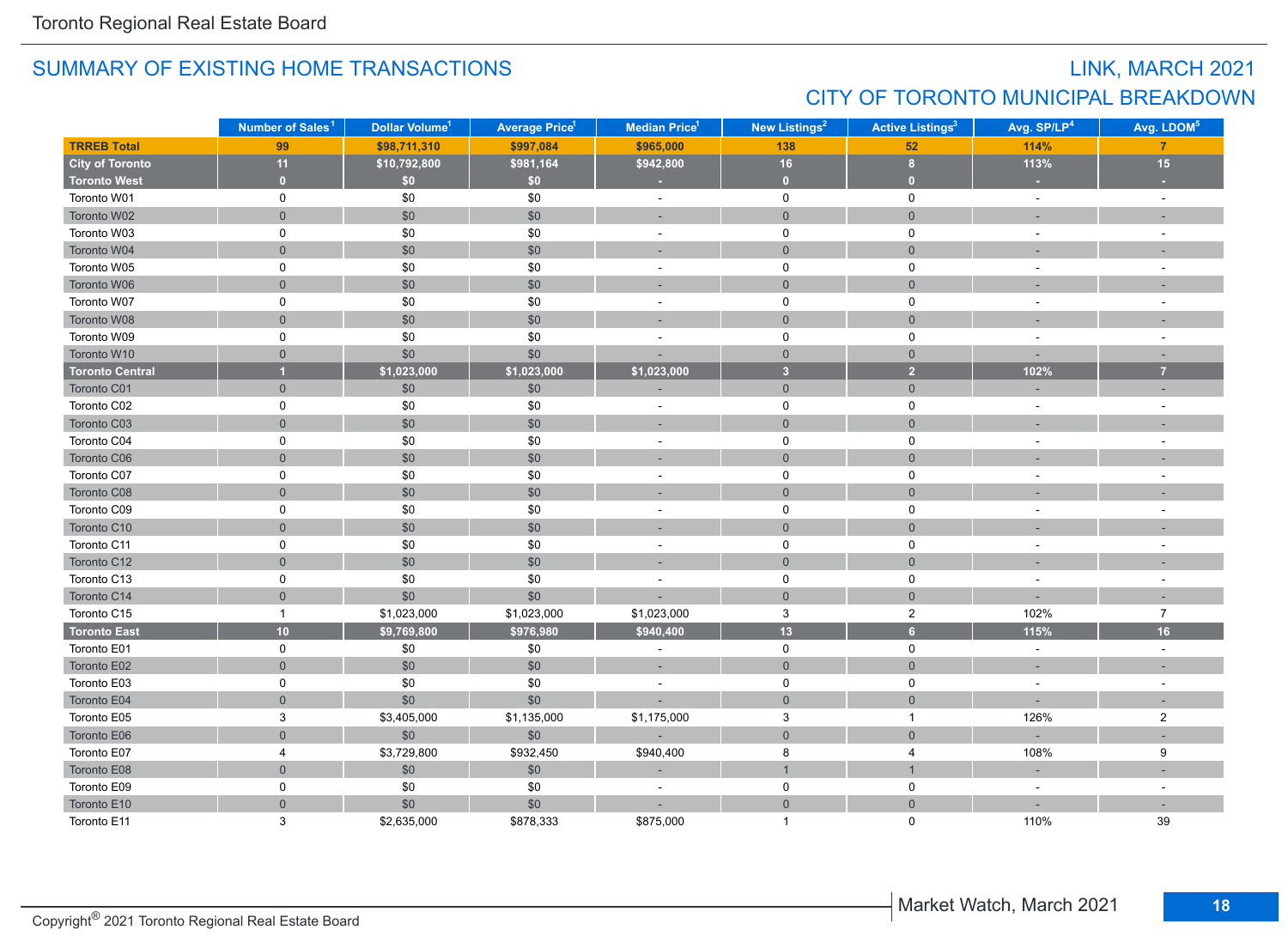## LINK, MARCH 2021 CITY OF TORONTO MUNICIPAL BREAKDOWN

|                        | Number of Sales <sup>1</sup> | Dollar Volume <sup>1</sup> | <b>Average Price<sup>1</sup></b> | Median Price <sup>1</sup> | New Listings <sup>2</sup> | <b>Active Listings<sup>3</sup></b> | Avg. SP/LP <sup>4</sup> | Avg. LDOM <sup>5</sup>   |
|------------------------|------------------------------|----------------------------|----------------------------------|---------------------------|---------------------------|------------------------------------|-------------------------|--------------------------|
| <b>TRREB Total</b>     | 99                           | \$98,711,310               | \$997,084                        | \$965,000                 | 138                       | 52                                 | 114%                    | $\overline{7}$           |
| <b>City of Toronto</b> | 11                           | \$10,792,800               | \$981,164                        | \$942,800                 | 16                        | 8 <sup>2</sup>                     | 113%                    | 15                       |
| <b>Toronto West</b>    | $\mathbf{0}$                 | \$0                        | \$0                              | ×                         | $\overline{0}$            | $\overline{0}$                     | ×.                      |                          |
| Toronto W01            | $\mathbf 0$                  | \$0                        | \$0                              | $\blacksquare$            | $\mathbf 0$               | $\mathbf 0$                        | $\sim$                  | $\sim$                   |
| Toronto W02            | $\overline{0}$               | \$0                        | \$0                              |                           | $\overline{0}$            | $\mathbf{0}$                       |                         |                          |
| Toronto W03            | $\mathbf 0$                  | \$0                        | \$0                              | $\sim$                    | $\mathbf 0$               | $\mathbf 0$                        | $\sim$                  | ÷.                       |
| Toronto W04            | $\mathbf{0}$                 | \$0                        | \$0                              | ۰                         | $\mathsf{O}\xspace$       | $\mathbf{0}$                       |                         |                          |
| Toronto W05            | 0                            | $$0$$                      | \$0                              | $\blacksquare$            | $\mathsf{O}$              | 0                                  |                         | $\overline{\phantom{a}}$ |
| Toronto W06            | $\mathbf{0}$                 | \$0                        | \$0                              | ٠                         | $\mathsf{O}\xspace$       | $\mathbf{0}$                       |                         |                          |
| Toronto W07            | 0                            | \$0                        | \$0                              | ä,                        | $\mathbf 0$               | $\mathbf 0$                        |                         |                          |
| Toronto W08            | $\overline{0}$               | \$0                        | \$0                              |                           | $\mathbf{0}$              | $\mathbf{0}$                       |                         |                          |
| Toronto W09            | 0                            | \$0                        | \$0                              | ÷,                        | $\mathsf 0$               | $\mathsf 0$                        |                         |                          |
| Toronto W10            | $\mathsf{O}\xspace$          | \$0                        | \$0                              |                           | $\overline{0}$            | $\mathsf{O}\xspace$                |                         |                          |
| <b>Toronto Central</b> | $\overline{1}$               | \$1,023,000                | \$1,023,000                      | \$1,023,000               | $\overline{3}$            | $\overline{2}$                     | 102%                    | $\overline{7}$           |
| Toronto C01            | $\overline{0}$               | \$0                        | \$0                              |                           | $\overline{0}$            | $\overline{0}$                     |                         |                          |
| Toronto C02            | 0                            | \$0                        | \$0                              | $\sim$                    | $\mathsf{O}$              | 0                                  | $\sim$                  | $\overline{a}$           |
| Toronto C03            | $\overline{0}$               | \$0                        | \$0                              | ÷                         | $\mathbf{0}$              | $\mathbf{0}$                       |                         |                          |
| Toronto C04            | 0                            | \$0                        | \$0                              | $\overline{\phantom{a}}$  | 0                         | 0                                  |                         | $\overline{\phantom{a}}$ |
| Toronto C06            | $\overline{0}$               | \$0                        | \$0                              | ц.                        | $\overline{0}$            | $\overline{0}$                     |                         |                          |
| Toronto C07            | $\mathbf 0$                  | \$0                        | \$0                              | $\sim$                    | $\mathsf 0$               | $\pmb{0}$                          |                         |                          |
| Toronto C08            | $\mathbf{0}$                 | \$0                        | \$0                              | ÷.                        | $\mathbf 0$               | $\mathbf{0}$                       |                         |                          |
| Toronto C09            | 0                            | \$0                        | \$0                              | $\blacksquare$            | 0                         | 0                                  | $\sim$                  | $\sim$                   |
| Toronto C10            | $\mathsf{O}\xspace$          | \$0                        | \$0                              |                           | $\mathsf{O}\xspace$       | $\mathsf{O}\xspace$                |                         |                          |
| Toronto C11            | 0                            | $$0$$                      | \$0                              | $\bar{a}$                 | $\mathbf 0$               | 0                                  |                         | $\overline{a}$           |
| Toronto C12            | $\mathbf{0}$                 | \$0                        | \$0                              | $\sim$                    | $\mathbf 0$               | $\mathbf{0}$                       |                         |                          |
| Toronto C13            | 0                            | \$0                        | \$0                              | $\sim$                    | $\mathsf 0$               | $\mathsf 0$                        |                         |                          |
| Toronto C14            | $\overline{0}$               | \$0                        | \$0                              |                           | $\overline{0}$            | $\mathbf{0}$                       |                         |                          |
| Toronto C15            | $\mathbf{1}$                 | \$1,023,000                | \$1,023,000                      | \$1,023,000               | 3                         | $\boldsymbol{2}$                   | 102%                    | $\overline{7}$           |
| <b>Toronto East</b>    | 10                           | \$9,769,800                | \$976,980                        | \$940,400                 | $\overline{13}$           | $6\overline{6}$                    | 115%                    | 16                       |
| Toronto E01            | 0                            | \$0                        | \$0                              | $\sim$                    | $\mathbf 0$               | 0                                  | $\sim$                  | $\sim$                   |
| Toronto E02            | $\overline{0}$               | \$0                        | \$0                              | ÷                         | $\mathbf{0}$              | $\mathbf{0}$                       | $\sim$                  | ٠                        |
| Toronto E03            | $\mathbf 0$                  | \$0                        | \$0                              | ٠                         | $\mathsf 0$               | $\mathbf 0$                        | $\sim$                  | $\overline{\phantom{a}}$ |
| Toronto E04            | $\overline{0}$               | \$0                        | \$0                              |                           | $\mathbf 0$               | $\overline{0}$                     |                         |                          |
| Toronto E05            | 3                            | \$3,405,000                | \$1,135,000                      | \$1,175,000               | 3                         | $\mathbf{1}$                       | 126%                    | $\overline{2}$           |
| Toronto E06            | $\mathsf{O}\xspace$          | \$0                        | \$0                              |                           | $\mathbf 0$               | $\mathbf{0}$                       |                         |                          |
| Toronto E07            | 4                            | \$3,729,800                | \$932,450                        | \$940,400                 | 8                         | $\overline{4}$                     | 108%                    | $\boldsymbol{9}$         |
| Toronto E08            | $\mathsf{O}\xspace$          | \$0                        | \$0                              | ÷                         | $\mathbf{1}$              | $\mathbf{1}$                       | $\sim$                  |                          |
| Toronto E09            | 0                            | \$0                        | \$0                              | $\sim$                    | 0                         | 0                                  | $\sim$                  | $\overline{\phantom{a}}$ |
| Toronto E10            | $\overline{0}$               | \$0                        | \$0                              |                           | $\overline{0}$            | $\overline{0}$                     |                         |                          |
| Toronto E11            | 3                            | \$2,635,000                | \$878,333                        | \$875,000                 | 1                         | $\Omega$                           | 110%                    | 39                       |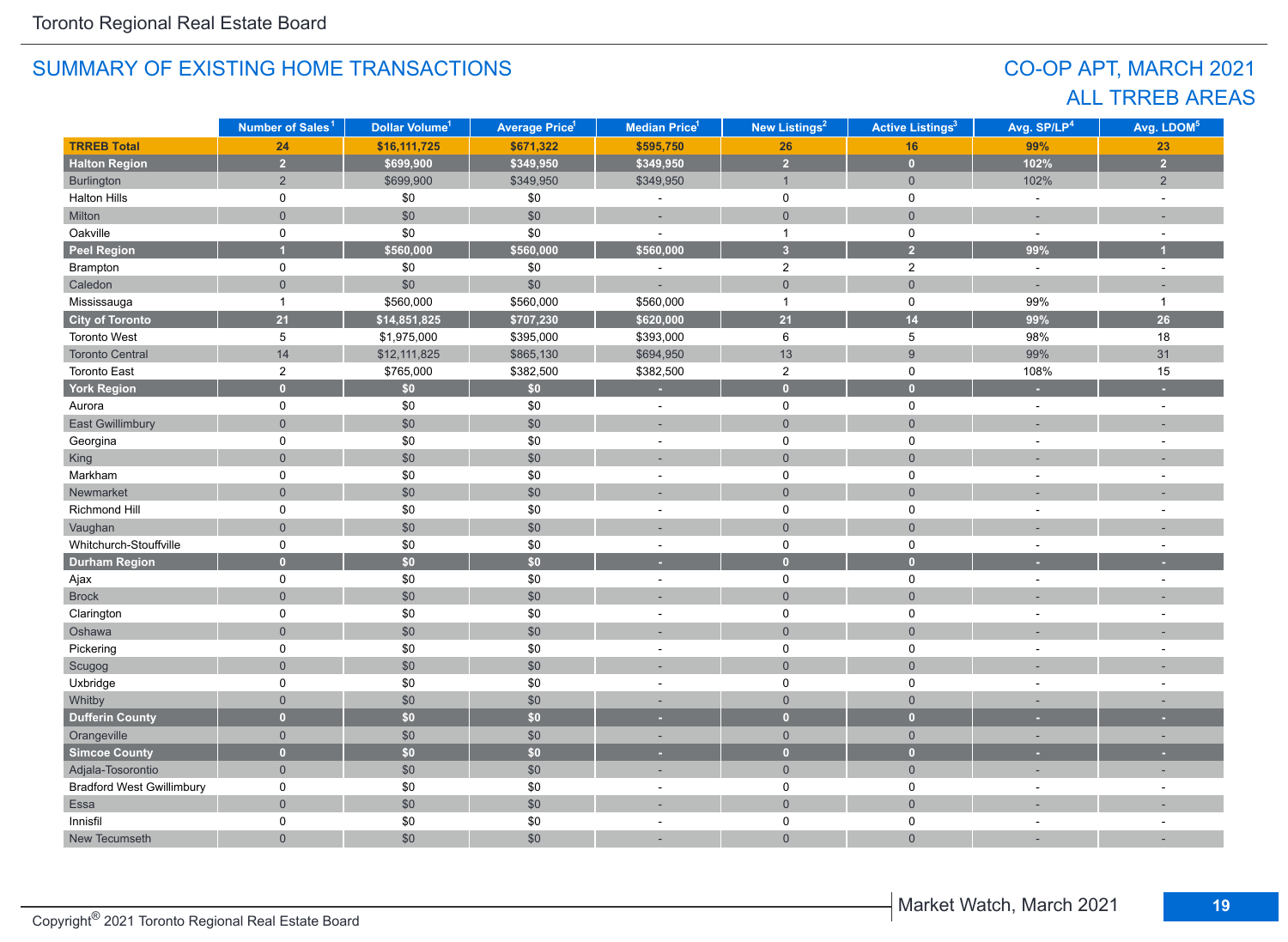## CO-OP APT, MARCH 2021 ALL TRREB AREAS

|                                  | Number of Sales <sup>1</sup> | Dollar Volume <sup>1</sup> | <b>Average Price<sup>1</sup></b> | Median Price <sup>1</sup> | New Listings <sup>2</sup> | <b>Active Listings<sup>3</sup></b> | Avg. SP/LP <sup>4</sup>  | Avg. LDOM <sup>5</sup> |
|----------------------------------|------------------------------|----------------------------|----------------------------------|---------------------------|---------------------------|------------------------------------|--------------------------|------------------------|
| <b>TRREB Total</b>               | 24                           | \$16,111,725               | \$671,322                        | \$595,750                 | 26                        | 16                                 | 99%                      | 23                     |
| <b>Halton Region</b>             | $\overline{2}$               | \$699,900                  | \$349,950                        | \$349,950                 | $\overline{2}$            | $\mathbf{0}$                       | 102%                     | $\overline{2}$         |
| Burlington                       | $\overline{2}$               | \$699,900                  | \$349,950                        | \$349,950                 | $\mathbf{1}$              | $\mathbf 0$                        | 102%                     | $\overline{2}$         |
| <b>Halton Hills</b>              | 0                            | \$0                        | \$0                              | ٠                         | $\mathbf 0$               | $\mathsf 0$                        | $\overline{\phantom{a}}$ | $\overline{a}$         |
| Milton                           | $\overline{0}$               | \$0                        | \$0                              | ÷.                        | $\overline{0}$            | $\mathbf 0$                        | ÷,                       |                        |
| Oakville                         | $\mathbf 0$                  | \$0                        | \$0                              |                           | $\mathbf{1}$              | $\mathbf 0$                        | $\overline{a}$           |                        |
| Peel Region                      |                              | \$560,000                  | \$560,000                        | \$560,000                 | $\overline{3}$            | $\overline{2}$                     | 99%                      | и                      |
| Brampton                         | $\mathbf 0$                  | \$0                        | \$0                              | ä,                        | $\overline{2}$            | $\overline{2}$                     | $\omega$                 | $\sim$                 |
| Caledon                          | $\mathsf{O}\xspace$          | \$0                        | \$0                              |                           | $\mathsf{O}\xspace$       | $\mathsf{O}\xspace$                | ÷,                       |                        |
| Mississauga                      | $\mathbf{1}$                 | \$560,000                  | \$560,000                        | \$560,000                 | $\mathbf{1}$              | $\mathsf 0$                        | 99%                      | $\overline{1}$         |
| <b>City of Toronto</b>           | 21                           | \$14,851,825               | \$707,230                        | \$620,000                 | 21                        | 14                                 | 99%                      | 26                     |
| <b>Toronto West</b>              | 5                            | \$1,975,000                | \$395,000                        | \$393,000                 | $\,6\,$                   | 5                                  | 98%                      | 18                     |
| <b>Toronto Central</b>           | 14                           | \$12,111,825               | \$865,130                        | \$694,950                 | 13                        | 9                                  | 99%                      | 31                     |
| <b>Toronto East</b>              | $\overline{2}$               | \$765,000                  | \$382,500                        | \$382,500                 | $\overline{c}$            | 0                                  | 108%                     | 15                     |
| <b>York Region</b>               | $\overline{0}$               | \$0                        | \$0                              | ٠                         | $\overline{0}$            | $\overline{0}$                     | ٠                        |                        |
| Aurora                           | 0                            | \$0                        | \$0                              | ä,                        | $\mathbf 0$               | $\mathsf 0$                        | $\overline{a}$           |                        |
| <b>East Gwillimbury</b>          | $\overline{0}$               | \$0                        | \$0                              |                           | $\overline{0}$            | $\overline{0}$                     |                          |                        |
| Georgina                         | $\mathbf 0$                  | \$0                        | \$0                              | $\blacksquare$            | $\mathbf 0$               | $\pmb{0}$                          | ÷                        |                        |
| King                             | $\overline{0}$               | \$0                        | \$0                              |                           | $\mathbf 0$               | $\overline{0}$                     |                          |                        |
| Markham                          | 0                            | $\$0$                      | \$0                              | $\bar{a}$                 | $\pmb{0}$                 | $\pmb{0}$                          | ÷,                       |                        |
| Newmarket                        | $\overline{0}$               | \$0                        | \$0                              |                           | $\overline{0}$            | $\mathbf 0$                        |                          |                        |
| Richmond Hill                    | $\mathbf 0$                  | \$0                        | \$0                              | $\sim$                    | $\mathbf 0$               | $\mathsf 0$                        | ÷,                       |                        |
| Vaughan                          | $\overline{0}$               | \$0                        | \$0                              | ÷.                        | $\overline{0}$            | $\mathbf 0$                        |                          |                        |
| Whitchurch-Stouffville           | $\mathbf 0$                  | \$0                        | \$0                              | $\sim$                    | 0                         | $\mathsf 0$                        | $\ddot{\phantom{1}}$     |                        |
| <b>Durham Region</b>             | $\overline{0}$               | \$0                        | \$0                              | ٠                         | $\overline{0}$            | $\overline{0}$                     |                          |                        |
| Ajax                             | $\mathbf 0$                  | $\$0$                      | \$0                              | $\sim$                    | 0                         | 0                                  | $\overline{a}$           | ÷.                     |
| <b>Brock</b>                     | $\overline{0}$               | \$0                        | \$0                              |                           | $\overline{0}$            | $\mathbf 0$                        |                          |                        |
| Clarington                       | 0                            | \$0                        | \$0                              | $\bar{a}$                 | $\mathsf 0$               | $\mathsf 0$                        | ÷                        |                        |
| Oshawa                           | $\overline{0}$               | \$0                        | \$0                              |                           | $\overline{0}$            | $\mathbf 0$                        |                          |                        |
| Pickering                        | 0                            | \$0                        | \$0                              | $\sim$                    | $\mathsf 0$               | $\mathbf 0$                        | ÷,                       |                        |
| Scugog                           | $\overline{0}$               | \$0                        | \$0                              | ÷,                        | $\overline{0}$            | $\overline{0}$                     | ÷,                       |                        |
| Uxbridge                         | 0                            | \$0                        | \$0                              | $\bar{a}$                 | $\mathsf 0$               | $\mathsf 0$                        | ÷,                       | ÷,                     |
| Whitby                           | $\overline{0}$               | \$0                        | $$0$$                            | ×.                        | $\mathbf 0$               | $\mathbf 0$                        | ۰                        | н.                     |
| <b>Dufferin County</b>           | $\overline{0}$               | \$0                        | \$0                              |                           | $\overline{0}$            | $\overline{0}$                     |                          |                        |
| Orangeville                      | $\overline{0}$               | \$0                        | \$0                              | ÷                         | $\overline{0}$            | $\overline{0}$                     | $\overline{\phantom{a}}$ | ÷.                     |
| <b>Simcoe County</b>             | $\overline{0}$               | \$0                        | \$0                              |                           | $\bullet$                 | $\overline{0}$                     |                          |                        |
| Adjala-Tosorontio                | $\overline{0}$               | \$0                        | \$0                              |                           | $\mathsf{O}\xspace$       | $\mathbf{0}$                       |                          |                        |
| <b>Bradford West Gwillimbury</b> | $\pmb{0}$                    | \$0                        | \$0                              | $\sim$                    | $\pmb{0}$                 | $\pmb{0}$                          |                          |                        |
| Essa                             | $\overline{0}$               | \$0                        | \$0                              |                           | $\overline{0}$            | $\overline{0}$                     |                          |                        |
| Innisfil                         | 0                            | $\$0$                      | \$0                              | L.                        | 0                         | $\mathsf 0$                        |                          |                        |
| New Tecumseth                    | $\Omega$                     | \$0                        | \$0                              |                           | $\Omega$                  | $\Omega$                           |                          |                        |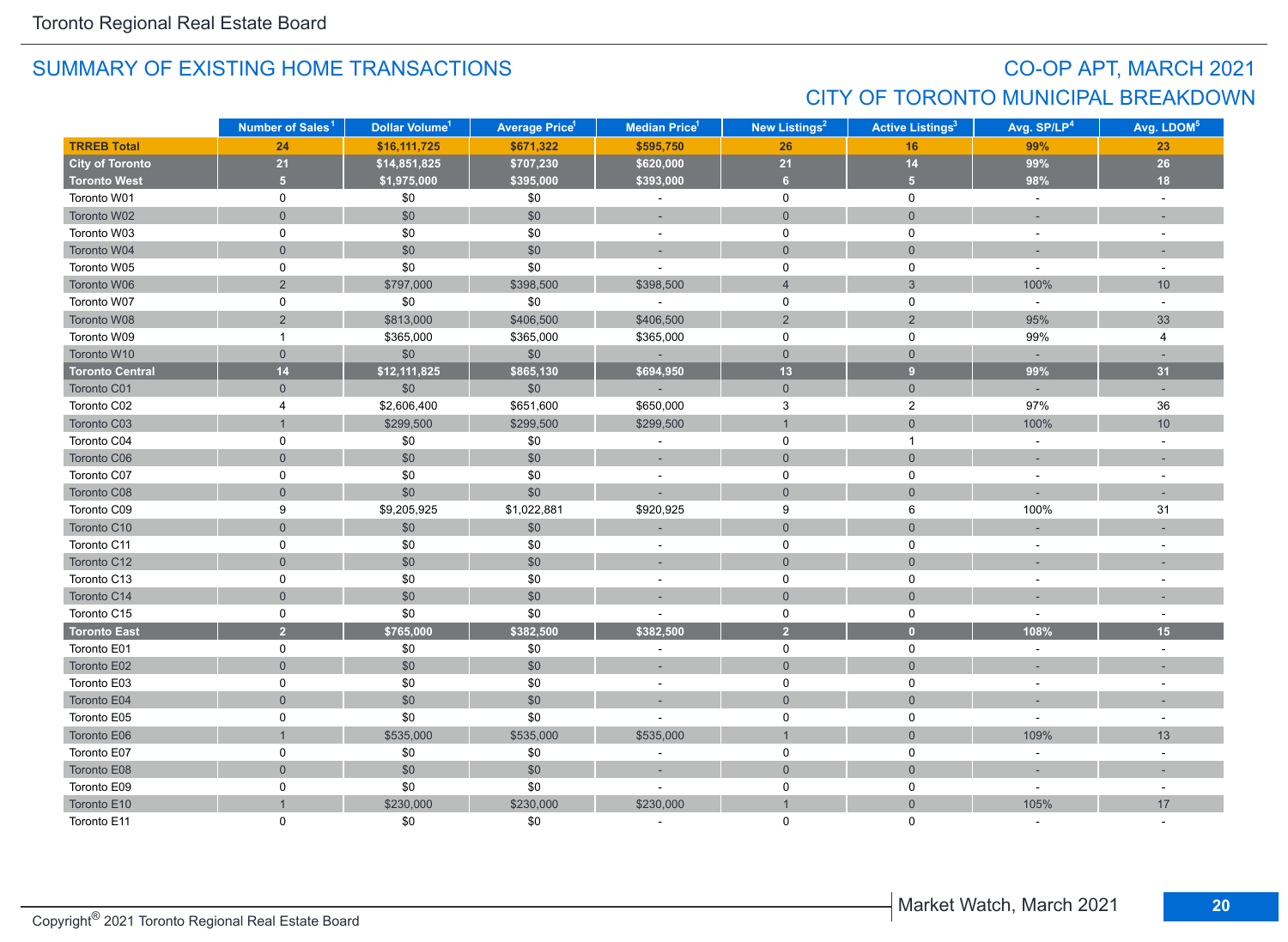## CO-OP APT, MARCH 2021 CITY OF TORONTO MUNICIPAL BREAKDOWN

|                        | Number of Sales <sup>1</sup> | Dollar Volume <sup>1</sup> | <b>Average Price<sup>1</sup></b> | Median Price <sup>1</sup> | New Listings <sup>2</sup> | <b>Active Listings<sup>3</sup></b> | Avg. SP/LP <sup>4</sup> | Avg. LDOM <sup>5</sup>   |
|------------------------|------------------------------|----------------------------|----------------------------------|---------------------------|---------------------------|------------------------------------|-------------------------|--------------------------|
| <b>TRREB Total</b>     | 24                           | \$16,111,725               | \$671,322                        | \$595,750                 | 26                        | 16                                 | 99%                     | 23                       |
| <b>City of Toronto</b> | 21                           | \$14,851,825               | \$707,230                        | \$620,000                 | 21                        | 14                                 | 99%                     | 26                       |
| <b>Toronto West</b>    | 5 <sub>1</sub>               | \$1,975,000                | \$395,000                        | \$393,000                 | 6 <sup>1</sup>            | 5 <sup>1</sup>                     | 98%                     | 18                       |
| Toronto W01            | $\mathbf 0$                  | \$0                        | \$0                              | $\sim$                    | 0                         | 0                                  | $\omega$                | $\sim$                   |
| Toronto W02            | $\mathbf 0$                  | \$0                        | $$0$$                            | ÷                         | $\mathbf 0$               | $\mathsf{O}\xspace$                |                         |                          |
| Toronto W03            | $\mathsf 0$                  | \$0                        | \$0                              | $\blacksquare$            | $\mathsf 0$               | $\pmb{0}$                          | $\sim$                  | $\overline{\phantom{a}}$ |
| Toronto W04            | $\mathbf 0$                  | \$0                        | $$0$$                            |                           | $\mathsf{O}\xspace$       | $\mathbf 0$                        |                         |                          |
| Toronto W05            | 0                            | \$0                        | \$0                              | $\overline{a}$            | 0                         | 0                                  | $\sim$                  | $\sim$                   |
| Toronto W06            | $\overline{c}$               | \$797,000                  | \$398,500                        | \$398,500                 | $\overline{4}$            | $\mathfrak{S}$                     | 100%                    | 10                       |
| Toronto W07            | $\mathbf 0$                  | \$0                        | \$0                              | $\sim$                    | $\mathbf 0$               | $\mathsf{O}\xspace$                | $\sim$                  | $\sim$                   |
| Toronto W08            | $\overline{2}$               | \$813,000                  | \$406,500                        | \$406,500                 | $\overline{2}$            | 2                                  | 95%                     | 33                       |
| Toronto W09            | $\mathbf{1}$                 | \$365,000                  | \$365,000                        | \$365,000                 | 0                         | 0                                  | 99%                     | 4                        |
| Toronto W10            | $\mathbf 0$                  | \$0                        | \$0                              |                           | $\overline{0}$            | $\overline{0}$                     |                         |                          |
| <b>Toronto Central</b> | 14                           | \$12,111,825               | \$865,130                        | \$694,950                 | 13                        | $\overline{9}$                     | 99%                     | 31                       |
| Toronto C01            | $\mathbf 0$                  | \$0                        | \$0                              |                           | $\overline{0}$            | $\mathbf 0$                        | $\sim$                  | $\sim$                   |
| Toronto C02            | 4                            | \$2,606,400                | \$651,600                        | \$650,000                 | 3                         | $\overline{a}$                     | 97%                     | 36                       |
| Toronto C03            |                              | \$299,500                  | \$299,500                        | \$299,500                 | $\mathbf{1}$              | $\mathsf{O}\xspace$                | 100%                    | 10                       |
| Toronto C04            | 0                            | \$0                        | \$0                              | $\sim$                    | $\mathbf 0$               | $\mathbf{1}$                       | $\omega$                | $\sim$                   |
| Toronto C06            | $\mathbf{0}$                 | \$0                        | \$0                              | $\sim$                    | $\mathbf 0$               | $\mathbf{0}$                       |                         |                          |
| Toronto C07            | 0                            | \$0                        | \$0                              |                           | 0                         | 0                                  |                         |                          |
| Toronto C08            | $\mathbf{0}$                 | \$0                        | \$0                              |                           | $\mathbf{0}$              | $\mathbf{0}$                       |                         |                          |
| Toronto C09            | 9                            | \$9,205,925                | \$1,022,881                      | \$920,925                 | 9                         | 6                                  | 100%                    | 31                       |
| Toronto C10            | $\mathbf 0$                  | \$0                        | \$0                              |                           | $\overline{0}$            | $\mathbf{0}$                       |                         |                          |
| Toronto C11            | 0                            | \$0                        | \$0                              | $\sim$                    | $\mathsf{O}$              | 0                                  |                         | $\sim$                   |
| Toronto C12            | $\mathbf 0$                  | \$0                        | \$0                              | $\sim$                    | $\mathsf{O}\xspace$       | $\mathbf 0$                        |                         |                          |
| Toronto C13            | 0                            | \$0                        | \$0                              | $\sim$                    | $\mathbf 0$               | 0                                  |                         |                          |
| Toronto C14            | $\mathbf 0$                  | \$0                        | $$0$$                            |                           | $\mathbf{0}$              | $\mathsf{O}\xspace$                |                         |                          |
| Toronto C15            | 0                            | \$0                        | \$0                              |                           | $\mathsf{O}$              | $\mathsf 0$                        | $\sim$                  | $\sim$                   |
| <b>Toronto East</b>    | $\overline{2}$               | \$765,000                  | \$382,500                        | \$382,500                 | $\overline{2}$            | $\bullet$                          | 108%                    | 15                       |
| Toronto E01            | $\mathbf 0$                  | \$0                        | \$0                              | ÷,                        | $\mathbf 0$               | 0                                  | $\sim$                  | $\sim$                   |
| Toronto E02            | $\mathbf{0}$                 | \$0                        | \$0                              | ×,                        | $\mathbf{0}$              | $\overline{0}$                     |                         | ×.                       |
| Toronto E03            | $\mathbf 0$                  | \$0                        | \$0                              | ÷,                        | $\mathbf 0$               | 0                                  | $\sim$                  |                          |
| Toronto E04            | $\overline{0}$               | \$0                        | \$0                              | ÷,                        | $\mathbf 0$               | $\mathbf{0}$                       |                         |                          |
| Toronto E05            | 0                            | \$0                        | \$0                              |                           | 0                         | 0                                  |                         | $\blacksquare$           |
| Toronto E06            | $\overline{1}$               | \$535,000                  | \$535,000                        | \$535,000                 | $\mathbf{1}$              | $\mathbf 0$                        | 109%                    | 13                       |
| Toronto E07            | $\mathsf 0$                  | \$0                        | $$0$$                            | ÷,                        | $\mathsf{O}\xspace$       | $\mathsf 0$                        | $\sim$                  | $\overline{\phantom{a}}$ |
| Toronto E08            | $\mathbf 0$                  | \$0                        | \$0                              |                           | $\mathbf 0$               | $\mathsf{O}\xspace$                | $\sim$                  | $\overline{\phantom{a}}$ |
| Toronto E09            | 0                            | \$0                        | \$0                              | ÷,                        | $\mathsf{O}$              | 0                                  | $\sim$                  | $\sim$                   |
| Toronto E10            |                              | \$230,000                  | \$230,000                        | \$230,000                 | $\overline{1}$            | $\mathbf 0$                        | 105%                    | 17                       |
| Toronto E11            | $\Omega$                     | \$0                        | \$0                              |                           | $\Omega$                  | $\mathbf{0}$                       |                         |                          |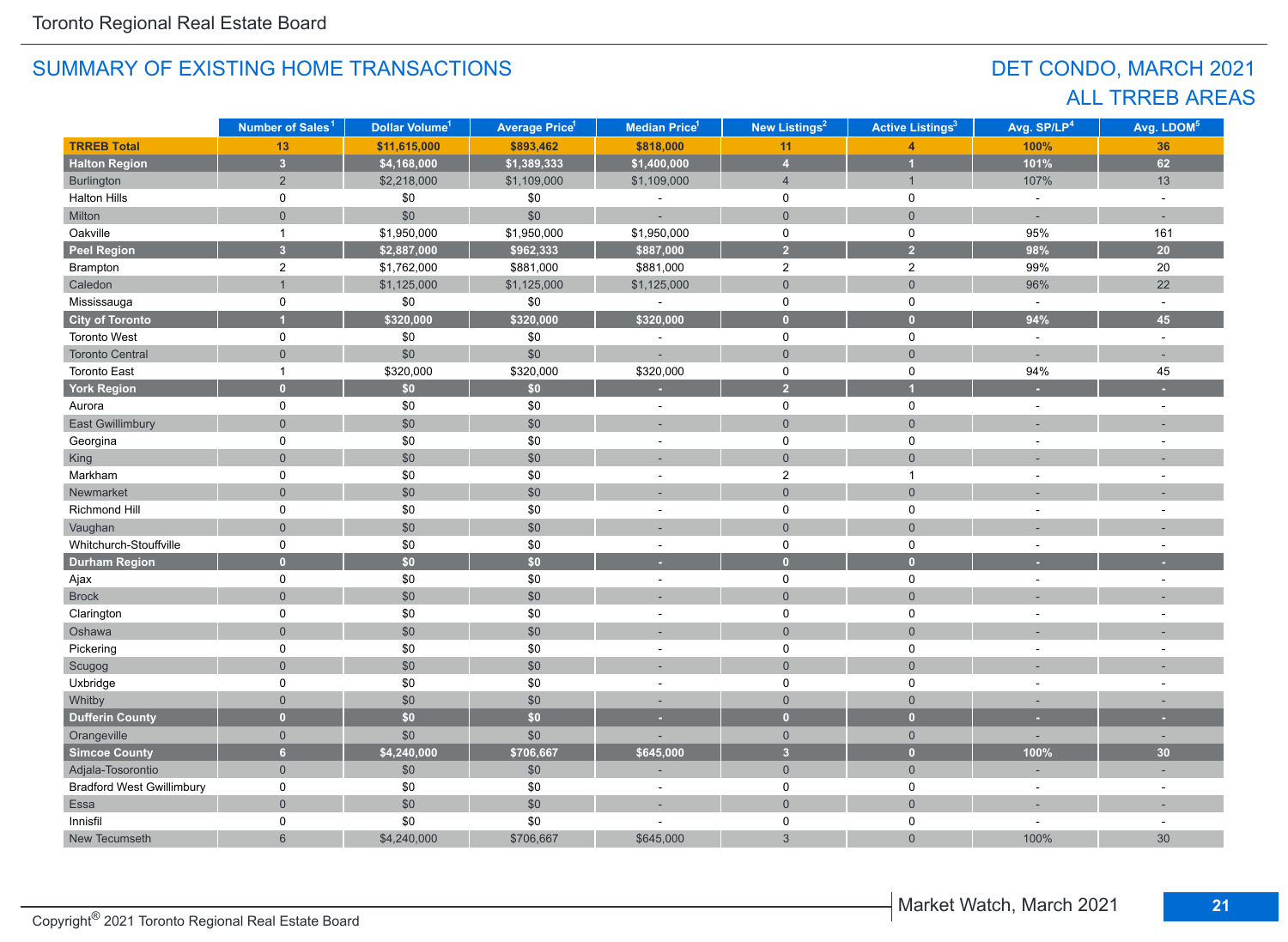## DET CONDO, MARCH 2021 ALL TRREB AREAS

|                                  | Number of Sales <sup>1</sup> | Dollar Volume <sup>1</sup> | <b>Average Price<sup>1</sup></b> | Median Price <sup>1</sup> | <b>New Listings<sup>2</sup></b> | <b>Active Listings<sup>3</sup></b> | Avg. SP/LP <sup>4</sup> | Avg. LDOM <sup>5</sup>   |
|----------------------------------|------------------------------|----------------------------|----------------------------------|---------------------------|---------------------------------|------------------------------------|-------------------------|--------------------------|
| <b>TRREB Total</b>               | 13                           | \$11,615,000               | \$893,462                        | \$818,000                 | 11                              |                                    | 100%                    | 36                       |
| <b>Halton Region</b>             | $\overline{\mathbf{3}}$      | \$4,168,000                | \$1,389,333                      | \$1,400,000               | $\overline{4}$                  | $\overline{1}$                     | 101%                    | 62                       |
| Burlington                       | $\overline{2}$               | \$2,218,000                | \$1,109,000                      | \$1,109,000               | $\overline{4}$                  | $\mathbf{1}$                       | 107%                    | 13                       |
| <b>Halton Hills</b>              | $\mathbf 0$                  | \$0                        | \$0                              |                           | $\mathsf 0$                     | $\mathbf 0$                        | $\mathbb{Z}$            | $\sim$                   |
| Milton                           | $\overline{0}$               | \$0                        | \$0                              | ÷,                        | $\mathbf{0}$                    | $\mathbf{0}$                       | ÷                       | ÷.                       |
| Oakville                         | $\mathbf{1}$                 | \$1,950,000                | \$1,950,000                      | \$1,950,000               | 0                               | $\mathbf 0$                        | 95%                     | 161                      |
| Peel Region                      | $\overline{3}$               | \$2,887,000                | \$962,333                        | \$887,000                 | $\overline{2}$                  | $\overline{2}$                     | 98%                     | 20                       |
| Brampton                         | $\overline{c}$               | \$1,762,000                | \$881,000                        | \$881,000                 | $\overline{c}$                  | $\overline{2}$                     | 99%                     | 20                       |
| Caledon                          | $\mathbf{1}$                 | \$1,125,000                | \$1,125,000                      | \$1,125,000               | $\mathsf{O}\xspace$             | $\mathbf 0$                        | 96%                     | 22                       |
| Mississauga                      | $\mathbf 0$                  | $\$0$                      | $\$0$                            | $\overline{a}$            | $\mathsf 0$                     | $\mathbf 0$                        | $\sim$                  | $\sim$                   |
| <b>City of Toronto</b>           |                              | \$320,000                  | \$320,000                        | \$320,000                 | $\mathbf{0}$                    | $\overline{0}$                     | 94%                     | 45                       |
| <b>Toronto West</b>              | 0                            | \$0                        | \$0                              |                           | $\mathsf 0$                     | $\mathbf 0$                        | $\omega$                | $\sim$                   |
| <b>Toronto Central</b>           | $\mathbf{0}$                 | \$0                        | \$0                              |                           | $\mathsf{O}\xspace$             | $\mathbf 0$                        | ÷,                      |                          |
| <b>Toronto East</b>              | $\mathbf{1}$                 | \$320,000                  | \$320,000                        | \$320,000                 | $\mathsf 0$                     | $\mathbf 0$                        | 94%                     | 45                       |
| <b>York Region</b>               | $\overline{0}$               | \$0                        | \$0                              | ٠                         | $\overline{2}$                  | $\overline{1}$                     | ٠                       |                          |
| Aurora                           | 0                            | \$0                        | \$0                              |                           | $\mathsf 0$                     | $\pmb{0}$                          | $\sim$                  |                          |
| <b>East Gwillimbury</b>          | $\overline{0}$               | \$0                        | \$0                              |                           | $\overline{0}$                  | $\mathbf{0}$                       |                         |                          |
| Georgina                         | 0                            | \$0                        | \$0                              | ÷,                        | $\mathbf 0$                     | $\mathbf 0$                        | L,                      |                          |
| King                             | $\overline{0}$               | \$0                        | \$0                              |                           | $\mathbf{0}$                    | $\overline{0}$                     |                         |                          |
| Markham                          | $\mathbf 0$                  | \$0                        | \$0                              |                           | $\overline{2}$                  | $\overline{1}$                     |                         |                          |
| Newmarket                        | $\overline{0}$               | \$0                        | \$0                              |                           | $\mathsf{O}\xspace$             | $\overline{0}$                     |                         |                          |
| Richmond Hill                    | 0                            | $$0$$                      | \$0                              | ÷                         | $\mathsf 0$                     | $\mathbf 0$                        |                         |                          |
| Vaughan                          | $\Omega$                     | \$0                        | \$0                              |                           | $\overline{0}$                  | $\mathbf{0}$                       |                         |                          |
| Whitchurch-Stouffville           | $\pmb{0}$                    | \$0                        | \$0                              | $\overline{\phantom{a}}$  | $\mathsf 0$                     | $\pmb{0}$                          |                         |                          |
| <b>Durham Region</b>             | $\overline{0}$               | \$0                        | \$0                              | ٥                         | $\overline{0}$                  | $\overline{0}$                     |                         |                          |
| Ajax                             | 0                            | $$0$$                      | \$0                              | $\sim$                    | $\mathsf 0$                     | $\mathsf 0$                        | $\sim$                  | $\sim$                   |
| <b>Brock</b>                     | $\overline{0}$               | \$0                        | \$0                              | ÷                         | $\mathbf 0$                     | $\mathbf 0$                        |                         |                          |
| Clarington                       | $\mathbf 0$                  | \$0                        | \$0                              | ÷,                        | $\mathsf 0$                     | $\pmb{0}$                          |                         |                          |
| Oshawa                           | $\mathbf{0}$                 | \$0                        | \$0                              |                           | $\mathbf{0}$                    | $\mathbf{0}$                       |                         |                          |
| Pickering                        | $\mathbf 0$                  | \$0                        | \$0                              | ÷                         | $\mathsf 0$                     | $\mathbf 0$                        | ÷.                      | $\overline{a}$           |
| Scugog                           | $\overline{0}$               | \$0                        | \$0                              | ÷.                        | $\mathbf 0$                     | $\mathbf 0$                        |                         |                          |
| Uxbridge                         | 0                            | \$0                        | \$0                              | ÷,                        | 0                               | 0                                  | $\sim$                  | $\overline{\phantom{a}}$ |
| Whitby                           | $\overline{0}$               | \$0                        | \$0                              |                           | $\mathbf{0}$                    | $\mathbf{0}$                       |                         |                          |
| <b>Dufferin County</b>           | $\overline{0}$               | \$0                        | \$0                              | ٠                         | $\overline{0}$                  | $\overline{0}$                     | ٠                       | ٠                        |
| Orangeville                      | $\overline{0}$               | \$0                        | \$0                              |                           | $\mathbf 0$                     | $\overline{0}$                     |                         | $\sim$                   |
| <b>Simcoe County</b>             | $6\overline{6}$              | \$4,240,000                | \$706,667                        | \$645,000                 | $\overline{\mathbf{3}}$         | $\overline{0}$                     | 100%                    | 30                       |
| Adjala-Tosorontio                | $\mathbf{0}$                 | \$0                        | \$0                              |                           | $\overline{0}$                  | $\overline{0}$                     | ٠                       |                          |
| <b>Bradford West Gwillimbury</b> | 0                            | \$0                        | \$0                              | ÷,                        | $\mathsf 0$                     | $\mathbf 0$                        | ÷,                      | $\sim$                   |
| Essa                             | $\overline{0}$               | $$0$$                      | \$0                              | $\overline{\phantom{a}}$  | $\mathsf{O}\xspace$             | $\overline{0}$                     | ÷,                      | ٠                        |
| Innisfil                         | $\mathbf 0$                  | \$0                        | \$0                              |                           | $\mathsf 0$                     | $\pmb{0}$                          | $\sim$                  | $\sim$                   |
| New Tecumseth                    | 6                            | \$4,240,000                | \$706,667                        | \$645,000                 | 3                               | $\mathbf 0$                        | 100%                    | 30                       |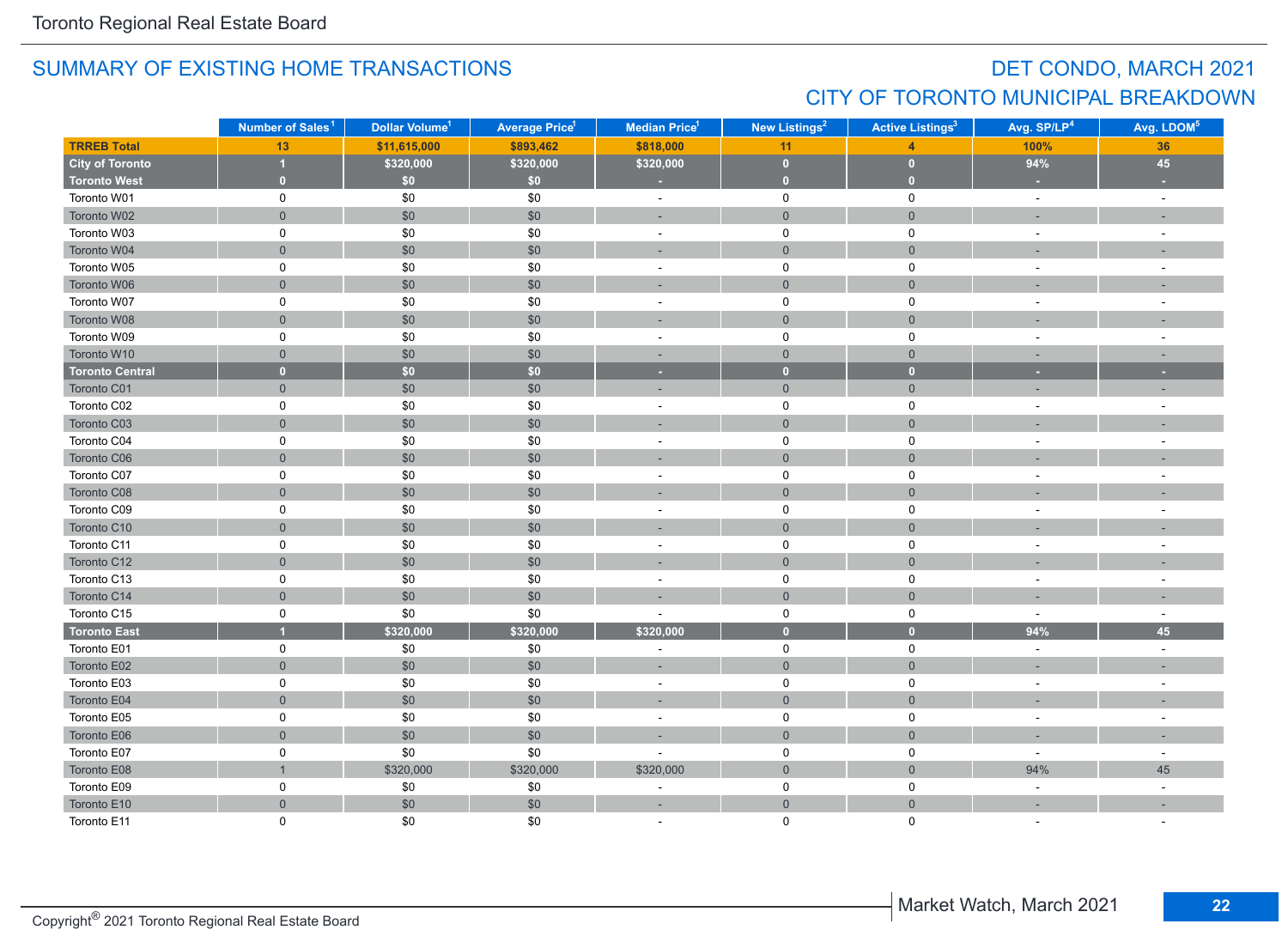## DET CONDO, MARCH 2021 CITY OF TORONTO MUNICIPAL BREAKDOWN

|                        | Number of Sales <sup>1</sup> | Dollar Volume <sup>1</sup> | <b>Average Price<sup>1</sup></b> | Median Price <sup>1</sup> | New Listings <sup>2</sup> | <b>Active Listings<sup>3</sup></b> | Avg. SP/LP <sup>4</sup> | Avg. LDOM <sup>5</sup>   |
|------------------------|------------------------------|----------------------------|----------------------------------|---------------------------|---------------------------|------------------------------------|-------------------------|--------------------------|
| <b>TRREB Total</b>     | 13                           | \$11,615,000               | \$893,462                        | \$818,000                 | 11                        | $\overline{\mathbf{A}}$            | 100%                    | 36                       |
| <b>City of Toronto</b> | 1                            | \$320,000                  | \$320,000                        | \$320,000                 | $\bullet$                 | $\mathbf{0}$                       | 94%                     | 45                       |
| <b>Toronto West</b>    | $\bullet$                    | \$0                        | \$0                              | ×                         | $\bullet$                 | $\overline{0}$                     | ×                       |                          |
| Toronto W01            | 0                            | \$0                        | \$0                              | $\omega$                  | $\mathbf 0$               | 0                                  | $\omega$                | $\sim$                   |
| Toronto W02            | $\mathsf{O}\xspace$          | \$0                        | \$0                              | ÷,                        | $\mathsf{O}\xspace$       | $\mathsf{O}\xspace$                |                         |                          |
| Toronto W03            | $\mathsf 0$                  | \$0                        | \$0                              | $\overline{\phantom{a}}$  | $\mathsf 0$               | $\pmb{0}$                          |                         | $\overline{\phantom{a}}$ |
| Toronto W04            | $\mathsf{O}\xspace$          | \$0                        | \$0                              |                           | $\mathsf{O}\xspace$       | $\mathbf 0$                        |                         |                          |
| Toronto W05            | $\mathsf 0$                  | \$0                        | \$0                              | $\sim$                    | 0                         | 0                                  |                         | ÷.                       |
| Toronto W06            | $\mathbf 0$                  | \$0                        | \$0                              |                           | $\mathsf{O}\xspace$       | $\mathsf{O}\xspace$                |                         |                          |
| Toronto W07            | $\mathbf 0$                  | \$0                        | \$0                              | ÷,                        | $\mathbf 0$               | $\pmb{0}$                          |                         |                          |
| Toronto W08            | $\overline{0}$               | \$0                        | \$0                              | ÷                         | $\mathbf{0}$              | $\mathbf{0}$                       |                         |                          |
| Toronto W09            | 0                            | \$0                        | \$0                              | $\sim$                    | 0                         | 0                                  |                         | ÷,                       |
| Toronto W10            | $\mathbf{0}$                 | \$0                        | \$0                              | ÷,                        | $\mathbf{0}$              | $\mathbf 0$                        |                         |                          |
| <b>Toronto Central</b> | $\mathbf{0}$                 | \$0\$                      | \$0                              | ×                         | $\mathbf{0}$              | $\bullet$                          | ×                       | ٠                        |
| Toronto C01            | $\mathbf 0$                  | \$0                        | \$0                              | ×.                        | $\mathsf{O}\xspace$       | $\mathbf 0$                        |                         |                          |
| Toronto C02            | 0                            | \$0                        | \$0                              | $\sim$                    | 0                         | $\mathsf 0$                        | $\sim$                  | ÷,                       |
| Toronto C03            | $\mathbf 0$                  | \$0                        | $\$0$                            | ٠                         | $\mathsf{O}\xspace$       | $\mathsf{O}\xspace$                |                         |                          |
| Toronto C04            | $\mathsf 0$                  | \$0                        | \$0                              | ÷,                        | 0                         | $\pmb{0}$                          |                         | $\overline{\phantom{a}}$ |
| Toronto C06            | $\mathbf 0$                  | \$0                        | \$0                              | i.                        | $\overline{0}$            | $\mathbf 0$                        |                         |                          |
| Toronto C07            | 0                            | \$0                        | \$0                              | $\sim$                    | $\mathbf 0$               | 0                                  |                         |                          |
| Toronto C08            | $\overline{0}$               | \$0                        | \$0                              |                           | $\mathbf{0}$              | $\mathbf{0}$                       |                         |                          |
| Toronto C09            | 0                            | \$0                        | \$0                              | $\sim$                    | $\mathbf 0$               | 0                                  | $\sim$                  | $\overline{a}$           |
| Toronto C10            | $\mathbf 0$                  | \$0                        | $$0$$                            |                           | $\overline{0}$            | $\mathbf 0$                        |                         |                          |
| Toronto C11            | 0                            | \$0                        | \$0                              | $\sim$                    | $\mathsf{O}$              | 0                                  |                         | $\sim$                   |
| Toronto C12            | $\mathsf{O}\xspace$          | \$0                        | \$0                              | ٠                         | $\mathsf{O}\xspace$       | $\mathsf{O}\xspace$                |                         |                          |
| Toronto C13            | 0                            | \$0                        | \$0                              | $\sim$                    | $\mathsf{O}$              | 0                                  |                         |                          |
| Toronto C14            | $\mathsf{O}\xspace$          | \$0                        | \$0                              |                           | $\mathbf{0}$              | $\mathsf{O}\xspace$                |                         |                          |
| Toronto C15            | $\pmb{0}$                    | \$0                        | \$0                              |                           | $\mathsf{O}\xspace$       | $\pmb{0}$                          | $\sim$                  | $\sim$                   |
| <b>Toronto East</b>    |                              | \$320,000                  | \$320,000                        | \$320,000                 | $\bullet$                 | $\mathbf{0}$                       | 94%                     | 45                       |
| Toronto E01            | $\mathbf 0$                  | $\$0$                      | \$0                              | ÷,                        | $\mathbf 0$               | 0                                  | $\sim$                  | $\sim$                   |
| Toronto E02            | $\mathbf{0}$                 | \$0                        | \$0                              | ×,                        | $\mathbf{0}$              | $\overline{0}$                     |                         | ٠                        |
| Toronto E03            | $\mathbf 0$                  | \$0                        | \$0                              | ÷,                        | 0                         | 0                                  |                         |                          |
| Toronto E04            | $\overline{0}$               | \$0                        | \$0                              | ٠                         | $\overline{0}$            | $\mathbf{0}$                       |                         |                          |
| Toronto E05            | 0                            | \$0                        | \$0                              | $\sim$                    | 0                         | 0                                  |                         |                          |
| Toronto E06            | $\mathsf{O}\xspace$          | \$0                        | \$0                              |                           | $\mathbf{0}$              | $\mathsf{O}\xspace$                |                         |                          |
| Toronto E07            | $\mathsf 0$                  | \$0                        | \$0                              |                           | $\mathsf{O}\xspace$       | $\mathsf 0$                        |                         | $\overline{\phantom{a}}$ |
| Toronto E08            | $\overline{1}$               | \$320,000                  | \$320,000                        | \$320,000                 | $\mathbf 0$               | $\mathsf{O}\xspace$                | 94%                     | 45                       |
| Toronto E09            | 0                            | \$0                        | \$0                              | ÷                         | $\mathsf{O}$              | $\mathsf{O}\xspace$                | $\omega$                | $\bar{a}$                |
| Toronto E10            | $\mathbf 0$                  | \$0                        | \$0                              | ٠                         | $\overline{0}$            | $\mathbf 0$                        |                         |                          |
| Toronto E11            | $\Omega$                     | \$0                        | \$0                              |                           | $\Omega$                  | $\Omega$                           |                         |                          |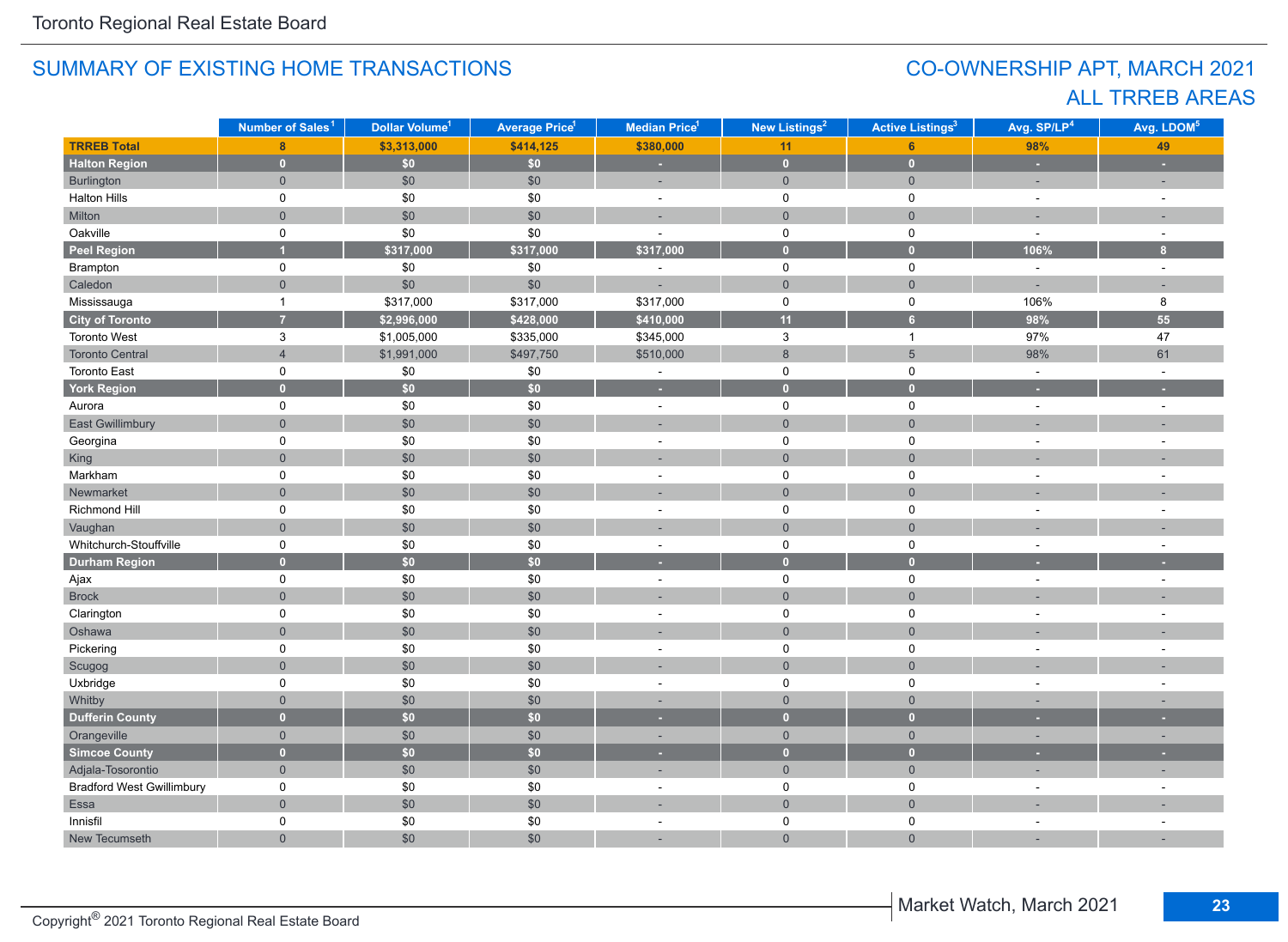## CO-OWNERSHIP APT, MARCH 2021 ALL TRREB AREAS

|                                  | Number of Sales <sup>1</sup> | Dollar Volume <sup>1</sup> | <b>Average Price<sup>1</sup></b> | Median Price <sup>1</sup> | New Listings <sup>2</sup> | <b>Active Listings<sup>3</sup></b> | Avg. SP/LP <sup>4</sup> | Avg. LDOM <sup>5</sup>   |
|----------------------------------|------------------------------|----------------------------|----------------------------------|---------------------------|---------------------------|------------------------------------|-------------------------|--------------------------|
| <b>TRREB Total</b>               | 8                            | \$3,313,000                | \$414,125                        | \$380,000                 | 11                        | 6 <sup>1</sup>                     | 98%                     | 49                       |
| <b>Halton Region</b>             | $\overline{0}$               | \$0                        | \$0\$                            | L.                        | $\mathbf{0}$              | $\bullet$                          | ä,                      |                          |
| Burlington                       | $\mathbf{0}$                 | \$0                        | \$0                              | ÷,                        | $\overline{0}$            | $\overline{0}$                     | ÷,                      | ÷,                       |
| <b>Halton Hills</b>              | $\mathbf 0$                  | \$0                        | $\$0$                            | $\sim$                    | $\mathbf 0$               | $\mathsf 0$                        | $\sim$                  | $\sim$                   |
| Milton                           | $\overline{0}$               | \$0                        | \$0                              |                           | $\mathbf{0}$              | $\mathbf 0$                        |                         |                          |
| Oakville                         | 0                            | \$0                        | \$0                              | $\overline{\phantom{a}}$  | $\mathbf 0$               | $\mathsf 0$                        | $\sim$                  | $\sim$                   |
| <b>Peel Region</b>               |                              | \$317,000                  | \$317,000                        | \$317,000                 | $\bullet$                 | $\bullet$                          | 106%                    | $\mathbf{8}$             |
| Brampton                         | $\mathsf 0$                  | \$0                        | $\$0$                            | $\sim$                    | $\mathsf 0$               | $\mathsf 0$                        | $\sim$                  | $\sim$                   |
| Caledon                          | $\overline{0}$               | \$0                        | \$0                              |                           | $\mathbf{0}$              | $\overline{0}$                     |                         | $\sim$                   |
| Mississauga                      | $\mathbf{1}$                 | \$317,000                  | \$317,000                        | \$317,000                 | $\mathsf 0$               | $\mathsf 0$                        | 106%                    | 8                        |
| <b>City of Toronto</b>           | $\overline{7}$               | \$2,996,000                | \$428,000                        | \$410,000                 | 11                        | 6 <sup>1</sup>                     | 98%                     | 55                       |
| <b>Toronto West</b>              | $\mathbf{3}$                 | \$1,005,000                | \$335,000                        | \$345,000                 | $\mathbf{3}$              | $\mathbf{1}$                       | 97%                     | 47                       |
| <b>Toronto Central</b>           | $\overline{4}$               | \$1,991,000                | \$497,750                        | \$510,000                 | $\,8\,$                   | $5\phantom{.0}$                    | 98%                     | 61                       |
| <b>Toronto East</b>              | $\mathsf 0$                  | \$0                        | \$0                              | $\blacksquare$            | $\mathsf 0$               | $\mathsf 0$                        | $\sim$                  | $\sim$                   |
| <b>York Region</b>               | $\mathbf{0}$                 | \$0                        | \$0                              | ×,                        | $\overline{0}$            | $\mathbf{0}$                       | ×.                      |                          |
| Aurora                           | 0                            | \$0                        | \$0                              | $\sim$                    | $\mathsf 0$               | $\mathsf 0$                        | $\sim$                  | $\sim$                   |
| <b>East Gwillimbury</b>          | $\overline{0}$               | $$0$$                      | \$0                              | ÷,                        | $\mathbf{0}$              | $\overline{0}$                     |                         |                          |
| Georgina                         | 0                            | \$0                        | \$0                              | $\sim$                    | $\mathsf 0$               | $\mathbf 0$                        |                         | ÷.                       |
| King                             | $\overline{0}$               | \$0                        | \$0                              |                           | $\overline{0}$            | $\overline{0}$                     |                         |                          |
| Markham                          | $\mathbf 0$                  | \$0                        | \$0                              | ÷,                        | $\mathsf 0$               | $\mathbf 0$                        |                         |                          |
| Newmarket                        | $\overline{0}$               | \$0                        | \$0                              |                           | $\overline{0}$            | $\overline{0}$                     |                         |                          |
| Richmond Hill                    | $\mathbf 0$                  | \$0                        | \$0                              | ÷                         | $\mathbf 0$               | $\mathbf 0$                        |                         |                          |
| Vaughan                          | $\overline{0}$               | $$0$$                      | \$0                              |                           | $\mathbf 0$               | $\mathbf 0$                        |                         |                          |
| Whitchurch-Stouffville           | $\mathsf 0$                  | \$0                        | \$0                              | $\blacksquare$            | $\mathsf 0$               | $\mathsf 0$                        | $\overline{a}$          |                          |
| <b>Durham Region</b>             | $\overline{0}$               | \$0                        | \$0                              | u                         | $\overline{0}$            | $\overline{0}$                     |                         |                          |
| Ajax                             | $\mathsf 0$                  | \$0                        | \$0                              | $\sim$                    | $\mathsf 0$               | $\mathsf 0$                        | $\sim$                  | $\sim$                   |
| <b>Brock</b>                     | $\overline{0}$               | \$0                        | \$0                              |                           | $\mathbf 0$               | $\overline{0}$                     |                         |                          |
| Clarington                       | 0                            | $$0$$                      | $$0$$                            | $\sim$                    | $\mathbf 0$               | $\mathsf 0$                        | $\overline{a}$          | $\overline{a}$           |
| Oshawa                           | $\overline{0}$               | $$0$$                      | \$0                              |                           | $\overline{0}$            | $\overline{0}$                     |                         |                          |
| Pickering                        | 0                            | $$0$$                      | $\$0$                            | $\blacksquare$            | $\mathbf 0$               | $\mathsf 0$                        |                         | ÷.                       |
| Scugog                           | $\overline{0}$               | $$0$$                      | \$0                              | ÷                         | $\mathsf{O}\xspace$       | $\overline{0}$                     |                         |                          |
| Uxbridge                         | 0                            | $$0$$                      | $\$0$                            | ÷.                        | $\mathbf 0$               | $\mathbf 0$                        |                         | $\overline{a}$           |
| Whitby                           | $\overline{0}$               | $$0$$                      | \$0                              | ×.                        | $\mathsf{O}\xspace$       | $\mathsf{O}\xspace$                |                         |                          |
| <b>Dufferin County</b>           | $\overline{0}$               | \$0                        | \$0                              | ٠                         | $\overline{0}$            | $\overline{0}$                     |                         |                          |
| Orangeville                      | $\mathbf{0}$                 | \$0                        | \$0                              | ٠                         | $\mathsf{O}\xspace$       | $\mathsf{O}\xspace$                | $\sim$                  | ٠                        |
| <b>Simcoe County</b>             | $\overline{0}$               | \$0                        | \$0                              | ٠                         | $\overline{0}$            | $\mathbf{0}$                       |                         |                          |
| Adjala-Tosorontio                | $\mathbf 0$                  | $$0$$                      | \$0                              | ÷                         | $\mathbf 0$               | $\overline{0}$                     |                         |                          |
| <b>Bradford West Gwillimbury</b> | $\mathbf 0$                  | \$0                        | \$0                              | ٠                         | $\mathbf 0$               | $\mathbf 0$                        |                         |                          |
| Essa                             | $\overline{0}$               | $$0$$                      | \$0                              |                           | $\overline{0}$            | $\overline{0}$                     |                         |                          |
| Innisfil                         | 0                            | $\$0$                      | $$0$$                            | ÷,                        | 0                         | $\mathbf 0$                        |                         | $\overline{\phantom{a}}$ |
| New Tecumseth                    | $\overline{0}$               | \$0                        | \$0                              |                           | $\overline{0}$            | $\overline{0}$                     |                         |                          |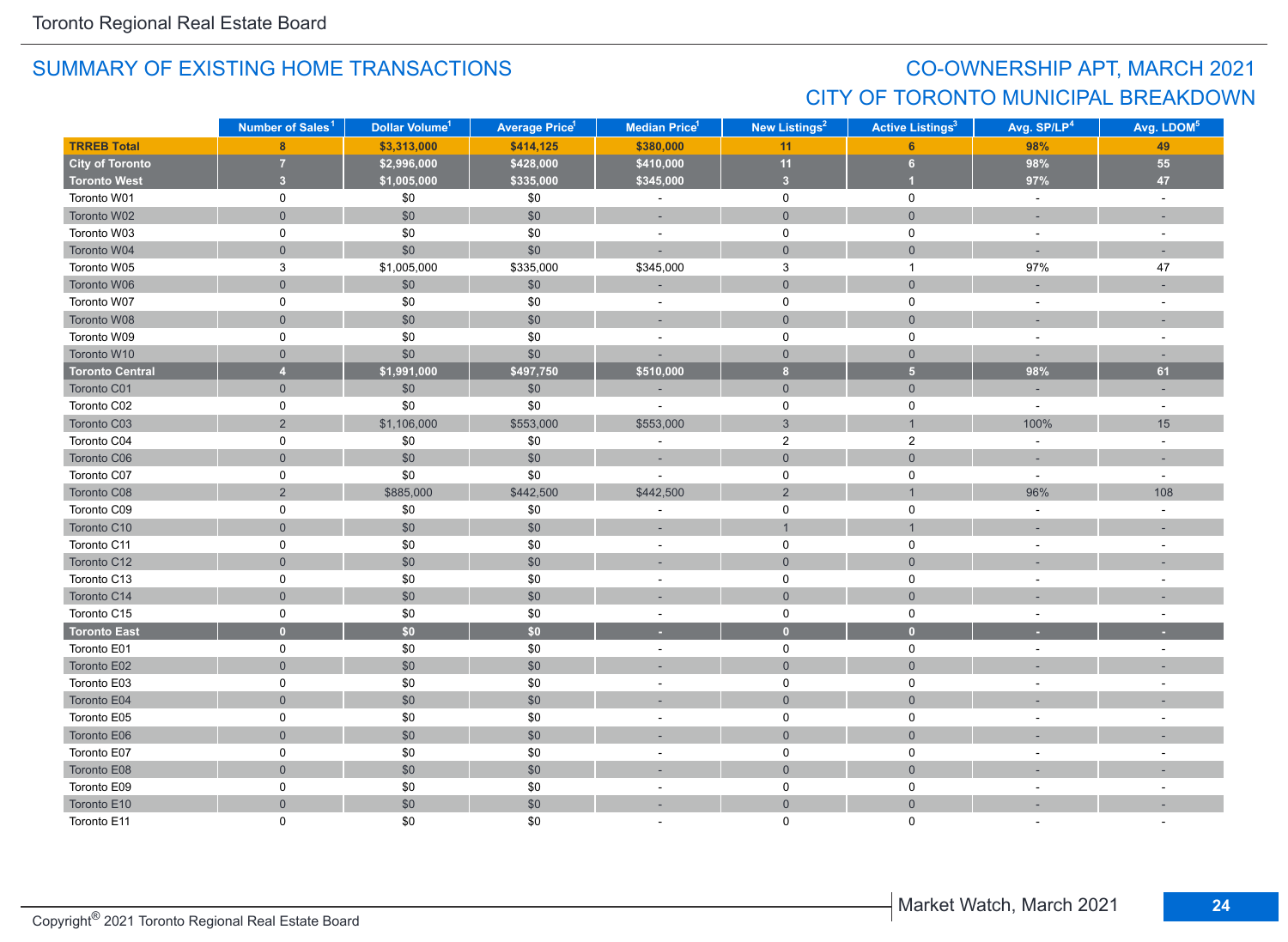## CO-OWNERSHIP APT, MARCH 2021 CITY OF TORONTO MUNICIPAL BREAKDOWN

|                        | Number of Sales <sup>1</sup> | Dollar Volume <sup>1</sup> | <b>Average Price<sup>1</sup></b> | Median Price <sup>1</sup> | New Listings <sup>2</sup> | <b>Active Listings<sup>3</sup></b> | Avg. SP/LP <sup>4</sup>  | Avg. LDOM <sup>5</sup>   |
|------------------------|------------------------------|----------------------------|----------------------------------|---------------------------|---------------------------|------------------------------------|--------------------------|--------------------------|
| <b>TRREB Total</b>     | 8                            | \$3,313,000                | \$414,125                        | \$380,000                 | 11                        | 6                                  | 98%                      | 49                       |
| <b>City of Toronto</b> | $\overline{7}$               | \$2,996,000                | \$428,000                        | \$410,000                 | 11                        | 6 <sup>1</sup>                     | 98%                      | 55                       |
| <b>Toronto West</b>    | 3 <sup>2</sup>               | \$1,005,000                | \$335,000                        | \$345,000                 | $\overline{\mathbf{3}}$   | $\overline{1}$                     | 97%                      | 47                       |
| Toronto W01            | $\mathsf 0$                  | \$0                        | \$0                              | $\Box$                    | $\mathsf 0$               | $\mathsf 0$                        | $\sim$                   | $\omega$                 |
| Toronto W02            | $\mathsf{O}\xspace$          | \$0                        | \$0                              | ×,                        | $\mathbf{0}$              | $\overline{0}$                     | $\sim$                   |                          |
| Toronto W03            | 0                            | $$0$$                      | \$0                              | $\bar{a}$                 | $\mathsf 0$               | $\mathbf 0$                        | $\sim$                   |                          |
| Toronto W04            | $\mathsf{O}\xspace$          | \$0                        | \$0                              | ÷.                        | $\mathsf{O}$              | $\mathsf{O}\xspace$                |                          |                          |
| Toronto W05            | 3                            | \$1,005,000                | \$335,000                        | \$345,000                 | 3                         | $\mathbf{1}$                       | 97%                      | 47                       |
| Toronto W06            | $\mathbf{0}$                 | \$0                        | \$0                              | ÷,                        | $\mathbf 0$               | $\overline{0}$                     |                          |                          |
| Toronto W07            | 0                            | \$0                        | \$0                              | $\overline{\phantom{a}}$  | $\mathbf 0$               | $\mathbf 0$                        | $\sim$                   |                          |
| Toronto W08            | $\mathbf 0$                  | \$0                        | \$0                              | ÷                         | $\mathbf{0}$              | $\overline{0}$                     | $\sim$                   | $\overline{\phantom{a}}$ |
| Toronto W09            | 0                            | \$0                        | \$0                              | $\sim$                    | $\mathsf 0$               | $\mathbf 0$                        | $\sim$                   | $\sim$                   |
| Toronto W10            | $\mathbf 0$                  | \$0                        | \$0                              |                           | $\mathbf{0}$              | $\mathsf{O}\xspace$                | i.                       |                          |
| <b>Toronto Central</b> | $\overline{4}$               | \$1,991,000                | \$497,750                        | \$510,000                 | $\bf 8$                   | $\overline{\mathbf{5}}$            | 98%                      | 61                       |
| Toronto C01            | $\mathsf{O}\xspace$          | \$0                        | \$0                              |                           | $\mathsf{O}$              | $\mathsf{O}\xspace$                |                          |                          |
| Toronto C02            | 0                            | \$0                        | \$0                              | L.                        | $\mathsf{O}$              | $\mathbf 0$                        | $\sim$                   | $\sim$                   |
| Toronto C03            | $\overline{2}$               | \$1,106,000                | \$553,000                        | \$553,000                 | $\mathbf{3}$              | $\mathbf{1}$                       | 100%                     | 15                       |
| Toronto C04            | 0                            | \$0                        | \$0                              | ÷                         | $\overline{2}$            | $\overline{c}$                     | $\sim$                   | $\sim$                   |
| Toronto C06            | $\overline{0}$               | \$0                        | \$0                              | ÷,                        | $\mathbf{0}$              | $\overline{0}$                     | $\sim$                   | $\sim$                   |
| Toronto C07            | 0                            | \$0                        | \$0                              |                           | $\mathsf 0$               | $\mathbf 0$                        | $\sim$                   | $\sim$                   |
| Toronto C08            | $\overline{2}$               | \$885,000                  | \$442,500                        | \$442,500                 | $\overline{2}$            | $\mathbf{1}$                       | 96%                      | 108                      |
| Toronto C09            | $\mathsf 0$                  | $$0$$                      | \$0                              | $\bar{a}$                 | $\mathsf{O}\xspace$       | $\mathsf 0$                        | $\sim$                   | $\sim$                   |
| Toronto C10            | $\mathsf{O}\xspace$          | \$0                        | \$0                              | ÷,                        | $\mathbf{1}$              | $\mathbf{1}$                       |                          | ÷.                       |
| Toronto C11            | 0                            | \$0                        | \$0                              | $\sim$                    | $\mathbf 0$               | $\mathbf 0$                        |                          | $\sim$                   |
| Toronto C12            | $\mathbf 0$                  | \$0                        | \$0                              | $\sim$                    | $\mathbf 0$               | $\overline{0}$                     |                          |                          |
| Toronto C13            | 0                            | \$0                        | \$0                              | $\sim$                    | $\mathbf 0$               | $\mathbf 0$                        |                          |                          |
| Toronto C14            | $\mathbf 0$                  | \$0                        | \$0                              |                           | $\mathbf 0$               | $\overline{0}$                     |                          |                          |
| Toronto C15            | $\mathsf 0$                  | $\$0$                      | \$0                              | $\overline{\phantom{a}}$  | $\mathsf{O}\xspace$       | $\mathsf 0$                        | $\sim$                   | $\sim$                   |
| <b>Toronto East</b>    | $\mathbf{0}$                 | \$0                        | \$0                              | ٠                         | $\bullet$                 | $\bullet$                          |                          |                          |
| Toronto E01            | $\mathsf 0$                  | $\$0$                      | \$0                              | $\overline{\phantom{a}}$  | $\mathbf 0$               | $\mathsf 0$                        | $\sim$                   | $\sim$                   |
| Toronto E02            | $\mathbf 0$                  | $$0$$                      | \$0                              | ÷,                        | $\mathsf{O}$              | $\mathsf{O}\xspace$                |                          |                          |
| Toronto E03            | $\mathbf 0$                  | \$0                        | \$0                              | ä,                        | $\mathbf 0$               | $\mathsf 0$                        |                          |                          |
| Toronto E04            | $\overline{0}$               | \$0                        | \$0                              | ۰                         | $\overline{0}$            | $\overline{0}$                     |                          |                          |
| Toronto E05            | 0                            | \$0                        | \$0                              | $\overline{\phantom{a}}$  | $\mathbf 0$               | 0                                  |                          |                          |
| Toronto E06            | $\mathsf{O}\xspace$          | \$0                        | \$0                              |                           | $\overline{0}$            | $\overline{0}$                     |                          |                          |
| Toronto E07            | $\mathsf 0$                  | $\$0$                      | \$0                              | $\overline{\phantom{a}}$  | $\mathsf 0$               | $\mathsf 0$                        | $\overline{\phantom{a}}$ |                          |
| Toronto E08            | $\mathsf{O}\xspace$          | $$0$$                      | \$0                              | ÷,                        | $\mathsf{O}\xspace$       | $\mathsf{O}\xspace$                |                          |                          |
| Toronto E09            | 0                            | $$0$$                      | \$0                              | $\blacksquare$            | 0                         | $\mathsf 0$                        | $\sim$                   | $\sim$                   |
| Toronto E10            | $\mathbf 0$                  | $$0$$                      | \$0                              | ÷                         | $\mathbf 0$               | $\overline{0}$                     |                          |                          |
| Toronto E11            | $\Omega$                     | \$0                        | \$0                              |                           | $\mathbf{0}$              | $\Omega$                           |                          |                          |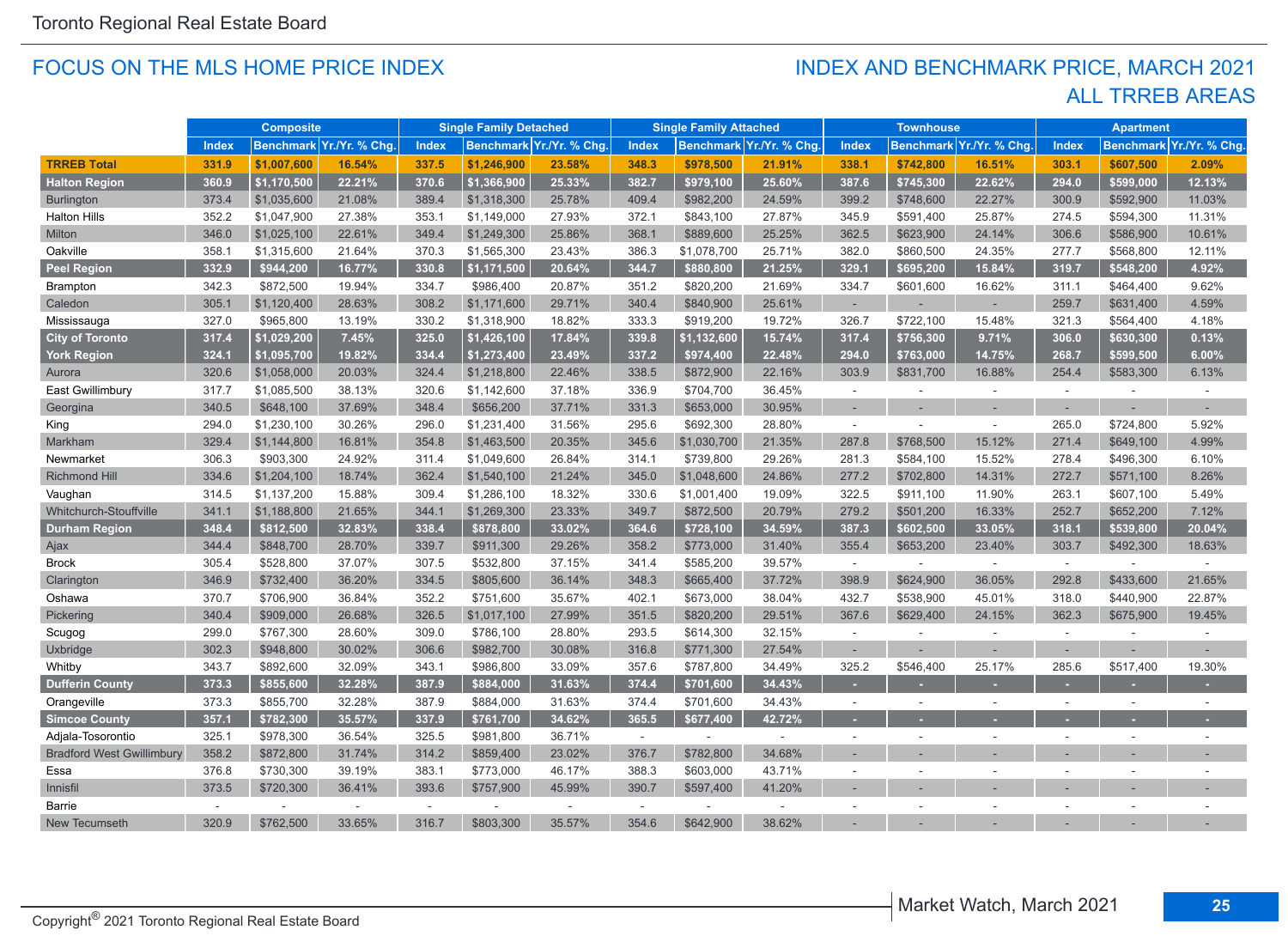#### FOCUS ON THE MLS HOME PRICE INDEX

#### ALL TRREB AREAS INDEX AND BENCHMARK PRICE, MARCH 2021

|                                  | <b>Composite</b> |             | <b>Single Family Detached</b> |        | <b>Single Family Attached</b> |                          | <b>Townhouse</b> |             |                          | <b>Apartment</b> |           |                         |              |                  |                |
|----------------------------------|------------------|-------------|-------------------------------|--------|-------------------------------|--------------------------|------------------|-------------|--------------------------|------------------|-----------|-------------------------|--------------|------------------|----------------|
|                                  | <b>Index</b>     |             | Benchmark Yr./Yr. % Chg.      | Index  |                               | Benchmark Yr./Yr. % Chg. | <b>Index</b>     |             | Benchmark Yr./Yr. % Chg. | <b>Index</b>     |           | Benchmark Yr./Yr. % Chg | <b>Index</b> | <b>Benchmark</b> | Yr./Yr. % Chg. |
| <b>TRREB Total</b>               | 331.9            | \$1,007,600 | 16.54%                        | 337.5  | \$1,246,900                   | 23.58%                   | 348.3            | \$978,500   | 21.91%                   | 338.1            | \$742,800 | 16.51%                  | 303.1        | \$607,500        | 2.09%          |
| <b>Halton Region</b>             | 360.9            | \$1,170,500 | 22.21%                        | 370.6  | \$1,366,900                   | 25.33%                   | 382.7            | \$979,100   | 25.60%                   | 387.6            | \$745,300 | 22.62%                  | 294.0        | \$599,000        | 12.13%         |
| <b>Burlington</b>                | 373.4            | \$1,035,600 | 21.08%                        | 389.4  | \$1,318,300                   | 25.78%                   | 409.4            | \$982,200   | 24.59%                   | 399.2            | \$748,600 | 22.27%                  | 300.9        | \$592,900        | 11.03%         |
| <b>Halton Hills</b>              | 352.2            | \$1,047,900 | 27.38%                        | 353.1  | \$1,149,000                   | 27.93%                   | 372.1            | \$843,100   | 27.87%                   | 345.9            | \$591,400 | 25.87%                  | 274.5        | \$594,300        | 11.31%         |
| Milton                           | 346.0            | \$1,025,100 | 22.61%                        | 349.4  | \$1,249,300                   | 25.86%                   | 368.1            | \$889,600   | 25.25%                   | 362.5            | \$623,900 | 24.14%                  | 306.6        | \$586,900        | 10.61%         |
| Oakville                         | 358.1            | \$1,315,600 | 21.64%                        | 370.3  | \$1,565,300                   | 23.43%                   | 386.3            | \$1,078,700 | 25.71%                   | 382.0            | \$860,500 | 24.35%                  | 277.7        | \$568,800        | 12.11%         |
| <b>Peel Region</b>               | 332.9            | \$944,200   | 16.77%                        | 330.8  | \$1,171,500                   | 20.64%                   | 344.7            | \$880,800   | 21.25%                   | 329.1            | \$695,200 | 15.84%                  | 319.7        | \$548,200        | 4.92%          |
| Brampton                         | 342.3            | \$872,500   | 19.94%                        | 334.7  | \$986,400                     | 20.87%                   | 351.2            | \$820,200   | 21.69%                   | 334.7            | \$601,600 | 16.62%                  | 311.1        | \$464,400        | 9.62%          |
| Caledon                          | 305.1            | \$1,120,400 | 28.63%                        | 308.2  | \$1,171,600                   | 29.71%                   | 340.4            | \$840,900   | 25.61%                   | $\sim$           |           |                         | 259.7        | \$631,400        | 4.59%          |
| Mississauga                      | 327.0            | \$965,800   | 13.19%                        | 330.2  | \$1,318,900                   | 18.82%                   | 333.3            | \$919,200   | 19.72%                   | 326.7            | \$722,100 | 15.48%                  | 321.3        | \$564,400        | 4.18%          |
| <b>City of Toronto</b>           | 317.4            | \$1,029,200 | 7.45%                         | 325.0  | \$1,426,100                   | 17.84%                   | 339.8            | \$1,132,600 | 15.74%                   | 317.4            | \$756,300 | 9.71%                   | 306.0        | \$630,300        | 0.13%          |
| <b>York Region</b>               | 324.1            | \$1,095,700 | 19.82%                        | 334.4  | \$1,273,400                   | 23.49%                   | 337.2            | \$974,400   | 22.48%                   | 294.0            | \$763,000 | 14.75%                  | 268.7        | \$599,500        | 6.00%          |
| Aurora                           | 320.6            | \$1,058,000 | 20.03%                        | 324.4  | \$1,218,800                   | 22.46%                   | 338.5            | \$872,900   | 22.16%                   | 303.9            | \$831,700 | 16.88%                  | 254.4        | \$583,300        | 6.13%          |
| East Gwillimbury                 | 317.7            | \$1,085,500 | 38.13%                        | 320.6  | \$1,142,600                   | 37.18%                   | 336.9            | \$704,700   | 36.45%                   | $\sim$           | $\sim$    | $\sim$                  | $\sim$       |                  | ÷,             |
| Georgina                         | 340.5            | \$648,100   | 37.69%                        | 348.4  | \$656,200                     | 37.71%                   | 331.3            | \$653,000   | 30.95%                   | ٠                |           |                         |              |                  |                |
| King                             | 294.0            | \$1,230,100 | 30.26%                        | 296.0  | \$1,231,400                   | 31.56%                   | 295.6            | \$692,300   | 28.80%                   | $\sim$           |           |                         | 265.0        | \$724,800        | 5.92%          |
| Markham                          | 329.4            | \$1,144,800 | 16.81%                        | 354.8  | \$1,463,500                   | 20.35%                   | 345.6            | \$1,030,700 | 21.35%                   | 287.8            | \$768,500 | 15.12%                  | 271.4        | \$649,100        | 4.99%          |
| Newmarket                        | 306.3            | \$903,300   | 24.92%                        | 311.4  | \$1,049,600                   | 26.84%                   | 314.1            | \$739,800   | 29.26%                   | 281.3            | \$584,100 | 15.52%                  | 278.4        | \$496,300        | 6.10%          |
| <b>Richmond Hill</b>             | 334.6            | \$1,204,100 | 18.74%                        | 362.4  | \$1,540,100                   | 21.24%                   | 345.0            | \$1,048,600 | 24.86%                   | 277.2            | \$702,800 | 14.31%                  | 272.7        | \$571,100        | 8.26%          |
| Vaughan                          | 314.5            | \$1,137,200 | 15.88%                        | 309.4  | \$1,286,100                   | 18.32%                   | 330.6            | \$1,001,400 | 19.09%                   | 322.5            | \$911,100 | 11.90%                  | 263.1        | \$607,100        | 5.49%          |
| Whitchurch-Stouffville           | 341.1            | \$1,188,800 | 21.65%                        | 344.1  | \$1,269,300                   | 23.33%                   | 349.7            | \$872,500   | 20.79%                   | 279.2            | \$501,200 | 16.33%                  | 252.7        | \$652,200        | 7.12%          |
| <b>Durham Region</b>             | 348.4            | \$812,500   | 32.83%                        | 338.4  | \$878,800                     | 33.02%                   | 364.6            | \$728,100   | 34.59%                   | 387.3            | \$602,500 | 33.05%                  | 318.1        | \$539,800        | 20.04%         |
| Ajax                             | 344.4            | \$848,700   | 28.70%                        | 339.7  | \$911,300                     | 29.26%                   | 358.2            | \$773,000   | 31.40%                   | 355.4            | \$653,200 | 23.40%                  | 303.7        | \$492,300        | 18.63%         |
| <b>Brock</b>                     | 305.4            | \$528,800   | 37.07%                        | 307.5  | \$532,800                     | 37.15%                   | 341.4            | \$585,200   | 39.57%                   | $\sim$           |           | $\sim$                  | $\sim$       | ÷,               | $\omega$       |
| Clarington                       | 346.9            | \$732,400   | 36.20%                        | 334.5  | \$805,600                     | 36.14%                   | 348.3            | \$665,400   | 37.72%                   | 398.9            | \$624,900 | 36.05%                  | 292.8        | \$433,600        | 21.65%         |
| Oshawa                           | 370.7            | \$706,900   | 36.84%                        | 352.2  | \$751,600                     | 35.67%                   | 402.1            | \$673,000   | 38.04%                   | 432.7            | \$538,900 | 45.01%                  | 318.0        | \$440,900        | 22.87%         |
| Pickering                        | 340.4            | \$909,000   | 26.68%                        | 326.5  | \$1,017,100                   | 27.99%                   | 351.5            | \$820,200   | 29.51%                   | 367.6            | \$629,400 | 24.15%                  | 362.3        | \$675,900        | 19.45%         |
| Scugog                           | 299.0            | \$767,300   | 28.60%                        | 309.0  | \$786,100                     | 28.80%                   | 293.5            | \$614,300   | 32.15%                   | $\sim$           |           |                         | $\sim$       |                  |                |
| Uxbridge                         | 302.3            | \$948,800   | 30.02%                        | 306.6  | \$982,700                     | 30.08%                   | 316.8            | \$771,300   | 27.54%                   | $\sim$           |           |                         |              |                  |                |
| Whitby                           | 343.7            | \$892,600   | 32.09%                        | 343.1  | \$986,800                     | 33.09%                   | 357.6            | \$787,800   | 34.49%                   | 325.2            | \$546,400 | 25.17%                  | 285.6        | \$517,400        | 19.30%         |
| <b>Dufferin County</b>           | 373.3            | \$855,600   | 32.28%                        | 387.9  | \$884,000                     | 31.63%                   | 374.4            | \$701,600   | 34.43%                   |                  |           |                         |              |                  |                |
| Orangeville                      | 373.3            | \$855,700   | 32.28%                        | 387.9  | \$884,000                     | 31.63%                   | 374.4            | \$701,600   | 34.43%                   | $\sim$           | $\sim$    |                         | $\sim$       | $\sim$           |                |
| <b>Simcoe County</b>             | 357.1            | \$782,300   | 35.57%                        | 337.9  | \$761,700                     | 34.62%                   | 365.5            | \$677,400   | 42.72%                   | $\sim$           |           |                         |              |                  |                |
| Adjala-Tosorontio                | 325.1            | \$978,300   | 36.54%                        | 325.5  | \$981,800                     | 36.71%                   | $\sim$           | $\sim$      | $\sim$                   | $\sim$           | $\sim$    |                         | $\sim$       | $\sim$           |                |
| <b>Bradford West Gwillimbury</b> | 358.2            | \$872,800   | 31.74%                        | 314.2  | \$859,400                     | 23.02%                   | 376.7            | \$782,800   | 34.68%                   |                  |           |                         |              |                  |                |
| Essa                             | 376.8            | \$730,300   | 39.19%                        | 383.1  | \$773,000                     | 46.17%                   | 388.3            | \$603,000   | 43.71%                   | $\sim$           | $\sim$    |                         |              |                  |                |
| Innisfil                         | 373.5            | \$720,300   | 36.41%                        | 393.6  | \$757,900                     | 45.99%                   | 390.7            | \$597,400   | 41.20%                   |                  |           |                         |              |                  |                |
| Barrie                           | $\sim$           |             | $\sim$                        | $\sim$ |                               |                          | $\sim$           |             | $\sim$                   |                  |           |                         |              |                  |                |
| New Tecumseth                    | 320.9            | \$762,500   | 33.65%                        | 316.7  | \$803,300                     | 35.57%                   | 354.6            | \$642,900   | 38.62%                   |                  |           |                         |              |                  |                |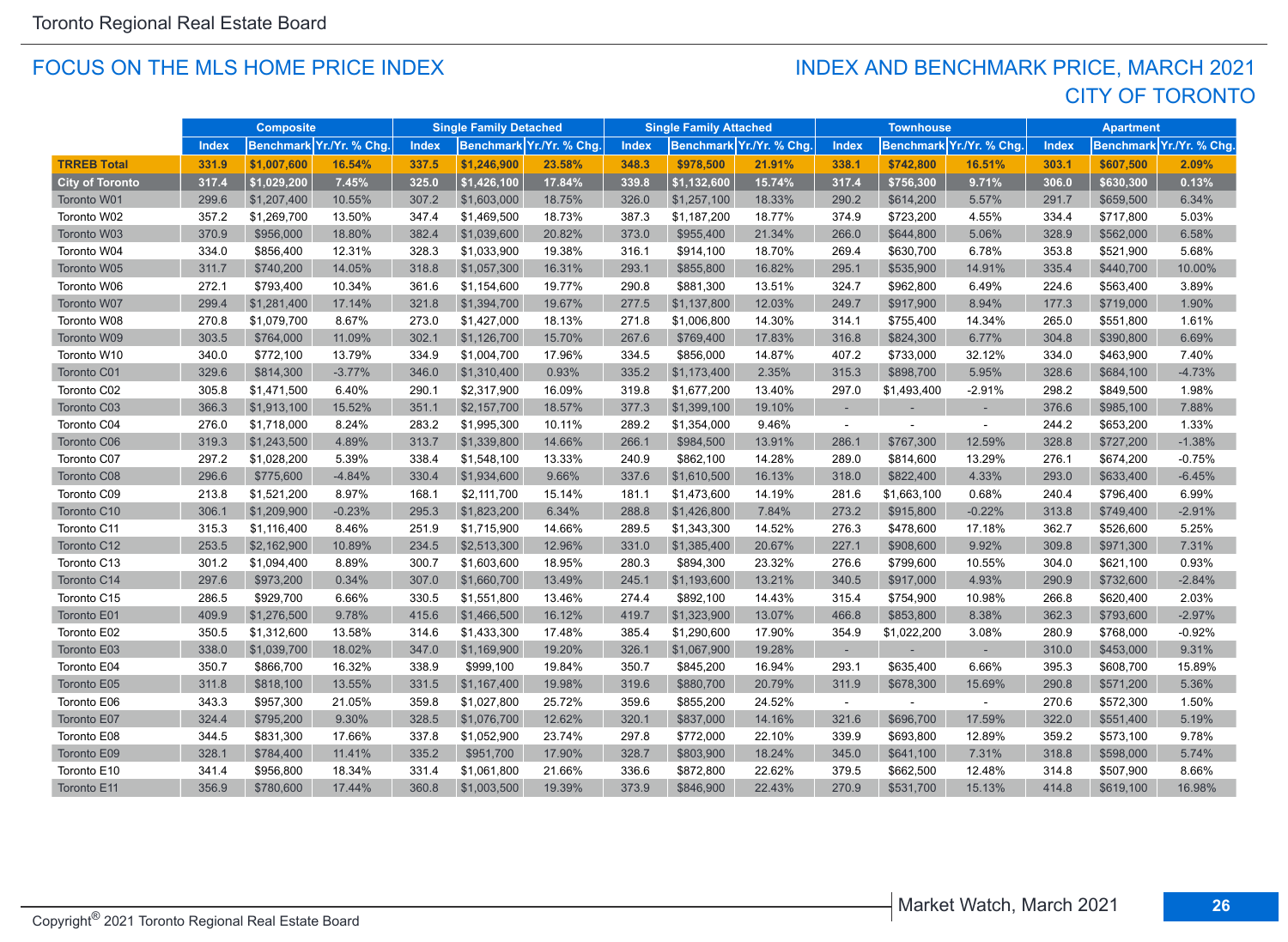#### FOCUS ON THE MLS HOME PRICE INDEX

### CITY OF TORONTO INDEX AND BENCHMARK PRICE, MARCH 2021

|                        |       | <b>Composite</b> |                         |              | <b>Single Family Detached</b> |                         |              | <b>Single Family Attached</b> |                          |              | <b>Townhouse</b> |                         |       | <b>Apartment</b> |                                        |
|------------------------|-------|------------------|-------------------------|--------------|-------------------------------|-------------------------|--------------|-------------------------------|--------------------------|--------------|------------------|-------------------------|-------|------------------|----------------------------------------|
|                        | Index |                  | Benchmark Yr./Yr. % Chg | <b>Index</b> |                               | Benchmark Yr./Yr. % Chg | <b>Index</b> |                               | Benchmark Yr./Yr. % Chg. | <b>Index</b> |                  | Benchmark Yr./Yr. % Chg | Index |                  | Benchmark <mark>Yr./Yr. % Chg</mark> . |
| <b>TRREB Total</b>     | 331.9 | \$1,007,600      | 16.54%                  | 337.5        | \$1,246,900                   | 23.58%                  | 348.3        | \$978,500                     | 21.91%                   | 338.1        | \$742,800        | 16.51%                  | 303.1 | \$607,500        | 2.09%                                  |
| <b>City of Toronto</b> | 317.4 | \$1,029,200      | 7.45%                   | 325.0        | \$1,426,100                   | 17.84%                  | 339.8        | \$1,132,600                   | 15.74%                   | 317.4        | \$756,300        | 9.71%                   | 306.0 | \$630,300        | 0.13%                                  |
| Toronto W01            | 299.6 | \$1,207,400      | 10.55%                  | 307.2        | \$1,603,000                   | 18.75%                  | 326.0        | \$1,257,100                   | 18.33%                   | 290.2        | \$614,200        | 5.57%                   | 291.7 | \$659,500        | 6.34%                                  |
| Toronto W02            | 357.2 | \$1,269,700      | 13.50%                  | 347.4        | \$1,469,500                   | 18.73%                  | 387.3        | \$1,187,200                   | 18.77%                   | 374.9        | \$723,200        | 4.55%                   | 334.4 | \$717,800        | 5.03%                                  |
| Toronto W03            | 370.9 | \$956,000        | 18.80%                  | 382.4        | \$1,039,600                   | 20.82%                  | 373.0        | \$955,400                     | 21.34%                   | 266.0        | \$644,800        | 5.06%                   | 328.9 | \$562,000        | 6.58%                                  |
| Toronto W04            | 334.0 | \$856,400        | 12.31%                  | 328.3        | \$1,033,900                   | 19.38%                  | 316.1        | \$914,100                     | 18.70%                   | 269.4        | \$630,700        | 6.78%                   | 353.8 | \$521,900        | 5.68%                                  |
| Toronto W05            | 311.7 | \$740,200        | 14.05%                  | 318.8        | \$1,057,300                   | 16.31%                  | 293.1        | \$855,800                     | 16.82%                   | 295.1        | \$535,900        | 14.91%                  | 335.4 | \$440,700        | 10.00%                                 |
| Toronto W06            | 272.1 | \$793,400        | 10.34%                  | 361.6        | \$1,154,600                   | 19.77%                  | 290.8        | \$881,300                     | 13.51%                   | 324.7        | \$962,800        | 6.49%                   | 224.6 | \$563,400        | 3.89%                                  |
| Toronto W07            | 299.4 | \$1,281,400      | 17.14%                  | 321.8        | \$1,394,700                   | 19.67%                  | 277.5        | \$1,137,800                   | 12.03%                   | 249.7        | \$917,900        | 8.94%                   | 177.3 | \$719,000        | 1.90%                                  |
| Toronto W08            | 270.8 | \$1,079,700      | 8.67%                   | 273.0        | \$1,427,000                   | 18.13%                  | 271.8        | \$1,006,800                   | 14.30%                   | 314.1        | \$755,400        | 14.34%                  | 265.0 | \$551,800        | 1.61%                                  |
| Toronto W09            | 303.5 | \$764,000        | 11.09%                  | 302.1        | \$1,126,700                   | 15.70%                  | 267.6        | \$769,400                     | 17.83%                   | 316.8        | \$824,300        | 6.77%                   | 304.8 | \$390,800        | 6.69%                                  |
| Toronto W10            | 340.0 | \$772,100        | 13.79%                  | 334.9        | \$1,004,700                   | 17.96%                  | 334.5        | \$856,000                     | 14.87%                   | 407.2        | \$733,000        | 32.12%                  | 334.0 | \$463,900        | 7.40%                                  |
| Toronto C01            | 329.6 | \$814,300        | $-3.77%$                | 346.0        | \$1,310,400                   | 0.93%                   | 335.2        | \$1,173,400                   | 2.35%                    | 315.3        | \$898,700        | 5.95%                   | 328.6 | \$684,100        | $-4.73%$                               |
| Toronto C02            | 305.8 | \$1,471,500      | 6.40%                   | 290.1        | \$2,317,900                   | 16.09%                  | 319.8        | \$1,677,200                   | 13.40%                   | 297.0        | \$1,493,400      | $-2.91%$                | 298.2 | \$849,500        | 1.98%                                  |
| Toronto C03            | 366.3 | \$1,913,100      | 15.52%                  | 351.1        | \$2,157,700                   | 18.57%                  | 377.3        | \$1,399,100                   | 19.10%                   |              |                  |                         | 376.6 | \$985,100        | 7.88%                                  |
| Toronto C04            | 276.0 | \$1,718,000      | 8.24%                   | 283.2        | \$1,995,300                   | 10.11%                  | 289.2        | \$1,354,000                   | 9.46%                    | $\sim$       |                  | $\sim$                  | 244.2 | \$653,200        | 1.33%                                  |
| Toronto C06            | 319.3 | \$1,243,500      | 4.89%                   | 313.7        | \$1,339,800                   | 14.66%                  | 266.1        | \$984,500                     | 13.91%                   | 286.1        | \$767,300        | 12.59%                  | 328.8 | \$727,200        | $-1.38%$                               |
| Toronto C07            | 297.2 | \$1,028,200      | 5.39%                   | 338.4        | \$1,548,100                   | 13.33%                  | 240.9        | \$862,100                     | 14.28%                   | 289.0        | \$814,600        | 13.29%                  | 276.1 | \$674,200        | $-0.75%$                               |
| Toronto C08            | 296.6 | \$775,600        | $-4.84%$                | 330.4        | \$1,934,600                   | 9.66%                   | 337.6        | \$1,610,500                   | 16.13%                   | 318.0        | \$822,400        | 4.33%                   | 293.0 | \$633,400        | $-6.45%$                               |
| Toronto C09            | 213.8 | \$1,521,200      | 8.97%                   | 168.1        | \$2,111,700                   | 15.14%                  | 181.1        | \$1,473,600                   | 14.19%                   | 281.6        | \$1,663,100      | 0.68%                   | 240.4 | \$796,400        | 6.99%                                  |
| Toronto C10            | 306.1 | \$1,209,900      | $-0.23%$                | 295.3        | \$1,823,200                   | 6.34%                   | 288.8        | \$1,426,800                   | 7.84%                    | 273.2        | \$915,800        | $-0.22%$                | 313.8 | \$749,400        | $-2.91%$                               |
| Toronto C11            | 315.3 | \$1,116,400      | 8.46%                   | 251.9        | \$1,715,900                   | 14.66%                  | 289.5        | \$1,343,300                   | 14.52%                   | 276.3        | \$478,600        | 17.18%                  | 362.7 | \$526,600        | 5.25%                                  |
| Toronto C12            | 253.5 | \$2,162,900      | 10.89%                  | 234.5        | \$2,513,300                   | 12.96%                  | 331.0        | \$1,385,400                   | 20.67%                   | 227.1        | \$908,600        | 9.92%                   | 309.8 | \$971,300        | 7.31%                                  |
| Toronto C13            | 301.2 | \$1,094,400      | 8.89%                   | 300.7        | \$1,603,600                   | 18.95%                  | 280.3        | \$894,300                     | 23.32%                   | 276.6        | \$799,600        | 10.55%                  | 304.0 | \$621,100        | 0.93%                                  |
| Toronto C14            | 297.6 | \$973,200        | 0.34%                   | 307.0        | \$1,660,700                   | 13.49%                  | 245.1        | \$1,193,600                   | 13.21%                   | 340.5        | \$917,000        | 4.93%                   | 290.9 | \$732,600        | $-2.84%$                               |
| Toronto C15            | 286.5 | \$929,700        | 6.66%                   | 330.5        | \$1,551,800                   | 13.46%                  | 274.4        | \$892,100                     | 14.43%                   | 315.4        | \$754,900        | 10.98%                  | 266.8 | \$620,400        | 2.03%                                  |
| Toronto E01            | 409.9 | \$1,276,500      | 9.78%                   | 415.6        | \$1,466,500                   | 16.12%                  | 419.7        | \$1,323,900                   | 13.07%                   | 466.8        | \$853,800        | 8.38%                   | 362.3 | \$793,600        | $-2.97%$                               |
| Toronto E02            | 350.5 | \$1,312,600      | 13.58%                  | 314.6        | \$1,433,300                   | 17.48%                  | 385.4        | \$1,290,600                   | 17.90%                   | 354.9        | \$1,022,200      | 3.08%                   | 280.9 | \$768,000        | $-0.92%$                               |
| Toronto E03            | 338.0 | \$1,039,700      | 18.02%                  | 347.0        | \$1,169,900                   | 19.20%                  | 326.1        | \$1,067,900                   | 19.28%                   |              |                  | ×,                      | 310.0 | \$453,000        | 9.31%                                  |
| Toronto E04            | 350.7 | \$866,700        | 16.32%                  | 338.9        | \$999,100                     | 19.84%                  | 350.7        | \$845,200                     | 16.94%                   | 293.1        | \$635,400        | 6.66%                   | 395.3 | \$608,700        | 15.89%                                 |
| Toronto E05            | 311.8 | \$818,100        | 13.55%                  | 331.5        | \$1,167,400                   | 19.98%                  | 319.6        | \$880,700                     | 20.79%                   | 311.9        | \$678,300        | 15.69%                  | 290.8 | \$571,200        | 5.36%                                  |
| Toronto E06            | 343.3 | \$957,300        | 21.05%                  | 359.8        | \$1,027,800                   | 25.72%                  | 359.6        | \$855,200                     | 24.52%                   | $\sim$       |                  |                         | 270.6 | \$572,300        | 1.50%                                  |
| Toronto E07            | 324.4 | \$795,200        | 9.30%                   | 328.5        | \$1,076,700                   | 12.62%                  | 320.1        | \$837,000                     | 14.16%                   | 321.6        | \$696,700        | 17.59%                  | 322.0 | \$551,400        | 5.19%                                  |
| Toronto E08            | 344.5 | \$831,300        | 17.66%                  | 337.8        | \$1,052,900                   | 23.74%                  | 297.8        | \$772,000                     | 22.10%                   | 339.9        | \$693,800        | 12.89%                  | 359.2 | \$573,100        | 9.78%                                  |
| Toronto E09            | 328.1 | \$784,400        | 11.41%                  | 335.2        | \$951,700                     | 17.90%                  | 328.7        | \$803,900                     | 18.24%                   | 345.0        | \$641,100        | 7.31%                   | 318.8 | \$598,000        | 5.74%                                  |
| Toronto E10            | 341.4 | \$956,800        | 18.34%                  | 331.4        | \$1,061,800                   | 21.66%                  | 336.6        | \$872,800                     | 22.62%                   | 379.5        | \$662,500        | 12.48%                  | 314.8 | \$507,900        | 8.66%                                  |
| Toronto E11            | 356.9 | \$780,600        | 17.44%                  | 360.8        | \$1,003,500                   | 19.39%                  | 373.9        | \$846,900                     | 22.43%                   | 270.9        | \$531,700        | 15.13%                  | 414.8 | \$619,100        | 16.98%                                 |